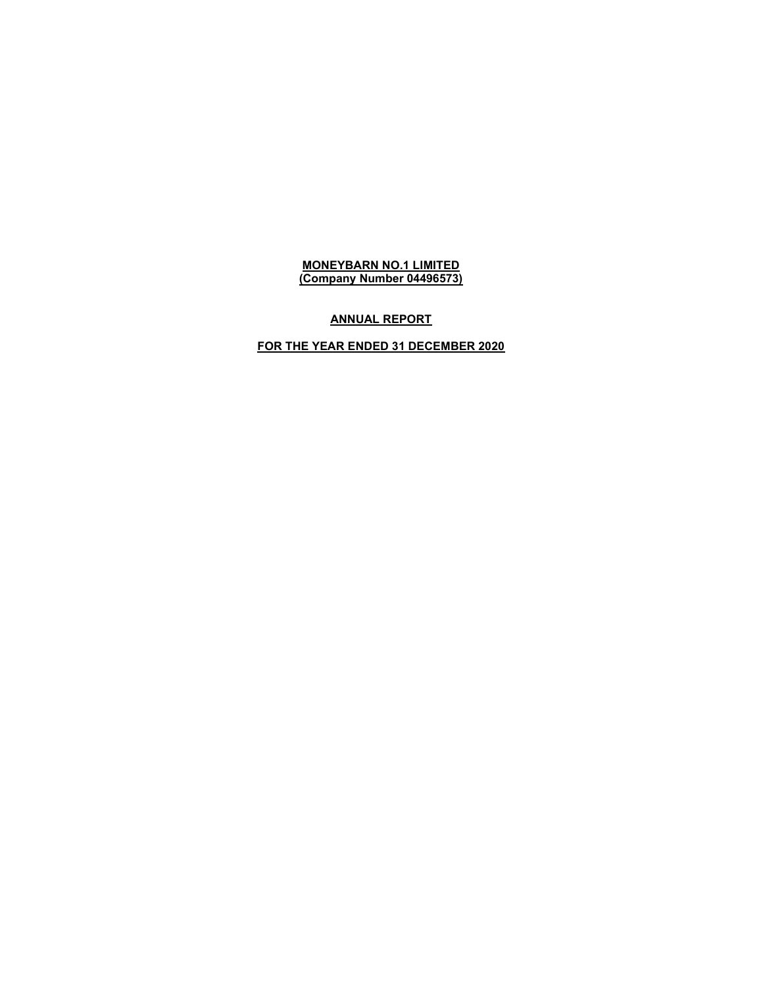# ANNUAL REPORT

# FOR THE YEAR ENDED 31 DECEMBER 2020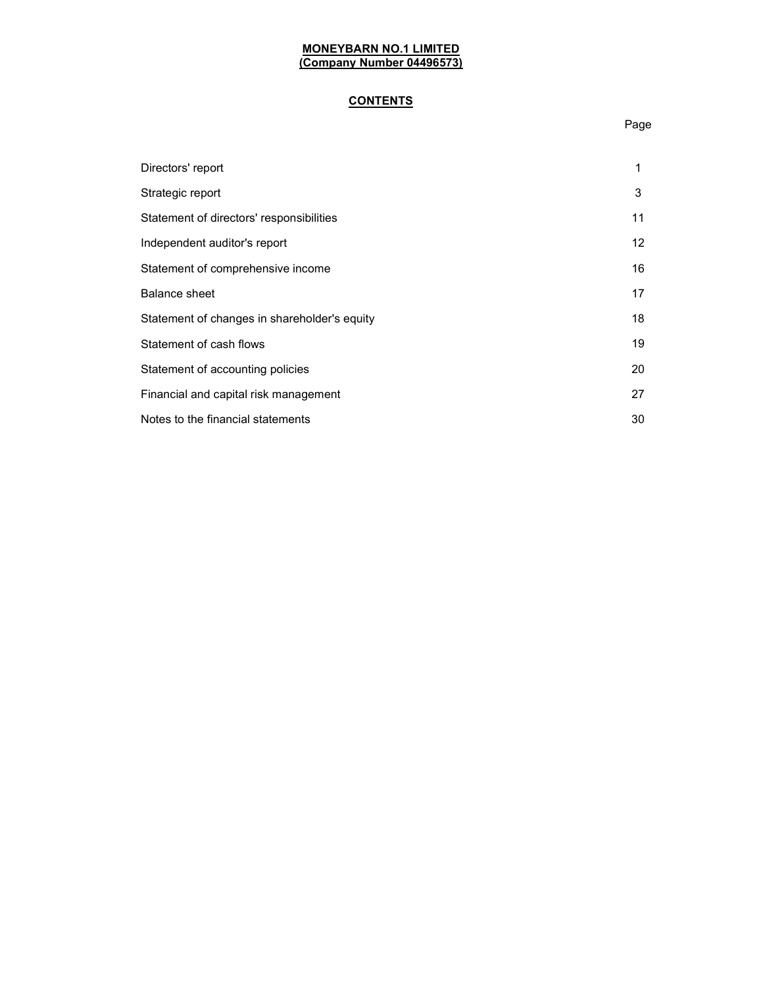# **CONTENTS**

# Page

| Directors' report                            | 1  |
|----------------------------------------------|----|
| Strategic report                             | 3  |
| Statement of directors' responsibilities     | 11 |
| Independent auditor's report                 | 12 |
| Statement of comprehensive income            | 16 |
| Balance sheet                                | 17 |
| Statement of changes in shareholder's equity | 18 |
| Statement of cash flows                      | 19 |
| Statement of accounting policies             | 20 |
| Financial and capital risk management        | 27 |
| Notes to the financial statements            | 30 |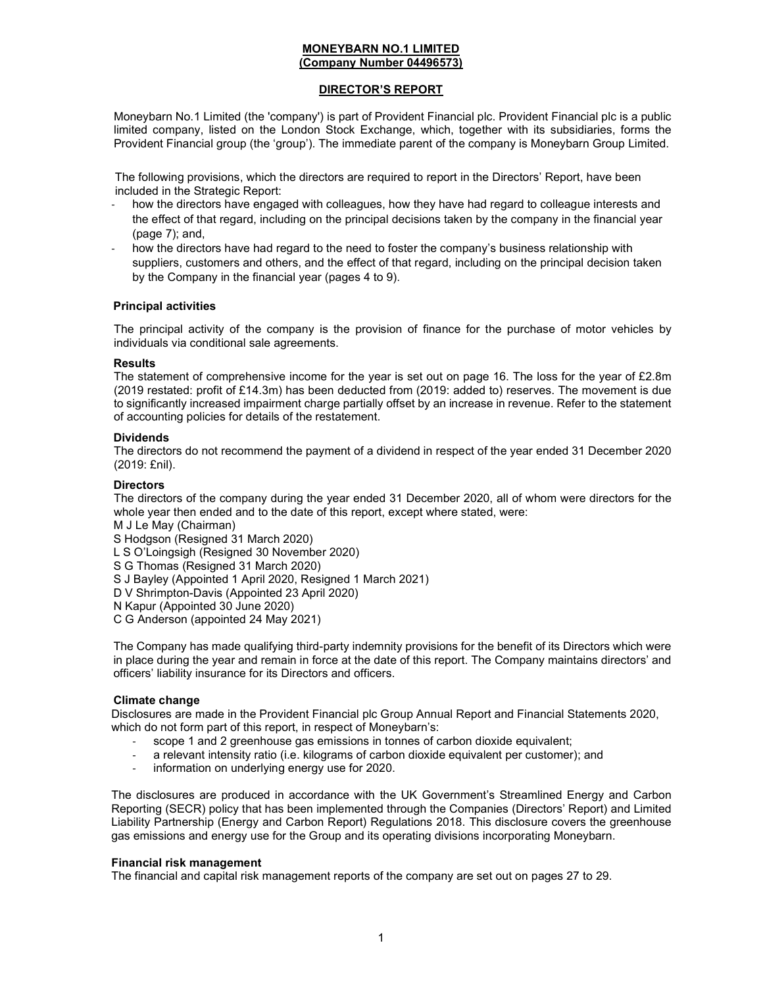# DIRECTOR'S REPORT

Moneybarn No.1 Limited (the 'company') is part of Provident Financial plc. Provident Financial plc is a public limited company, listed on the London Stock Exchange, which, together with its subsidiaries, forms the Provident Financial group (the 'group'). The immediate parent of the company is Moneybarn Group Limited.

The following provisions, which the directors are required to report in the Directors' Report, have been included in the Strategic Report:

- how the directors have engaged with colleagues, how they have had regard to colleague interests and the effect of that regard, including on the principal decisions taken by the company in the financial year (page 7); and,
- how the directors have had regard to the need to foster the company's business relationship with suppliers, customers and others, and the effect of that regard, including on the principal decision taken by the Company in the financial year (pages 4 to 9).

# Principal activities

The principal activity of the company is the provision of finance for the purchase of motor vehicles by individuals via conditional sale agreements.

# **Results**

The statement of comprehensive income for the year is set out on page 16. The loss for the year of £2.8m (2019 restated: profit of £14.3m) has been deducted from (2019: added to) reserves. The movement is due to significantly increased impairment charge partially offset by an increase in revenue. Refer to the statement of accounting policies for details of the restatement.

# Dividends

The directors do not recommend the payment of a dividend in respect of the year ended 31 December 2020 (2019: £nil).

# **Directors**

The directors of the company during the year ended 31 December 2020, all of whom were directors for the whole year then ended and to the date of this report, except where stated, were:

M J Le May (Chairman)

S Hodgson (Resigned 31 March 2020)

L S O'Loingsigh (Resigned 30 November 2020)

S G Thomas (Resigned 31 March 2020)

S J Bayley (Appointed 1 April 2020, Resigned 1 March 2021)

D V Shrimpton-Davis (Appointed 23 April 2020)

N Kapur (Appointed 30 June 2020)

C G Anderson (appointed 24 May 2021)

The Company has made qualifying third-party indemnity provisions for the benefit of its Directors which were in place during the year and remain in force at the date of this report. The Company maintains directors' and officers' liability insurance for its Directors and officers.

# Climate change

Disclosures are made in the Provident Financial plc Group Annual Report and Financial Statements 2020, which do not form part of this report, in respect of Moneybarn's:

- scope 1 and 2 greenhouse gas emissions in tonnes of carbon dioxide equivalent;
- a relevant intensity ratio (i.e. kilograms of carbon dioxide equivalent per customer); and
- information on underlying energy use for 2020.

The disclosures are produced in accordance with the UK Government's Streamlined Energy and Carbon Reporting (SECR) policy that has been implemented through the Companies (Directors' Report) and Limited Liability Partnership (Energy and Carbon Report) Regulations 2018. This disclosure covers the greenhouse gas emissions and energy use for the Group and its operating divisions incorporating Moneybarn.

# Financial risk management

The financial and capital risk management reports of the company are set out on pages 27 to 29.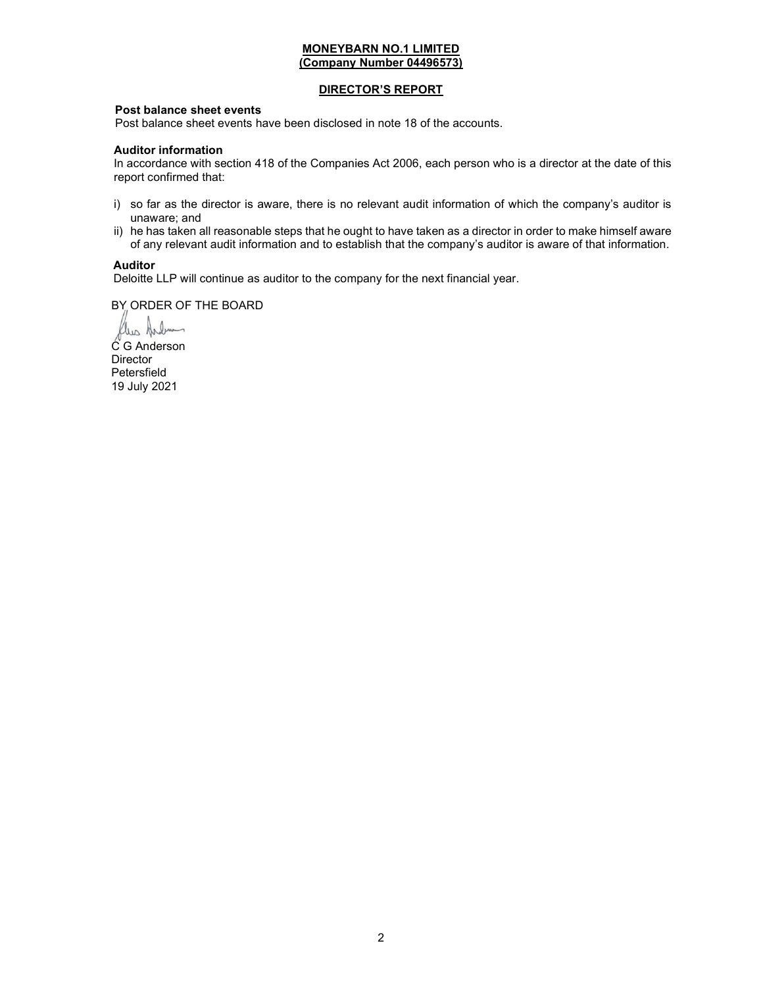# DIRECTOR'S REPORT

# Post balance sheet events

Post balance sheet events have been disclosed in note 18 of the accounts.

#### Auditor information

In accordance with section 418 of the Companies Act 2006, each person who is a director at the date of this report confirmed that:

- i) so far as the director is aware, there is no relevant audit information of which the company's auditor is unaware; and
- ii) he has taken all reasonable steps that he ought to have taken as a director in order to make himself aware of any relevant audit information and to establish that the company's auditor is aware of that information.

# Auditor

Deloitte LLP will continue as auditor to the company for the next financial year.

# BY ORDER OF THE BOARD

Kleis Arben

C G Anderson **Director** Petersfield 19 July 2021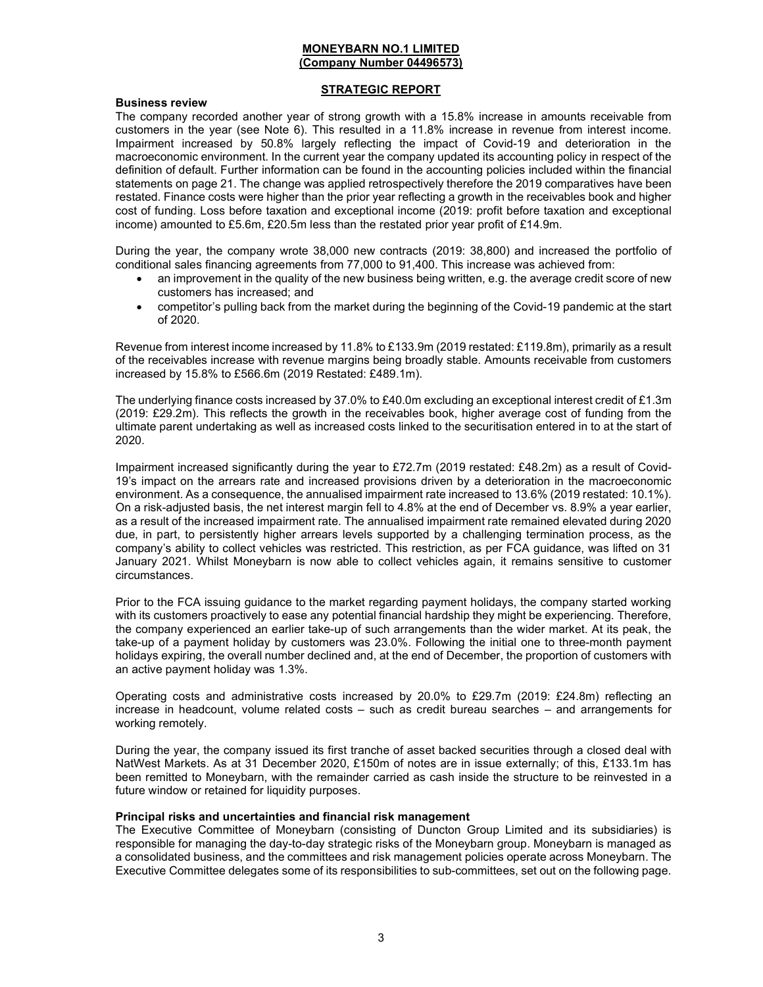# STRATEGIC REPORT

# Business review

The company recorded another year of strong growth with a 15.8% increase in amounts receivable from customers in the year (see Note 6). This resulted in a 11.8% increase in revenue from interest income. Impairment increased by 50.8% largely reflecting the impact of Covid-19 and deterioration in the macroeconomic environment. In the current year the company updated its accounting policy in respect of the definition of default. Further information can be found in the accounting policies included within the financial statements on page 21. The change was applied retrospectively therefore the 2019 comparatives have been restated. Finance costs were higher than the prior year reflecting a growth in the receivables book and higher cost of funding. Loss before taxation and exceptional income (2019: profit before taxation and exceptional income) amounted to £5.6m, £20.5m less than the restated prior year profit of £14.9m.

During the year, the company wrote 38,000 new contracts (2019: 38,800) and increased the portfolio of conditional sales financing agreements from 77,000 to 91,400. This increase was achieved from:

- an improvement in the quality of the new business being written, e.g. the average credit score of new customers has increased; and
- competitor's pulling back from the market during the beginning of the Covid-19 pandemic at the start of 2020.

Revenue from interest income increased by 11.8% to £133.9m (2019 restated: £119.8m), primarily as a result of the receivables increase with revenue margins being broadly stable. Amounts receivable from customers increased by 15.8% to £566.6m (2019 Restated: £489.1m).

The underlying finance costs increased by 37.0% to £40.0m excluding an exceptional interest credit of £1.3m (2019: £29.2m). This reflects the growth in the receivables book, higher average cost of funding from the ultimate parent undertaking as well as increased costs linked to the securitisation entered in to at the start of 2020.

Impairment increased significantly during the year to £72.7m (2019 restated: £48.2m) as a result of Covid-19's impact on the arrears rate and increased provisions driven by a deterioration in the macroeconomic environment. As a consequence, the annualised impairment rate increased to 13.6% (2019 restated: 10.1%). On a risk-adjusted basis, the net interest margin fell to 4.8% at the end of December vs. 8.9% a year earlier, as a result of the increased impairment rate. The annualised impairment rate remained elevated during 2020 due, in part, to persistently higher arrears levels supported by a challenging termination process, as the company's ability to collect vehicles was restricted. This restriction, as per FCA guidance, was lifted on 31 January 2021. Whilst Moneybarn is now able to collect vehicles again, it remains sensitive to customer circumstances.

Prior to the FCA issuing guidance to the market regarding payment holidays, the company started working with its customers proactively to ease any potential financial hardship they might be experiencing. Therefore, the company experienced an earlier take-up of such arrangements than the wider market. At its peak, the take-up of a payment holiday by customers was 23.0%. Following the initial one to three-month payment holidays expiring, the overall number declined and, at the end of December, the proportion of customers with an active payment holiday was 1.3%.

Operating costs and administrative costs increased by 20.0% to £29.7m (2019: £24.8m) reflecting an increase in headcount, volume related costs – such as credit bureau searches – and arrangements for working remotely.

During the year, the company issued its first tranche of asset backed securities through a closed deal with NatWest Markets. As at 31 December 2020, £150m of notes are in issue externally; of this, £133.1m has been remitted to Moneybarn, with the remainder carried as cash inside the structure to be reinvested in a future window or retained for liquidity purposes.

# Principal risks and uncertainties and financial risk management

The Executive Committee of Moneybarn (consisting of Duncton Group Limited and its subsidiaries) is responsible for managing the day-to-day strategic risks of the Moneybarn group. Moneybarn is managed as a consolidated business, and the committees and risk management policies operate across Moneybarn. The Executive Committee delegates some of its responsibilities to sub-committees, set out on the following page.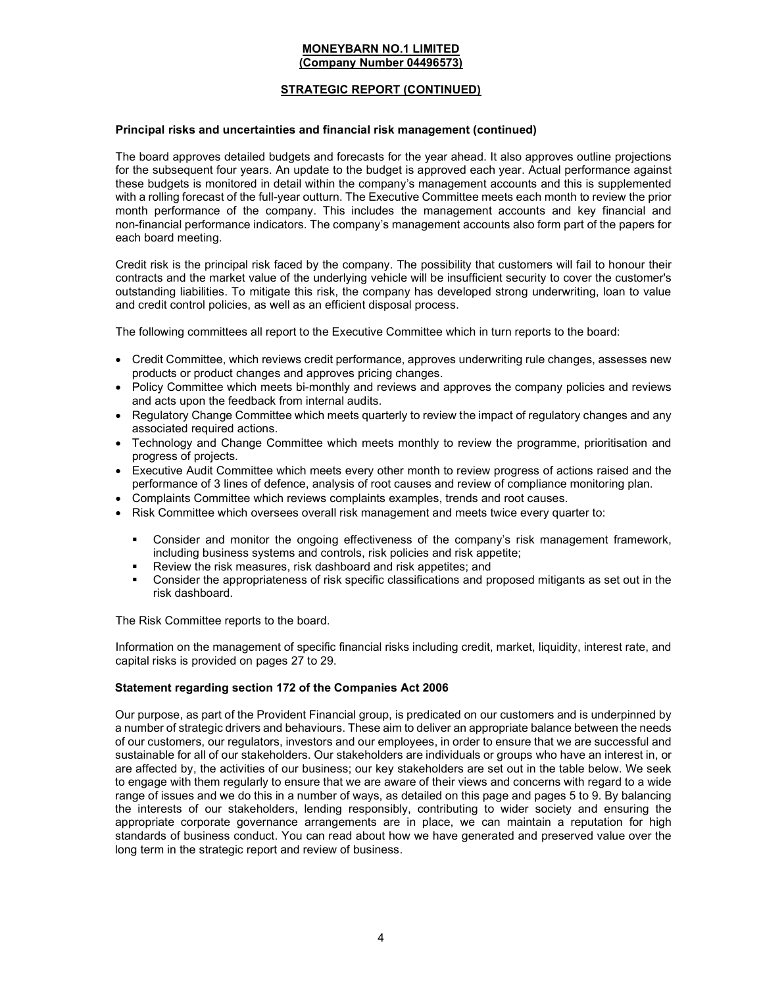# STRATEGIC REPORT (CONTINUED)

### Principal risks and uncertainties and financial risk management (continued)

The board approves detailed budgets and forecasts for the year ahead. It also approves outline projections for the subsequent four years. An update to the budget is approved each year. Actual performance against these budgets is monitored in detail within the company's management accounts and this is supplemented with a rolling forecast of the full-year outturn. The Executive Committee meets each month to review the prior month performance of the company. This includes the management accounts and key financial and non-financial performance indicators. The company's management accounts also form part of the papers for each board meeting.

Credit risk is the principal risk faced by the company. The possibility that customers will fail to honour their contracts and the market value of the underlying vehicle will be insufficient security to cover the customer's outstanding liabilities. To mitigate this risk, the company has developed strong underwriting, loan to value and credit control policies, as well as an efficient disposal process.

The following committees all report to the Executive Committee which in turn reports to the board:

- Credit Committee, which reviews credit performance, approves underwriting rule changes, assesses new products or product changes and approves pricing changes.
- Policy Committee which meets bi-monthly and reviews and approves the company policies and reviews and acts upon the feedback from internal audits.
- Regulatory Change Committee which meets quarterly to review the impact of regulatory changes and any associated required actions.
- Technology and Change Committee which meets monthly to review the programme, prioritisation and progress of projects.
- Executive Audit Committee which meets every other month to review progress of actions raised and the performance of 3 lines of defence, analysis of root causes and review of compliance monitoring plan.
- Complaints Committee which reviews complaints examples, trends and root causes.
- Risk Committee which oversees overall risk management and meets twice every quarter to:
	- Consider and monitor the ongoing effectiveness of the company's risk management framework, including business systems and controls, risk policies and risk appetite;
	- Review the risk measures, risk dashboard and risk appetites; and
	- Consider the appropriateness of risk specific classifications and proposed mitigants as set out in the risk dashboard.

The Risk Committee reports to the board.

Information on the management of specific financial risks including credit, market, liquidity, interest rate, and capital risks is provided on pages 27 to 29.

# Statement regarding section 172 of the Companies Act 2006

Our purpose, as part of the Provident Financial group, is predicated on our customers and is underpinned by a number of strategic drivers and behaviours. These aim to deliver an appropriate balance between the needs of our customers, our regulators, investors and our employees, in order to ensure that we are successful and sustainable for all of our stakeholders. Our stakeholders are individuals or groups who have an interest in, or are affected by, the activities of our business; our key stakeholders are set out in the table below. We seek to engage with them regularly to ensure that we are aware of their views and concerns with regard to a wide range of issues and we do this in a number of ways, as detailed on this page and pages 5 to 9. By balancing the interests of our stakeholders, lending responsibly, contributing to wider society and ensuring the appropriate corporate governance arrangements are in place, we can maintain a reputation for high standards of business conduct. You can read about how we have generated and preserved value over the long term in the strategic report and review of business.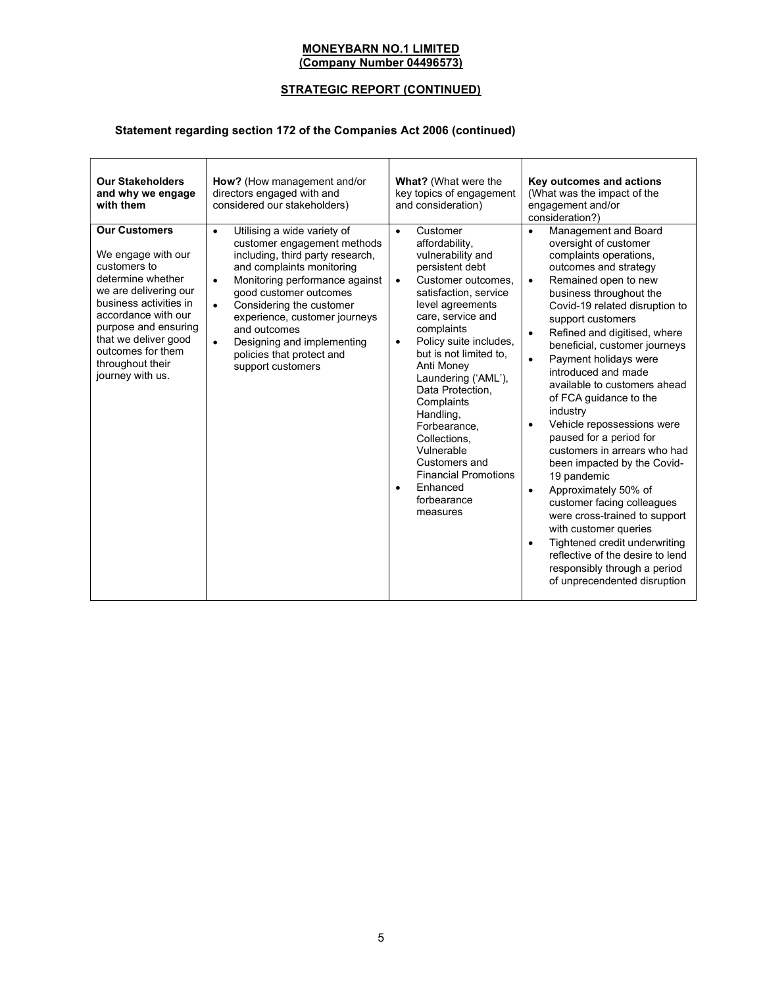# STRATEGIC REPORT (CONTINUED)

# Statement regarding section 172 of the Companies Act 2006 (continued)

| <b>Our Stakeholders</b><br>and why we engage<br>with them                                                                                                                                                                                                              | How? (How management and/or<br>directors engaged with and<br>considered our stakeholders)                                                                                                                                                                                                                                                                                                                | <b>What?</b> (What were the<br>key topics of engagement<br>and consideration)                                                                                                                                                                                                                                                                                                                                                                                                                             | Key outcomes and actions<br>(What was the impact of the<br>engagement and/or<br>consideration?)                                                                                                                                                                                                                                                                                                                                                                                                                                                                                                                                                                                                                                                                                                                                                                                          |
|------------------------------------------------------------------------------------------------------------------------------------------------------------------------------------------------------------------------------------------------------------------------|----------------------------------------------------------------------------------------------------------------------------------------------------------------------------------------------------------------------------------------------------------------------------------------------------------------------------------------------------------------------------------------------------------|-----------------------------------------------------------------------------------------------------------------------------------------------------------------------------------------------------------------------------------------------------------------------------------------------------------------------------------------------------------------------------------------------------------------------------------------------------------------------------------------------------------|------------------------------------------------------------------------------------------------------------------------------------------------------------------------------------------------------------------------------------------------------------------------------------------------------------------------------------------------------------------------------------------------------------------------------------------------------------------------------------------------------------------------------------------------------------------------------------------------------------------------------------------------------------------------------------------------------------------------------------------------------------------------------------------------------------------------------------------------------------------------------------------|
| <b>Our Customers</b><br>We engage with our<br>customers to<br>determine whether<br>we are delivering our<br>business activities in<br>accordance with our<br>purpose and ensuring<br>that we deliver good<br>outcomes for them<br>throughout their<br>journey with us. | Utilising a wide variety of<br>$\bullet$<br>customer engagement methods<br>including, third party research,<br>and complaints monitoring<br>Monitoring performance against<br>$\bullet$<br>good customer outcomes<br>Considering the customer<br>$\bullet$<br>experience, customer journeys<br>and outcomes<br>Designing and implementing<br>$\bullet$<br>policies that protect and<br>support customers | Customer<br>$\bullet$<br>affordability,<br>vulnerability and<br>persistent debt<br>Customer outcomes.<br>$\bullet$<br>satisfaction, service<br>level agreements<br>care, service and<br>complaints<br>Policy suite includes,<br>$\bullet$<br>but is not limited to,<br>Anti Money<br>Laundering ('AML'),<br>Data Protection.<br>Complaints<br>Handling,<br>Forbearance,<br>Collections,<br>Vulnerable<br>Customers and<br><b>Financial Promotions</b><br>Enhanced<br>$\bullet$<br>forbearance<br>measures | Management and Board<br>$\bullet$<br>oversight of customer<br>complaints operations,<br>outcomes and strategy<br>Remained open to new<br>$\bullet$<br>business throughout the<br>Covid-19 related disruption to<br>support customers<br>Refined and digitised, where<br>$\bullet$<br>beneficial, customer journeys<br>Payment holidays were<br>$\bullet$<br>introduced and made<br>available to customers ahead<br>of FCA guidance to the<br>industry<br>Vehicle repossessions were<br>$\bullet$<br>paused for a period for<br>customers in arrears who had<br>been impacted by the Covid-<br>19 pandemic<br>Approximately 50% of<br>$\bullet$<br>customer facing colleagues<br>were cross-trained to support<br>with customer queries<br>Tightened credit underwriting<br>$\bullet$<br>reflective of the desire to lend<br>responsibly through a period<br>of unprecendented disruption |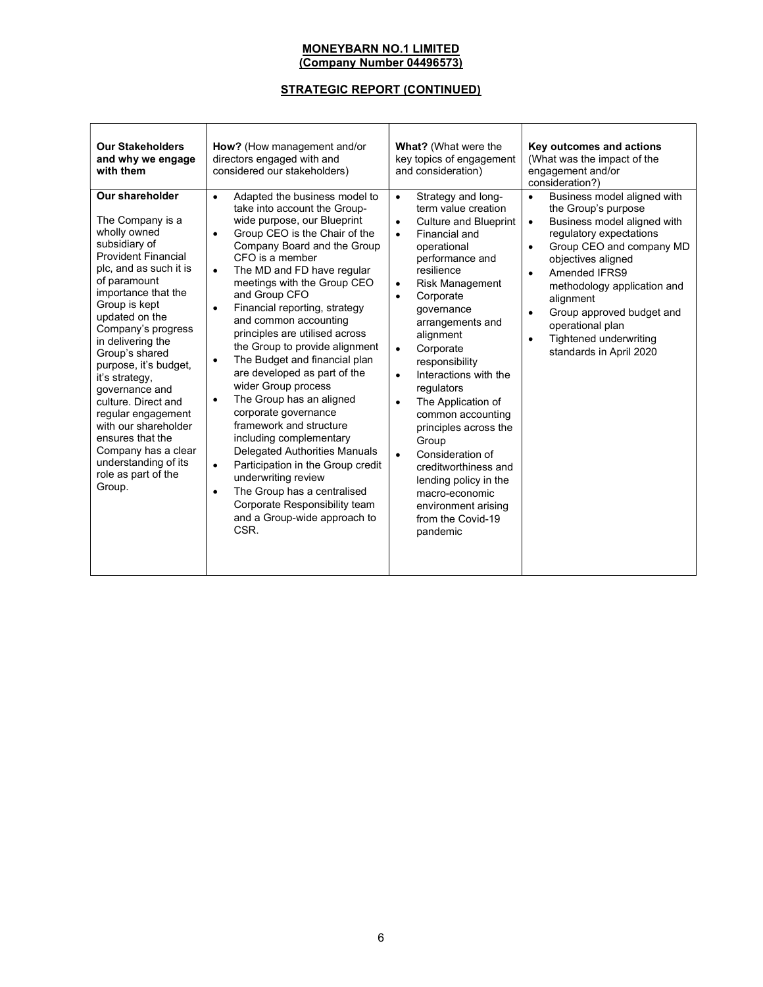# STRATEGIC REPORT (CONTINUED)

| <b>Our Stakeholders</b><br>and why we engage<br>with them                                                                                                                                                                                                                                                                                                                                                                                                                                                 | How? (How management and/or<br>directors engaged with and<br>considered our stakeholders)                                                                                                                                                                                                                                                                                                                                                                                                                                                                                                                                                                                                                                                                                                                                                                                                                         | <b>What?</b> (What were the<br>key topics of engagement<br>and consideration)                                                                                                                                                                                                                                                                                                                                                                                                                                                                                                                                                                           | Key outcomes and actions<br>(What was the impact of the<br>engagement and/or<br>consideration?)                                                                                                                                                                                                                                                                                                                 |
|-----------------------------------------------------------------------------------------------------------------------------------------------------------------------------------------------------------------------------------------------------------------------------------------------------------------------------------------------------------------------------------------------------------------------------------------------------------------------------------------------------------|-------------------------------------------------------------------------------------------------------------------------------------------------------------------------------------------------------------------------------------------------------------------------------------------------------------------------------------------------------------------------------------------------------------------------------------------------------------------------------------------------------------------------------------------------------------------------------------------------------------------------------------------------------------------------------------------------------------------------------------------------------------------------------------------------------------------------------------------------------------------------------------------------------------------|---------------------------------------------------------------------------------------------------------------------------------------------------------------------------------------------------------------------------------------------------------------------------------------------------------------------------------------------------------------------------------------------------------------------------------------------------------------------------------------------------------------------------------------------------------------------------------------------------------------------------------------------------------|-----------------------------------------------------------------------------------------------------------------------------------------------------------------------------------------------------------------------------------------------------------------------------------------------------------------------------------------------------------------------------------------------------------------|
| Our shareholder<br>The Company is a<br>wholly owned<br>subsidiary of<br><b>Provident Financial</b><br>plc, and as such it is<br>of paramount<br>importance that the<br>Group is kept<br>updated on the<br>Company's progress<br>in delivering the<br>Group's shared<br>purpose, it's budget,<br>it's strategy,<br>governance and<br>culture. Direct and<br>regular engagement<br>with our shareholder<br>ensures that the<br>Company has a clear<br>understanding of its<br>role as part of the<br>Group. | Adapted the business model to<br>$\bullet$<br>take into account the Group-<br>wide purpose, our Blueprint<br>Group CEO is the Chair of the<br>$\bullet$<br>Company Board and the Group<br>CFO is a member<br>The MD and FD have regular<br>$\bullet$<br>meetings with the Group CEO<br>and Group CFO<br>Financial reporting, strategy<br>$\bullet$<br>and common accounting<br>principles are utilised across<br>the Group to provide alignment<br>The Budget and financial plan<br>$\bullet$<br>are developed as part of the<br>wider Group process<br>The Group has an aligned<br>$\bullet$<br>corporate governance<br>framework and structure<br>including complementary<br><b>Delegated Authorities Manuals</b><br>Participation in the Group credit<br>$\bullet$<br>underwriting review<br>The Group has a centralised<br>$\bullet$<br>Corporate Responsibility team<br>and a Group-wide approach to<br>CSR. | Strategy and long-<br>$\bullet$<br>term value creation<br><b>Culture and Blueprint</b><br>$\bullet$<br>Financial and<br>$\bullet$<br>operational<br>performance and<br>resilience<br><b>Risk Management</b><br>$\bullet$<br>Corporate<br>$\bullet$<br>qovernance<br>arrangements and<br>alignment<br>Corporate<br>$\bullet$<br>responsibility<br>Interactions with the<br>$\bullet$<br>regulators<br>The Application of<br>$\bullet$<br>common accounting<br>principles across the<br>Group<br>Consideration of<br>$\bullet$<br>creditworthiness and<br>lending policy in the<br>macro-economic<br>environment arising<br>from the Covid-19<br>pandemic | Business model aligned with<br>$\bullet$<br>the Group's purpose<br>Business model aligned with<br>$\bullet$<br>regulatory expectations<br>Group CEO and company MD<br>$\bullet$<br>objectives aligned<br>Amended IFRS9<br>$\bullet$<br>methodology application and<br>alignment<br>Group approved budget and<br>$\bullet$<br>operational plan<br>Tightened underwriting<br>$\bullet$<br>standards in April 2020 |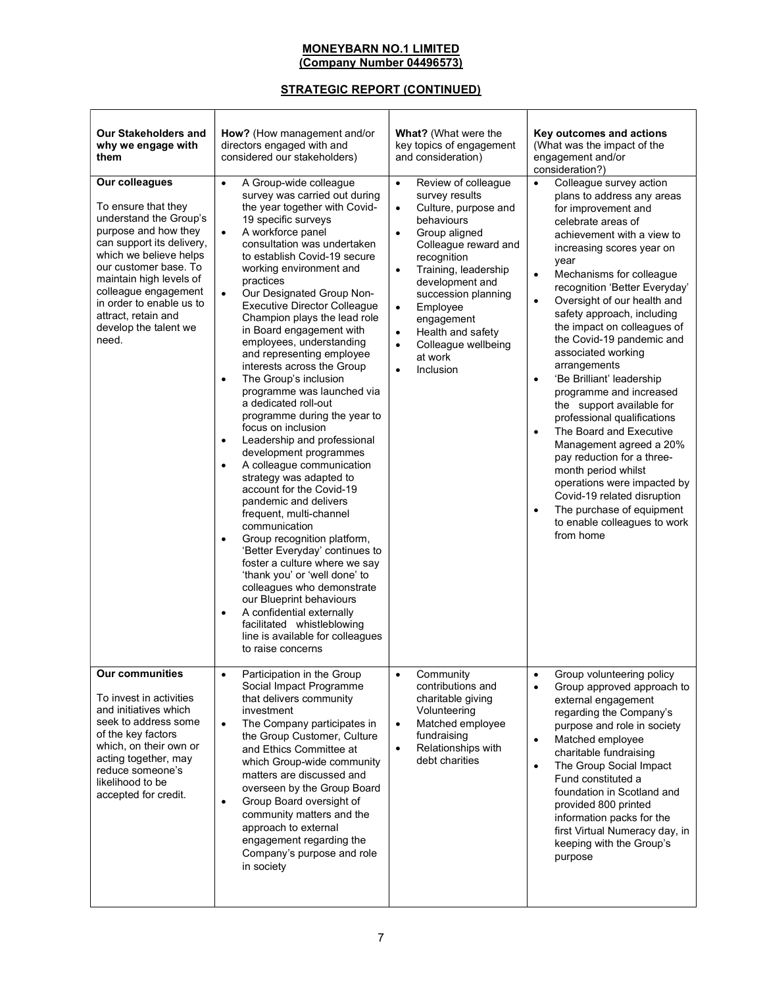# **STRATEGIC REPORT (CONTINUED)**

| Our Stakeholders and<br>why we engage with<br>them                                                                                                                                                                                                                                                              | How? (How management and/or<br>directors engaged with and<br>considered our stakeholders)                                                                                                                                                                                                                                                                                                                                                                                                                                                                                                                                                                                                                                                                                                                                                                                                                                                                                                                                                                                                                                                                                                                                                          | <b>What?</b> (What were the<br>key topics of engagement<br>and consideration)                                                                                                                                                                                                                                                                                                                               | Key outcomes and actions<br>(What was the impact of the<br>engagement and/or<br>consideration?)                                                                                                                                                                                                                                                                                                                                                                                                                                                                                                                                                                                                                                                                                                                                           |  |
|-----------------------------------------------------------------------------------------------------------------------------------------------------------------------------------------------------------------------------------------------------------------------------------------------------------------|----------------------------------------------------------------------------------------------------------------------------------------------------------------------------------------------------------------------------------------------------------------------------------------------------------------------------------------------------------------------------------------------------------------------------------------------------------------------------------------------------------------------------------------------------------------------------------------------------------------------------------------------------------------------------------------------------------------------------------------------------------------------------------------------------------------------------------------------------------------------------------------------------------------------------------------------------------------------------------------------------------------------------------------------------------------------------------------------------------------------------------------------------------------------------------------------------------------------------------------------------|-------------------------------------------------------------------------------------------------------------------------------------------------------------------------------------------------------------------------------------------------------------------------------------------------------------------------------------------------------------------------------------------------------------|-------------------------------------------------------------------------------------------------------------------------------------------------------------------------------------------------------------------------------------------------------------------------------------------------------------------------------------------------------------------------------------------------------------------------------------------------------------------------------------------------------------------------------------------------------------------------------------------------------------------------------------------------------------------------------------------------------------------------------------------------------------------------------------------------------------------------------------------|--|
| Our colleagues<br>To ensure that they<br>understand the Group's<br>purpose and how they<br>can support its delivery,<br>which we believe helps<br>our customer base. To<br>maintain high levels of<br>colleague engagement<br>in order to enable us to<br>attract, retain and<br>develop the talent we<br>need. | A Group-wide colleague<br>$\bullet$<br>survey was carried out during<br>the year together with Covid-<br>19 specific surveys<br>A workforce panel<br>$\bullet$<br>consultation was undertaken<br>to establish Covid-19 secure<br>working environment and<br>practices<br>Our Designated Group Non-<br>$\bullet$<br><b>Executive Director Colleague</b><br>Champion plays the lead role<br>in Board engagement with<br>employees, understanding<br>and representing employee<br>interests across the Group<br>The Group's inclusion<br>$\bullet$<br>programme was launched via<br>a dedicated roll-out<br>programme during the year to<br>focus on inclusion<br>Leadership and professional<br>$\bullet$<br>development programmes<br>A colleague communication<br>$\bullet$<br>strategy was adapted to<br>account for the Covid-19<br>pandemic and delivers<br>frequent, multi-channel<br>communication<br>Group recognition platform,<br>$\bullet$<br>'Better Everyday' continues to<br>foster a culture where we say<br>'thank you' or 'well done' to<br>colleagues who demonstrate<br>our Blueprint behaviours<br>A confidential externally<br>$\bullet$<br>facilitated whistleblowing<br>line is available for colleagues<br>to raise concerns | Review of colleague<br>$\bullet$<br>survey results<br>Culture, purpose and<br>$\bullet$<br>behaviours<br>Group aligned<br>$\bullet$<br>Colleague reward and<br>recognition<br>Training, leadership<br>$\bullet$<br>development and<br>succession planning<br>Employee<br>$\bullet$<br>engagement<br>Health and safety<br>$\bullet$<br>Colleague wellbeing<br>$\bullet$<br>at work<br>Inclusion<br>$\bullet$ | Colleague survey action<br>plans to address any areas<br>for improvement and<br>celebrate areas of<br>achievement with a view to<br>increasing scores year on<br>year<br>Mechanisms for colleague<br>$\bullet$<br>recognition 'Better Everyday'<br>Oversight of our health and<br>$\bullet$<br>safety approach, including<br>the impact on colleagues of<br>the Covid-19 pandemic and<br>associated working<br>arrangements<br>'Be Brilliant' leadership<br>$\bullet$<br>programme and increased<br>the support available for<br>professional qualifications<br>The Board and Executive<br>$\bullet$<br>Management agreed a 20%<br>pay reduction for a three-<br>month period whilst<br>operations were impacted by<br>Covid-19 related disruption<br>The purchase of equipment<br>$\bullet$<br>to enable colleagues to work<br>from home |  |
| <b>Our communities</b><br>To invest in activities<br>and initiatives which<br>seek to address some<br>of the key factors<br>which, on their own or<br>acting together, may<br>reduce someone's<br>likelihood to be<br>accepted for credit.                                                                      | Participation in the Group<br>Social Impact Programme<br>that delivers community<br>investment<br>The Company participates in<br>$\bullet$<br>the Group Customer, Culture<br>and Ethics Committee at<br>which Group-wide community<br>matters are discussed and<br>overseen by the Group Board<br>Group Board oversight of<br>$\bullet$<br>community matters and the<br>approach to external<br>engagement regarding the<br>Company's purpose and role<br>in society                                                                                                                                                                                                                                                                                                                                                                                                                                                                                                                                                                                                                                                                                                                                                                               | Community<br>contributions and<br>charitable giving<br>Volunteering<br>Matched employee<br>$\bullet$<br>fundraising<br>Relationships with<br>$\bullet$<br>debt charities                                                                                                                                                                                                                                    | Group volunteering policy<br>Group approved approach to<br>$\bullet$<br>external engagement<br>regarding the Company's<br>purpose and role in society<br>Matched employee<br>$\bullet$<br>charitable fundraising<br>The Group Social Impact<br>$\bullet$<br>Fund constituted a<br>foundation in Scotland and<br>provided 800 printed<br>information packs for the<br>first Virtual Numeracy day, in<br>keeping with the Group's<br>purpose                                                                                                                                                                                                                                                                                                                                                                                                |  |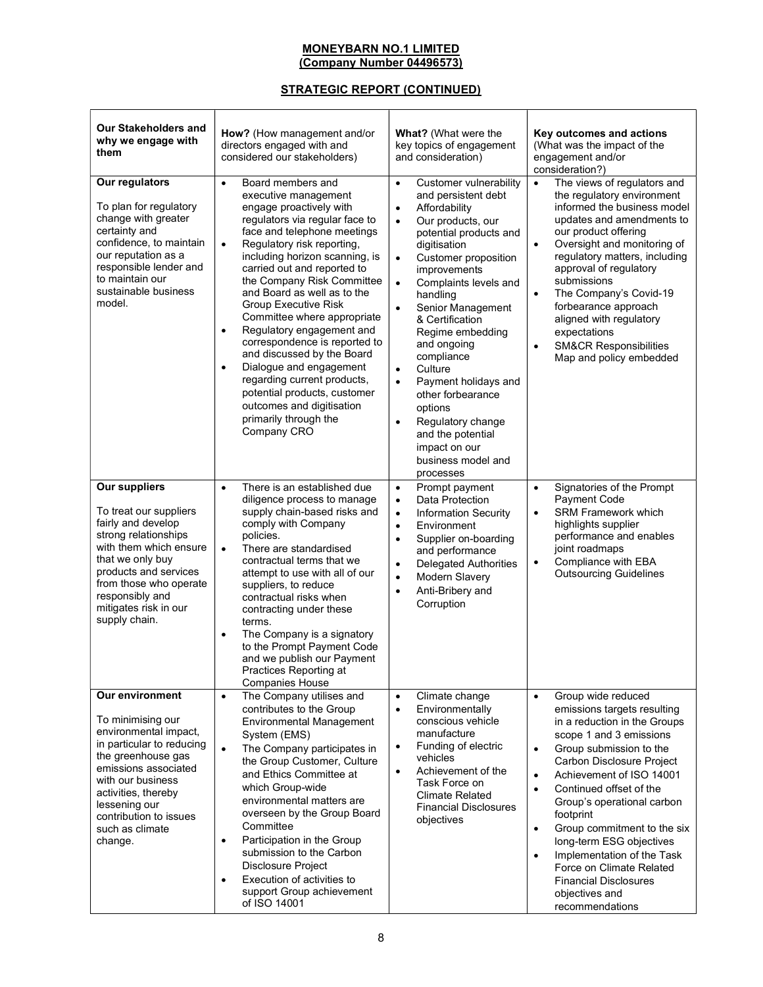# STRATEGIC REPORT (CONTINUED)

| <b>Our Stakeholders and</b><br>why we engage with<br>them                                                                                                                                                                                                            | How? (How management and/or<br>directors engaged with and<br>considered our stakeholders)                                                                                                                                                                                                                                                                                                                                                                                                                                                                                                                                                                                      | <b>What?</b> (What were the<br>key topics of engagement<br>and consideration)                                                                                                                                                                                                                                                                                                                                                                                                                                                                                                                           | Key outcomes and actions<br>(What was the impact of the<br>engagement and/or<br>consideration?)                                                                                                                                                                                                                                                                                                                                                                                                                                                |
|----------------------------------------------------------------------------------------------------------------------------------------------------------------------------------------------------------------------------------------------------------------------|--------------------------------------------------------------------------------------------------------------------------------------------------------------------------------------------------------------------------------------------------------------------------------------------------------------------------------------------------------------------------------------------------------------------------------------------------------------------------------------------------------------------------------------------------------------------------------------------------------------------------------------------------------------------------------|---------------------------------------------------------------------------------------------------------------------------------------------------------------------------------------------------------------------------------------------------------------------------------------------------------------------------------------------------------------------------------------------------------------------------------------------------------------------------------------------------------------------------------------------------------------------------------------------------------|------------------------------------------------------------------------------------------------------------------------------------------------------------------------------------------------------------------------------------------------------------------------------------------------------------------------------------------------------------------------------------------------------------------------------------------------------------------------------------------------------------------------------------------------|
| Our regulators<br>To plan for regulatory<br>change with greater<br>certainty and<br>confidence, to maintain<br>our reputation as a<br>responsible lender and<br>to maintain our<br>sustainable business<br>model.                                                    | Board members and<br>$\bullet$<br>executive management<br>engage proactively with<br>regulators via regular face to<br>face and telephone meetings<br>Regulatory risk reporting,<br>$\bullet$<br>including horizon scanning, is<br>carried out and reported to<br>the Company Risk Committee<br>and Board as well as to the<br><b>Group Executive Risk</b><br>Committee where appropriate<br>Regulatory engagement and<br>$\bullet$<br>correspondence is reported to<br>and discussed by the Board<br>Dialogue and engagement<br>$\bullet$<br>regarding current products,<br>potential products, customer<br>outcomes and digitisation<br>primarily through the<br>Company CRO | <b>Customer vulnerability</b><br>$\bullet$<br>and persistent debt<br>Affordability<br>$\bullet$<br>Our products, our<br>$\bullet$<br>potential products and<br>digitisation<br><b>Customer proposition</b><br>$\bullet$<br>improvements<br>Complaints levels and<br>$\bullet$<br>handling<br>Senior Management<br>$\bullet$<br>& Certification<br>Regime embedding<br>and ongoing<br>compliance<br>Culture<br>$\bullet$<br>Payment holidays and<br>$\bullet$<br>other forbearance<br>options<br>Regulatory change<br>$\bullet$<br>and the potential<br>impact on our<br>business model and<br>processes | The views of regulators and<br>$\bullet$<br>the regulatory environment<br>informed the business model<br>updates and amendments to<br>our product offering<br>Oversight and monitoring of<br>$\bullet$<br>regulatory matters, including<br>approval of regulatory<br>submissions<br>The Company's Covid-19<br>$\bullet$<br>forbearance approach<br>aligned with regulatory<br>expectations<br><b>SM&amp;CR Responsibilities</b><br>$\bullet$<br>Map and policy embedded                                                                        |
| <b>Our suppliers</b><br>To treat our suppliers<br>fairly and develop<br>strong relationships<br>with them which ensure<br>that we only buy<br>products and services<br>from those who operate<br>responsibly and<br>mitigates risk in our<br>supply chain.           | There is an established due<br>$\bullet$<br>diligence process to manage<br>supply chain-based risks and<br>comply with Company<br>policies.<br>There are standardised<br>$\bullet$<br>contractual terms that we<br>attempt to use with all of our<br>suppliers, to reduce<br>contractual risks when<br>contracting under these<br>terms.<br>The Company is a signatory<br>$\bullet$<br>to the Prompt Payment Code<br>and we publish our Payment<br>Practices Reporting at<br><b>Companies House</b>                                                                                                                                                                            | Prompt payment<br>$\bullet$<br>Data Protection<br>$\bullet$<br><b>Information Security</b><br>$\bullet$<br>Environment<br>$\bullet$<br>Supplier on-boarding<br>$\bullet$<br>and performance<br><b>Delegated Authorities</b><br>$\bullet$<br>Modern Slavery<br>$\bullet$<br>Anti-Bribery and<br>$\bullet$<br>Corruption                                                                                                                                                                                                                                                                                  | Signatories of the Prompt<br>$\bullet$<br>Payment Code<br><b>SRM Framework which</b><br>$\bullet$<br>highlights supplier<br>performance and enables<br>joint roadmaps<br>Compliance with EBA<br>$\bullet$<br><b>Outsourcing Guidelines</b>                                                                                                                                                                                                                                                                                                     |
| <b>Our environment</b><br>To minimising our<br>environmental impact,<br>in particular to reducing<br>the greenhouse gas<br>emissions associated<br>with our business<br>activities, thereby<br>lessening our<br>contribution to issues<br>such as climate<br>change. | The Company utilises and<br>$\bullet$<br>contributes to the Group<br><b>Environmental Management</b><br>System (EMS)<br>The Company participates in<br>$\bullet$<br>the Group Customer, Culture<br>and Ethics Committee at<br>which Group-wide<br>environmental matters are<br>overseen by the Group Board<br>Committee<br>Participation in the Group<br>$\bullet$<br>submission to the Carbon<br>Disclosure Project<br>Execution of activities to<br>$\bullet$<br>support Group achievement<br>of ISO 14001                                                                                                                                                                   | Climate change<br>$\bullet$<br>Environmentally<br>$\bullet$<br>conscious vehicle<br>manufacture<br>Funding of electric<br>$\bullet$<br>vehicles<br>Achievement of the<br>$\bullet$<br>Task Force on<br>Climate Related<br><b>Financial Disclosures</b><br>objectives                                                                                                                                                                                                                                                                                                                                    | Group wide reduced<br>$\bullet$<br>emissions targets resulting<br>in a reduction in the Groups<br>scope 1 and 3 emissions<br>Group submission to the<br>$\bullet$<br>Carbon Disclosure Project<br>Achievement of ISO 14001<br>$\bullet$<br>Continued offset of the<br>$\bullet$<br>Group's operational carbon<br>footprint<br>Group commitment to the six<br>$\bullet$<br>long-term ESG objectives<br>Implementation of the Task<br>$\bullet$<br>Force on Climate Related<br><b>Financial Disclosures</b><br>objectives and<br>recommendations |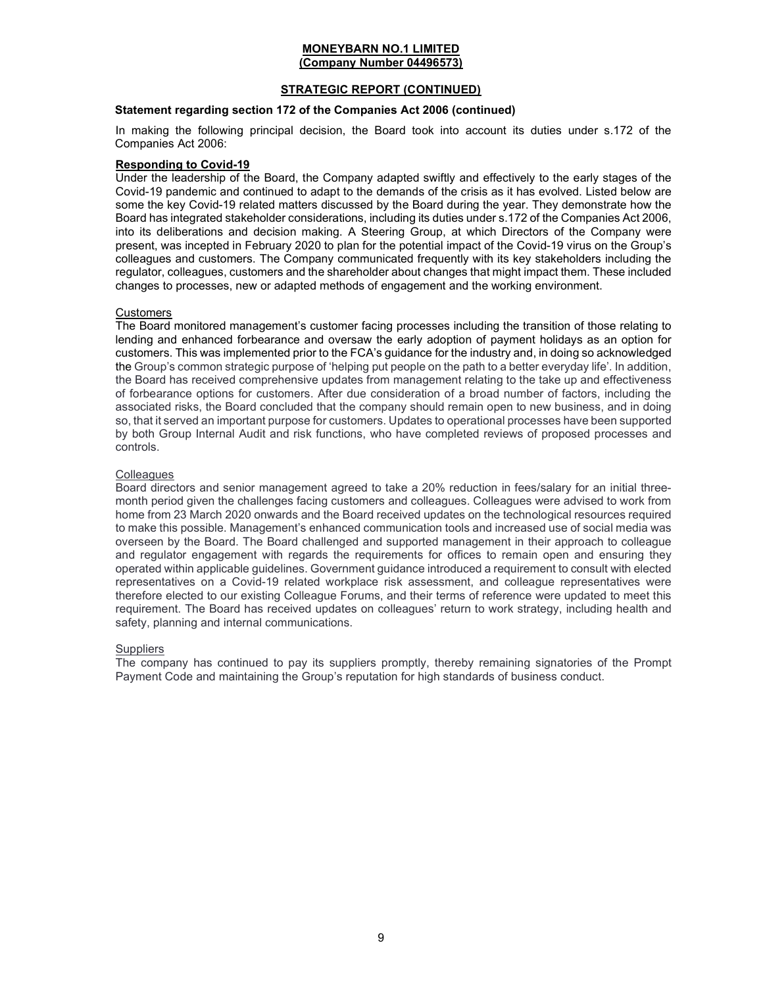# STRATEGIC REPORT (CONTINUED)

# Statement regarding section 172 of the Companies Act 2006 (continued)

In making the following principal decision, the Board took into account its duties under s.172 of the Companies Act 2006:

### Responding to Covid-19

Under the leadership of the Board, the Company adapted swiftly and effectively to the early stages of the Covid-19 pandemic and continued to adapt to the demands of the crisis as it has evolved. Listed below are some the key Covid-19 related matters discussed by the Board during the year. They demonstrate how the Board has integrated stakeholder considerations, including its duties under s.172 of the Companies Act 2006, into its deliberations and decision making. A Steering Group, at which Directors of the Company were present, was incepted in February 2020 to plan for the potential impact of the Covid-19 virus on the Group's colleagues and customers. The Company communicated frequently with its key stakeholders including the regulator, colleagues, customers and the shareholder about changes that might impact them. These included changes to processes, new or adapted methods of engagement and the working environment.

#### **Customers**

The Board monitored management's customer facing processes including the transition of those relating to lending and enhanced forbearance and oversaw the early adoption of payment holidays as an option for customers. This was implemented prior to the FCA's guidance for the industry and, in doing so acknowledged the Group's common strategic purpose of 'helping put people on the path to a better everyday life'. In addition, the Board has received comprehensive updates from management relating to the take up and effectiveness of forbearance options for customers. After due consideration of a broad number of factors, including the associated risks, the Board concluded that the company should remain open to new business, and in doing so, that it served an important purpose for customers. Updates to operational processes have been supported by both Group Internal Audit and risk functions, who have completed reviews of proposed processes and controls.

# **Colleagues**

Board directors and senior management agreed to take a 20% reduction in fees/salary for an initial threemonth period given the challenges facing customers and colleagues. Colleagues were advised to work from home from 23 March 2020 onwards and the Board received updates on the technological resources required to make this possible. Management's enhanced communication tools and increased use of social media was overseen by the Board. The Board challenged and supported management in their approach to colleague and regulator engagement with regards the requirements for offices to remain open and ensuring they operated within applicable guidelines. Government guidance introduced a requirement to consult with elected representatives on a Covid-19 related workplace risk assessment, and colleague representatives were therefore elected to our existing Colleague Forums, and their terms of reference were updated to meet this requirement. The Board has received updates on colleagues' return to work strategy, including health and safety, planning and internal communications.

## **Suppliers**

The company has continued to pay its suppliers promptly, thereby remaining signatories of the Prompt Payment Code and maintaining the Group's reputation for high standards of business conduct.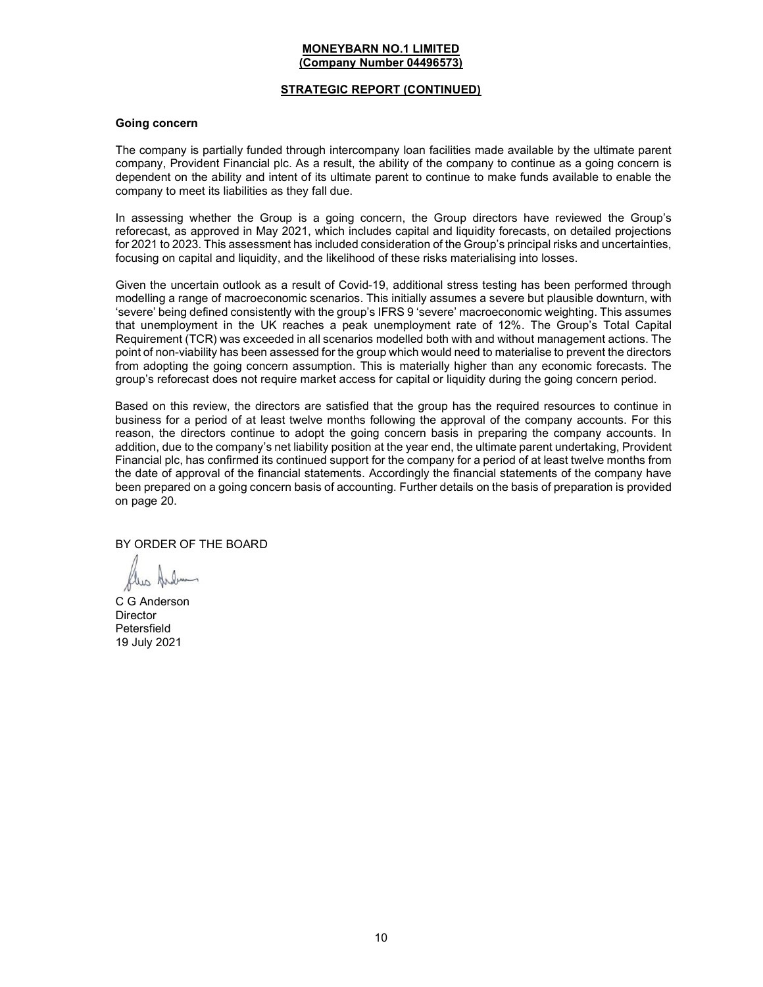# STRATEGIC REPORT (CONTINUED)

# Going concern

The company is partially funded through intercompany loan facilities made available by the ultimate parent company, Provident Financial plc. As a result, the ability of the company to continue as a going concern is dependent on the ability and intent of its ultimate parent to continue to make funds available to enable the company to meet its liabilities as they fall due.

In assessing whether the Group is a going concern, the Group directors have reviewed the Group's reforecast, as approved in May 2021, which includes capital and liquidity forecasts, on detailed projections for 2021 to 2023. This assessment has included consideration of the Group's principal risks and uncertainties, focusing on capital and liquidity, and the likelihood of these risks materialising into losses.

Given the uncertain outlook as a result of Covid-19, additional stress testing has been performed through modelling a range of macroeconomic scenarios. This initially assumes a severe but plausible downturn, with 'severe' being defined consistently with the group's IFRS 9 'severe' macroeconomic weighting. This assumes that unemployment in the UK reaches a peak unemployment rate of 12%. The Group's Total Capital Requirement (TCR) was exceeded in all scenarios modelled both with and without management actions. The point of non-viability has been assessed for the group which would need to materialise to prevent the directors from adopting the going concern assumption. This is materially higher than any economic forecasts. The group's reforecast does not require market access for capital or liquidity during the going concern period.

Based on this review, the directors are satisfied that the group has the required resources to continue in business for a period of at least twelve months following the approval of the company accounts. For this reason, the directors continue to adopt the going concern basis in preparing the company accounts. In addition, due to the company's net liability position at the year end, the ultimate parent undertaking, Provident Financial plc, has confirmed its continued support for the company for a period of at least twelve months from the date of approval of the financial statements. Accordingly the financial statements of the company have been prepared on a going concern basis of accounting. Further details on the basis of preparation is provided on page 20.

BY ORDER OF THE BOARD

C G Anderson Director Petersfield 19 July 2021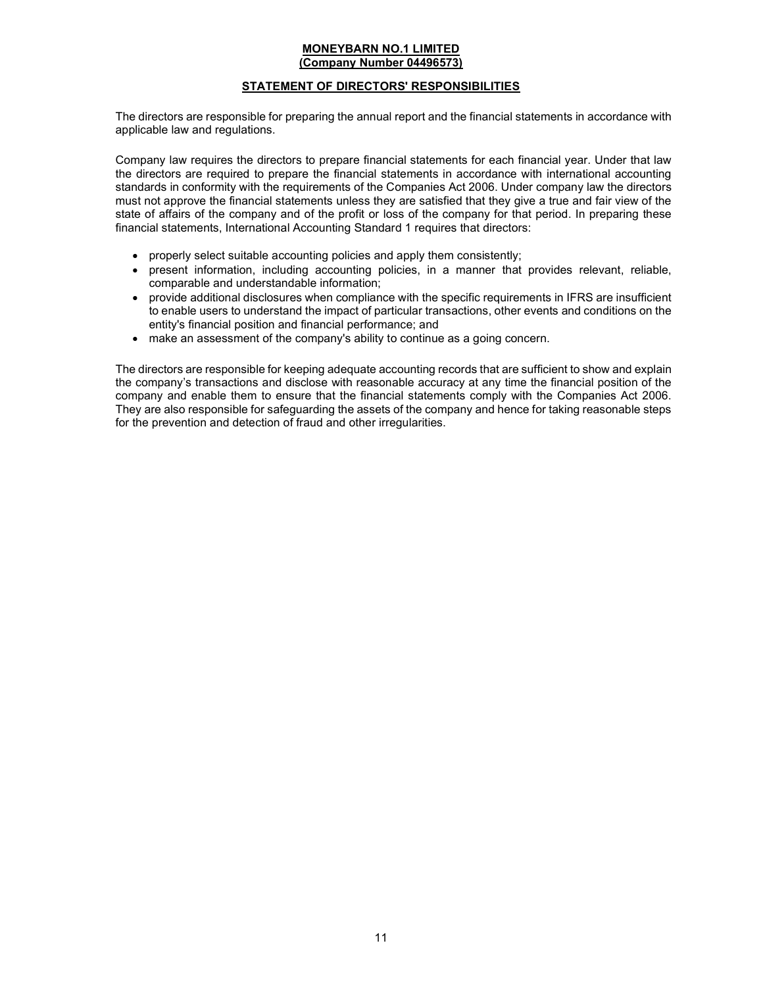# STATEMENT OF DIRECTORS' RESPONSIBILITIES

The directors are responsible for preparing the annual report and the financial statements in accordance with applicable law and regulations.

Company law requires the directors to prepare financial statements for each financial year. Under that law the directors are required to prepare the financial statements in accordance with international accounting standards in conformity with the requirements of the Companies Act 2006. Under company law the directors must not approve the financial statements unless they are satisfied that they give a true and fair view of the state of affairs of the company and of the profit or loss of the company for that period. In preparing these financial statements, International Accounting Standard 1 requires that directors:

- properly select suitable accounting policies and apply them consistently;
- present information, including accounting policies, in a manner that provides relevant, reliable, comparable and understandable information;
- provide additional disclosures when compliance with the specific requirements in IFRS are insufficient to enable users to understand the impact of particular transactions, other events and conditions on the entity's financial position and financial performance; and
- make an assessment of the company's ability to continue as a going concern.

The directors are responsible for keeping adequate accounting records that are sufficient to show and explain the company's transactions and disclose with reasonable accuracy at any time the financial position of the company and enable them to ensure that the financial statements comply with the Companies Act 2006. They are also responsible for safeguarding the assets of the company and hence for taking reasonable steps for the prevention and detection of fraud and other irregularities.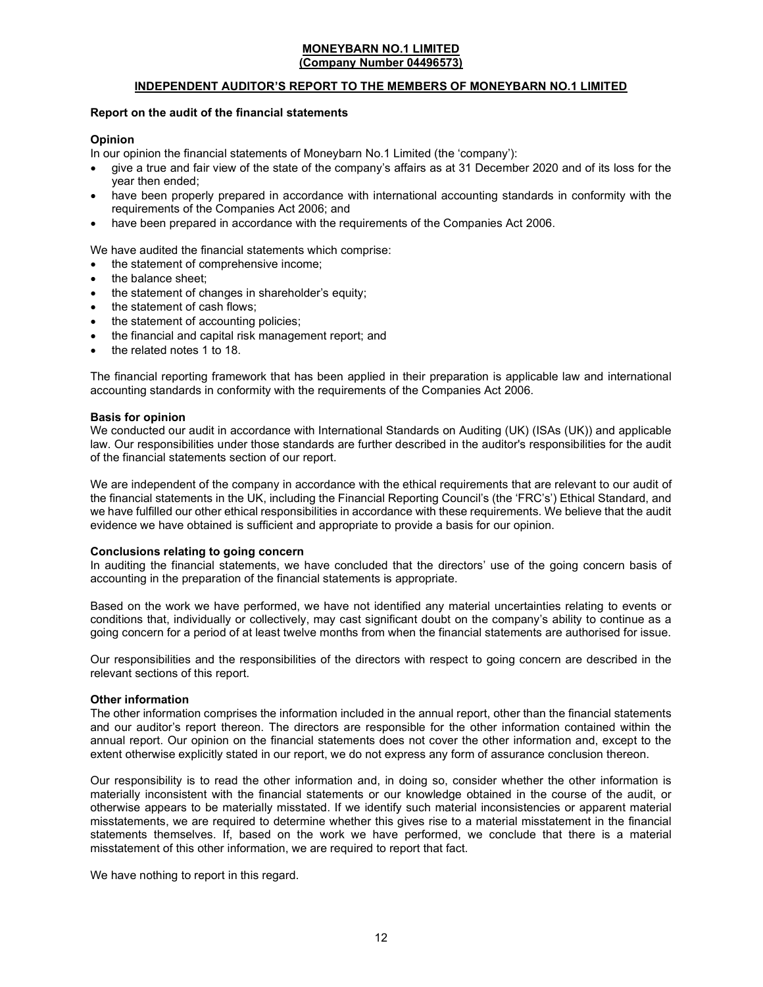# INDEPENDENT AUDITOR'S REPORT TO THE MEMBERS OF MONEYBARN NO.1 LIMITED

# Report on the audit of the financial statements

### Opinion

In our opinion the financial statements of Moneybarn No.1 Limited (the 'company'):

- give a true and fair view of the state of the company's affairs as at 31 December 2020 and of its loss for the year then ended;
- have been properly prepared in accordance with international accounting standards in conformity with the requirements of the Companies Act 2006; and
- have been prepared in accordance with the requirements of the Companies Act 2006.

We have audited the financial statements which comprise:

- the statement of comprehensive income:
- the balance sheet;
- the statement of changes in shareholder's equity;
- the statement of cash flows;
- the statement of accounting policies;
- the financial and capital risk management report; and
- the related notes 1 to 18.

The financial reporting framework that has been applied in their preparation is applicable law and international accounting standards in conformity with the requirements of the Companies Act 2006.

#### Basis for opinion

We conducted our audit in accordance with International Standards on Auditing (UK) (ISAs (UK)) and applicable law. Our responsibilities under those standards are further described in the auditor's responsibilities for the audit of the financial statements section of our report.

We are independent of the company in accordance with the ethical requirements that are relevant to our audit of the financial statements in the UK, including the Financial Reporting Council's (the 'FRC's') Ethical Standard, and we have fulfilled our other ethical responsibilities in accordance with these requirements. We believe that the audit evidence we have obtained is sufficient and appropriate to provide a basis for our opinion.

#### Conclusions relating to going concern

In auditing the financial statements, we have concluded that the directors' use of the going concern basis of accounting in the preparation of the financial statements is appropriate.

Based on the work we have performed, we have not identified any material uncertainties relating to events or conditions that, individually or collectively, may cast significant doubt on the company's ability to continue as a going concern for a period of at least twelve months from when the financial statements are authorised for issue.

Our responsibilities and the responsibilities of the directors with respect to going concern are described in the relevant sections of this report.

#### Other information

The other information comprises the information included in the annual report, other than the financial statements and our auditor's report thereon. The directors are responsible for the other information contained within the annual report. Our opinion on the financial statements does not cover the other information and, except to the extent otherwise explicitly stated in our report, we do not express any form of assurance conclusion thereon.

Our responsibility is to read the other information and, in doing so, consider whether the other information is materially inconsistent with the financial statements or our knowledge obtained in the course of the audit, or otherwise appears to be materially misstated. If we identify such material inconsistencies or apparent material misstatements, we are required to determine whether this gives rise to a material misstatement in the financial statements themselves. If, based on the work we have performed, we conclude that there is a material misstatement of this other information, we are required to report that fact.

We have nothing to report in this regard.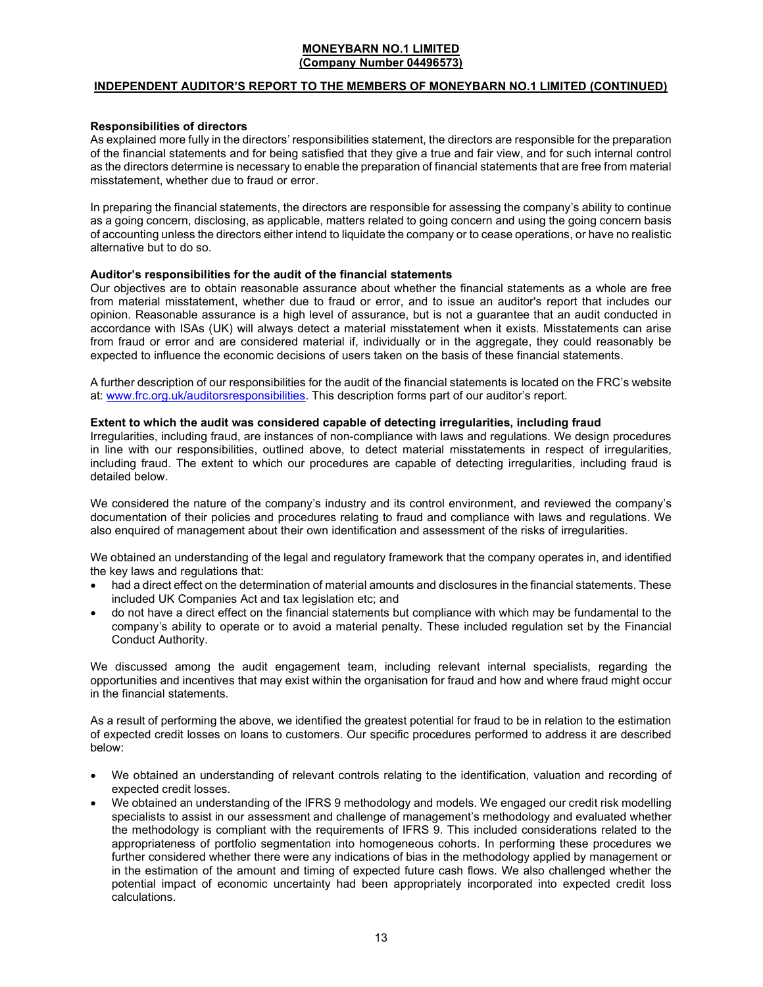# INDEPENDENT AUDITOR'S REPORT TO THE MEMBERS OF MONEYBARN NO.1 LIMITED (CONTINUED)

#### Responsibilities of directors

As explained more fully in the directors' responsibilities statement, the directors are responsible for the preparation of the financial statements and for being satisfied that they give a true and fair view, and for such internal control as the directors determine is necessary to enable the preparation of financial statements that are free from material misstatement, whether due to fraud or error.

In preparing the financial statements, the directors are responsible for assessing the company's ability to continue as a going concern, disclosing, as applicable, matters related to going concern and using the going concern basis of accounting unless the directors either intend to liquidate the company or to cease operations, or have no realistic alternative but to do so.

# Auditor's responsibilities for the audit of the financial statements

Our objectives are to obtain reasonable assurance about whether the financial statements as a whole are free from material misstatement, whether due to fraud or error, and to issue an auditor's report that includes our opinion. Reasonable assurance is a high level of assurance, but is not a guarantee that an audit conducted in accordance with ISAs (UK) will always detect a material misstatement when it exists. Misstatements can arise from fraud or error and are considered material if, individually or in the aggregate, they could reasonably be expected to influence the economic decisions of users taken on the basis of these financial statements.

A further description of our responsibilities for the audit of the financial statements is located on the FRC's website at: www.frc.org.uk/auditorsresponsibilities. This description forms part of our auditor's report.

#### Extent to which the audit was considered capable of detecting irregularities, including fraud

Irregularities, including fraud, are instances of non-compliance with laws and regulations. We design procedures in line with our responsibilities, outlined above, to detect material misstatements in respect of irregularities, including fraud. The extent to which our procedures are capable of detecting irregularities, including fraud is detailed below.

We considered the nature of the company's industry and its control environment, and reviewed the company's documentation of their policies and procedures relating to fraud and compliance with laws and regulations. We also enquired of management about their own identification and assessment of the risks of irregularities.

We obtained an understanding of the legal and regulatory framework that the company operates in, and identified the key laws and regulations that:

- had a direct effect on the determination of material amounts and disclosures in the financial statements. These included UK Companies Act and tax legislation etc; and
- do not have a direct effect on the financial statements but compliance with which may be fundamental to the company's ability to operate or to avoid a material penalty. These included regulation set by the Financial Conduct Authority.

We discussed among the audit engagement team, including relevant internal specialists, regarding the opportunities and incentives that may exist within the organisation for fraud and how and where fraud might occur in the financial statements.

As a result of performing the above, we identified the greatest potential for fraud to be in relation to the estimation of expected credit losses on loans to customers. Our specific procedures performed to address it are described below:

- We obtained an understanding of relevant controls relating to the identification, valuation and recording of expected credit losses.
- We obtained an understanding of the IFRS 9 methodology and models. We engaged our credit risk modelling specialists to assist in our assessment and challenge of management's methodology and evaluated whether the methodology is compliant with the requirements of IFRS 9. This included considerations related to the appropriateness of portfolio segmentation into homogeneous cohorts. In performing these procedures we further considered whether there were any indications of bias in the methodology applied by management or in the estimation of the amount and timing of expected future cash flows. We also challenged whether the potential impact of economic uncertainty had been appropriately incorporated into expected credit loss calculations.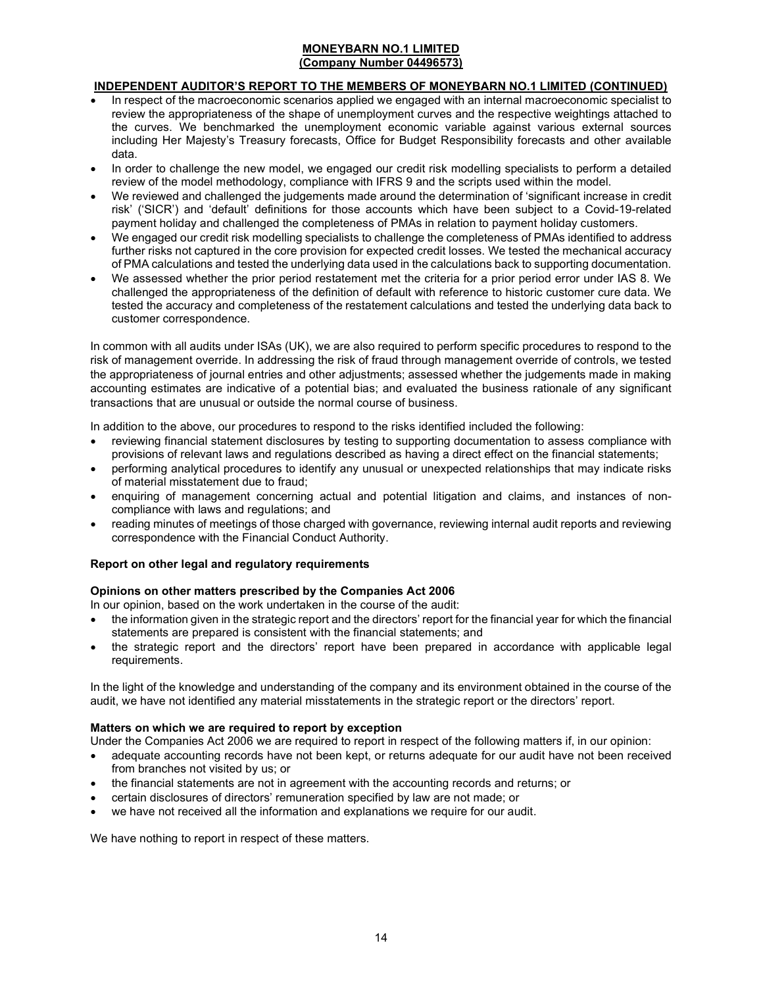# INDEPENDENT AUDITOR'S REPORT TO THE MEMBERS OF MONEYBARN NO.1 LIMITED (CONTINUED)

- In respect of the macroeconomic scenarios applied we engaged with an internal macroeconomic specialist to review the appropriateness of the shape of unemployment curves and the respective weightings attached to the curves. We benchmarked the unemployment economic variable against various external sources including Her Majesty's Treasury forecasts, Office for Budget Responsibility forecasts and other available data.
- In order to challenge the new model, we engaged our credit risk modelling specialists to perform a detailed review of the model methodology, compliance with IFRS 9 and the scripts used within the model.
- We reviewed and challenged the judgements made around the determination of 'significant increase in credit risk' ('SICR') and 'default' definitions for those accounts which have been subject to a Covid-19-related payment holiday and challenged the completeness of PMAs in relation to payment holiday customers.
- We engaged our credit risk modelling specialists to challenge the completeness of PMAs identified to address further risks not captured in the core provision for expected credit losses. We tested the mechanical accuracy of PMA calculations and tested the underlying data used in the calculations back to supporting documentation.
- We assessed whether the prior period restatement met the criteria for a prior period error under IAS 8. We challenged the appropriateness of the definition of default with reference to historic customer cure data. We tested the accuracy and completeness of the restatement calculations and tested the underlying data back to customer correspondence.

In common with all audits under ISAs (UK), we are also required to perform specific procedures to respond to the risk of management override. In addressing the risk of fraud through management override of controls, we tested the appropriateness of journal entries and other adjustments; assessed whether the judgements made in making accounting estimates are indicative of a potential bias; and evaluated the business rationale of any significant transactions that are unusual or outside the normal course of business.

In addition to the above, our procedures to respond to the risks identified included the following:

- reviewing financial statement disclosures by testing to supporting documentation to assess compliance with provisions of relevant laws and regulations described as having a direct effect on the financial statements;
- performing analytical procedures to identify any unusual or unexpected relationships that may indicate risks of material misstatement due to fraud;
- enquiring of management concerning actual and potential litigation and claims, and instances of noncompliance with laws and regulations; and
- reading minutes of meetings of those charged with governance, reviewing internal audit reports and reviewing correspondence with the Financial Conduct Authority.

# Report on other legal and regulatory requirements

# Opinions on other matters prescribed by the Companies Act 2006

In our opinion, based on the work undertaken in the course of the audit:

- the information given in the strategic report and the directors' report for the financial year for which the financial statements are prepared is consistent with the financial statements; and
- the strategic report and the directors' report have been prepared in accordance with applicable legal requirements.

In the light of the knowledge and understanding of the company and its environment obtained in the course of the audit, we have not identified any material misstatements in the strategic report or the directors' report.

# Matters on which we are required to report by exception

Under the Companies Act 2006 we are required to report in respect of the following matters if, in our opinion:

- adequate accounting records have not been kept, or returns adequate for our audit have not been received from branches not visited by us; or
- the financial statements are not in agreement with the accounting records and returns; or
- certain disclosures of directors' remuneration specified by law are not made; or
- we have not received all the information and explanations we require for our audit.

We have nothing to report in respect of these matters.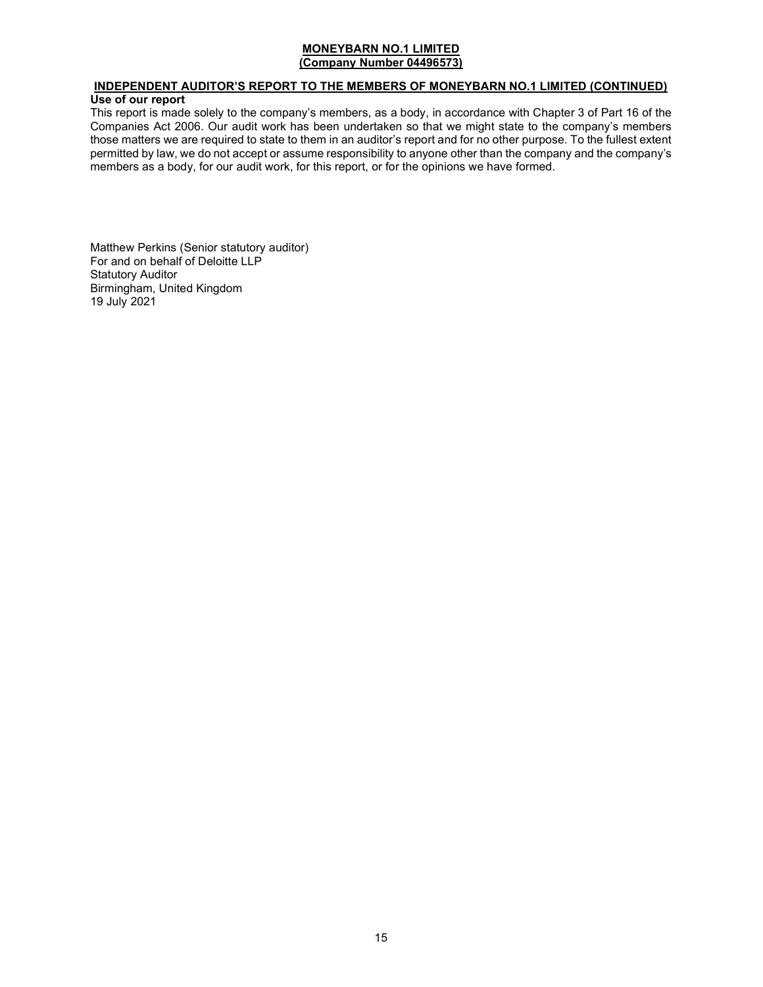# INDEPENDENT AUDITOR'S REPORT TO THE MEMBERS OF MONEYBARN NO.1 LIMITED (CONTINUED) Use of our report

This report is made solely to the company's members, as a body, in accordance with Chapter 3 of Part 16 of the Companies Act 2006. Our audit work has been undertaken so that we might state to the company's members those matters we are required to state to them in an auditor's report and for no other purpose. To the fullest extent permitted by law, we do not accept or assume responsibility to anyone other than the company and the company's members as a body, for our audit work, for this report, or for the opinions we have formed.

Matthew Perkins (Senior statutory auditor) For and on behalf of Deloitte LLP Statutory Auditor Birmingham, United Kingdom 19 July 2021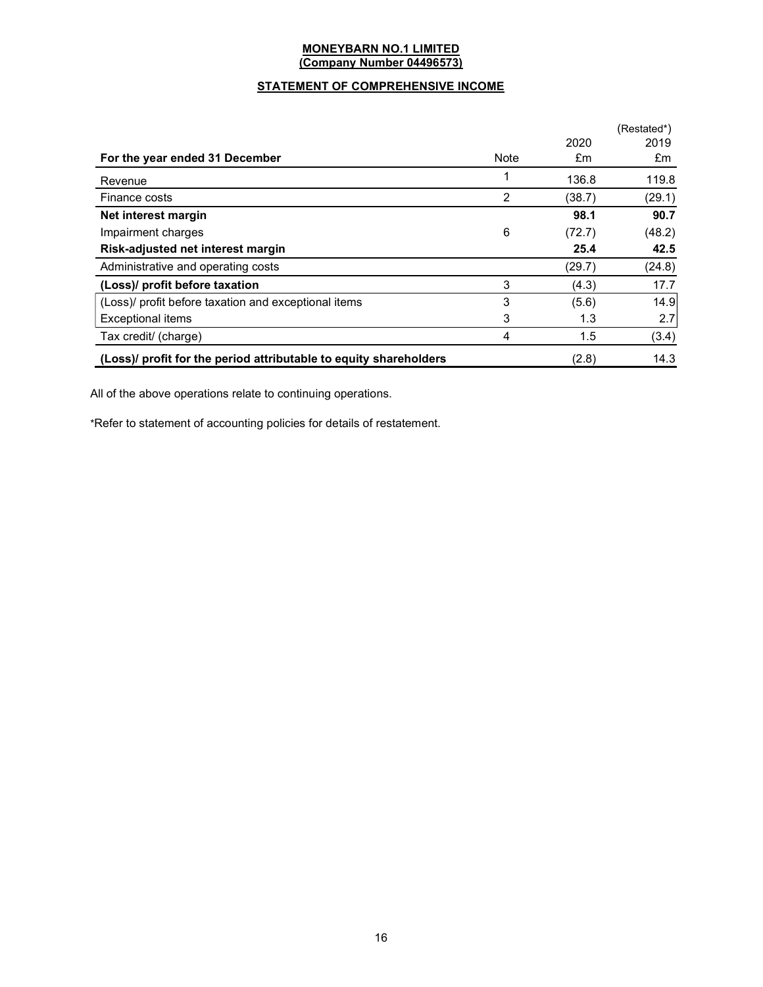# STATEMENT OF COMPREHENSIVE INCOME

|                                                                   |      |        | (Restated*) |
|-------------------------------------------------------------------|------|--------|-------------|
|                                                                   |      | 2020   | 2019        |
| For the year ended 31 December                                    | Note | £m     | £m          |
| Revenue                                                           |      | 136.8  | 119.8       |
| Finance costs                                                     | 2    | (38.7) | (29.1)      |
| Net interest margin                                               |      | 98.1   | 90.7        |
| Impairment charges                                                | 6    | (72.7) | (48.2)      |
| Risk-adjusted net interest margin                                 |      | 25.4   | 42.5        |
| Administrative and operating costs                                |      | (29.7) | (24.8)      |
| (Loss)/ profit before taxation                                    | 3    | (4.3)  | 17.7        |
| (Loss)/ profit before taxation and exceptional items              | 3    | (5.6)  | 14.9        |
| <b>Exceptional items</b>                                          | 3    | 1.3    | 2.7         |
| Tax credit/ (charge)                                              | 4    | 1.5    | (3.4)       |
| (Loss)/ profit for the period attributable to equity shareholders |      | (2.8)  | 14.3        |

All of the above operations relate to continuing operations.

\*Refer to statement of accounting policies for details of restatement.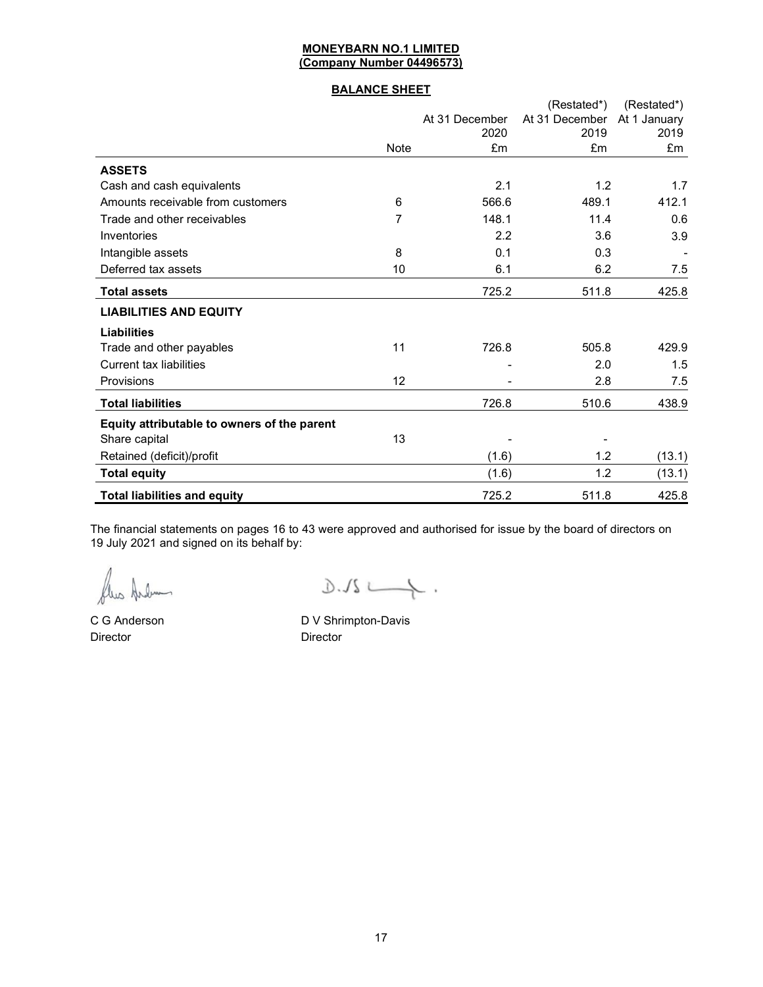# **BALANCE SHEET**

|                                             |      |                | (Restated*)    | (Restated*)              |
|---------------------------------------------|------|----------------|----------------|--------------------------|
|                                             |      | At 31 December | At 31 December | At 1 January             |
|                                             |      | 2020           | 2019           | 2019                     |
|                                             | Note | £m             | £m             | £m                       |
| <b>ASSETS</b>                               |      |                |                |                          |
| Cash and cash equivalents                   |      | 2.1            | 1.2            | 1.7                      |
| Amounts receivable from customers           | 6    | 566.6          | 489.1          | 412.1                    |
| Trade and other receivables                 | 7    | 148.1          | 11.4           | 0.6                      |
| Inventories                                 |      | 2.2            | 3.6            | 3.9                      |
| Intangible assets                           | 8    | 0.1            | 0.3            | $\overline{\phantom{0}}$ |
| Deferred tax assets                         | 10   | 6.1            | 6.2            | 7.5                      |
| <b>Total assets</b>                         |      | 725.2          | 511.8          | 425.8                    |
| <b>LIABILITIES AND EQUITY</b>               |      |                |                |                          |
| <b>Liabilities</b>                          |      |                |                |                          |
| Trade and other payables                    | 11   | 726.8          | 505.8          | 429.9                    |
| <b>Current tax liabilities</b>              |      |                | 2.0            | 1.5                      |
| Provisions                                  | 12   |                | 2.8            | 7.5                      |
| <b>Total liabilities</b>                    |      | 726.8          | 510.6          | 438.9                    |
| Equity attributable to owners of the parent |      |                |                |                          |
| Share capital                               | 13   |                |                |                          |
| Retained (deficit)/profit                   |      | (1.6)          | 1.2            | (13.1)                   |
| <b>Total equity</b>                         |      | (1.6)          | 1.2            | (13.1)                   |
| <b>Total liabilities and equity</b>         |      | 725.2          | 511.8          | 425.8                    |

The financial statements on pages 16 to 43 were approved and authorised for issue by the board of directors on 19 July 2021 and signed on its behalf by:

flus Av

Director Director

 $J.S \longrightarrow$ .

C G Anderson D V Shrimpton-Davis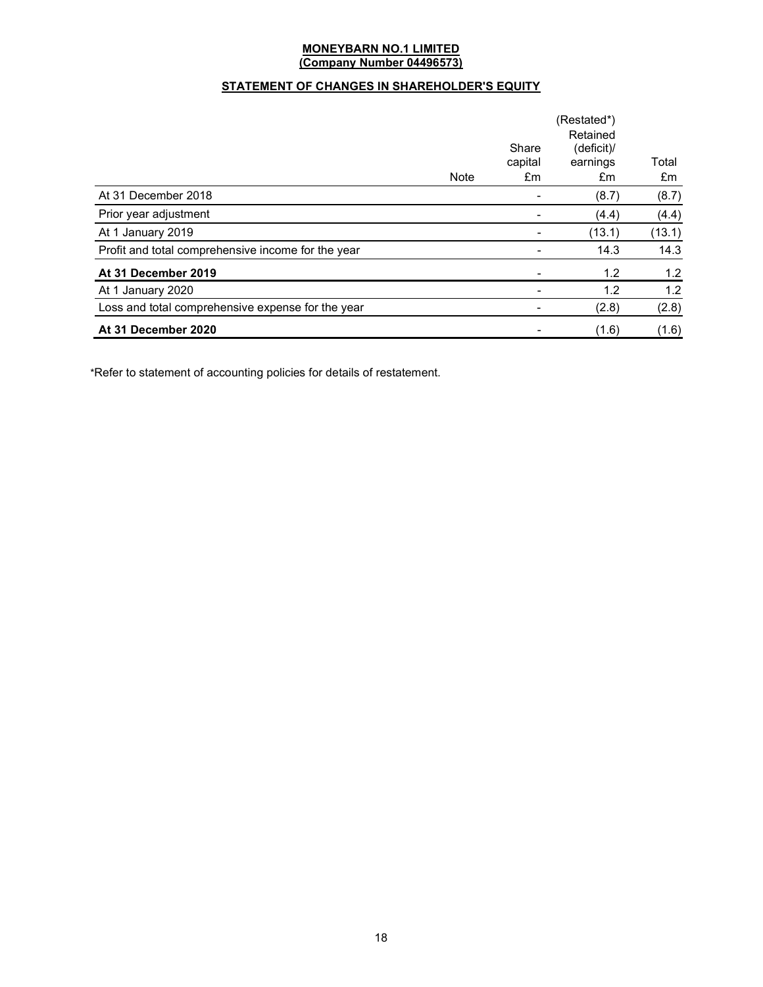# STATEMENT OF CHANGES IN SHAREHOLDER'S EQUITY

|                                                    |             |                  | (Restated*)                        |        |
|----------------------------------------------------|-------------|------------------|------------------------------------|--------|
|                                                    |             | Share<br>capital | Retained<br>(deticit)/<br>earnings | Total  |
|                                                    | <b>Note</b> | £m               | £m                                 | £m     |
| At 31 December 2018                                |             |                  | (8.7)                              | (8.7)  |
| Prior year adjustment                              |             |                  | (4.4)                              | (4.4)  |
| At 1 January 2019                                  |             |                  | (13.1)                             | (13.1) |
| Profit and total comprehensive income for the year |             |                  | 14.3                               | 14.3   |
| At 31 December 2019                                |             |                  | 1.2                                | 1.2    |
| At 1 January 2020                                  |             |                  | 1.2                                | 1.2    |
| Loss and total comprehensive expense for the year  |             |                  | (2.8)                              | (2.8)  |
| At 31 December 2020                                |             |                  | (1.6)                              | (1.6)  |

\*Refer to statement of accounting policies for details of restatement.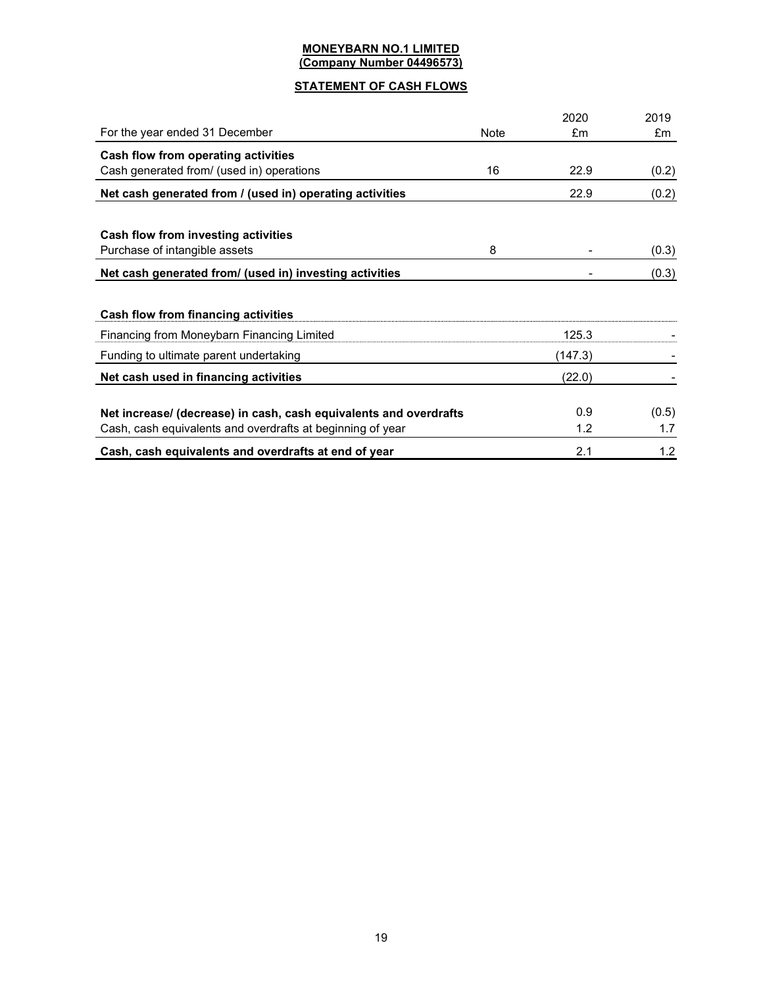# STATEMENT OF CASH FLOWS

|                                                                   |      | 2020    | 2019  |
|-------------------------------------------------------------------|------|---------|-------|
| For the year ended 31 December                                    | Note | £m      | £m    |
| Cash flow from operating activities                               |      |         |       |
| Cash generated from/ (used in) operations                         | 16   | 22.9    | (0.2) |
| Net cash generated from / (used in) operating activities          |      | 22.9    | (0.2) |
|                                                                   |      |         |       |
| Cash flow from investing activities                               |      |         |       |
| Purchase of intangible assets                                     | 8    |         | (0.3) |
| Net cash generated from/ (used in) investing activities           |      |         | (0.3) |
|                                                                   |      |         |       |
| Cash flow from financing activities                               |      |         |       |
| Financing from Moneybarn Financing Limited                        |      | 125.3   |       |
| Funding to ultimate parent undertaking                            |      | (147.3) |       |
| Net cash used in financing activities                             |      | (22.0)  |       |
|                                                                   |      |         |       |
| Net increase/ (decrease) in cash, cash equivalents and overdrafts |      | 0.9     | (0.5) |
| Cash, cash equivalents and overdrafts at beginning of year        |      | 1.2     | 1.7   |
| Cash, cash equivalents and overdrafts at end of year              |      | 2.1     | 1.2   |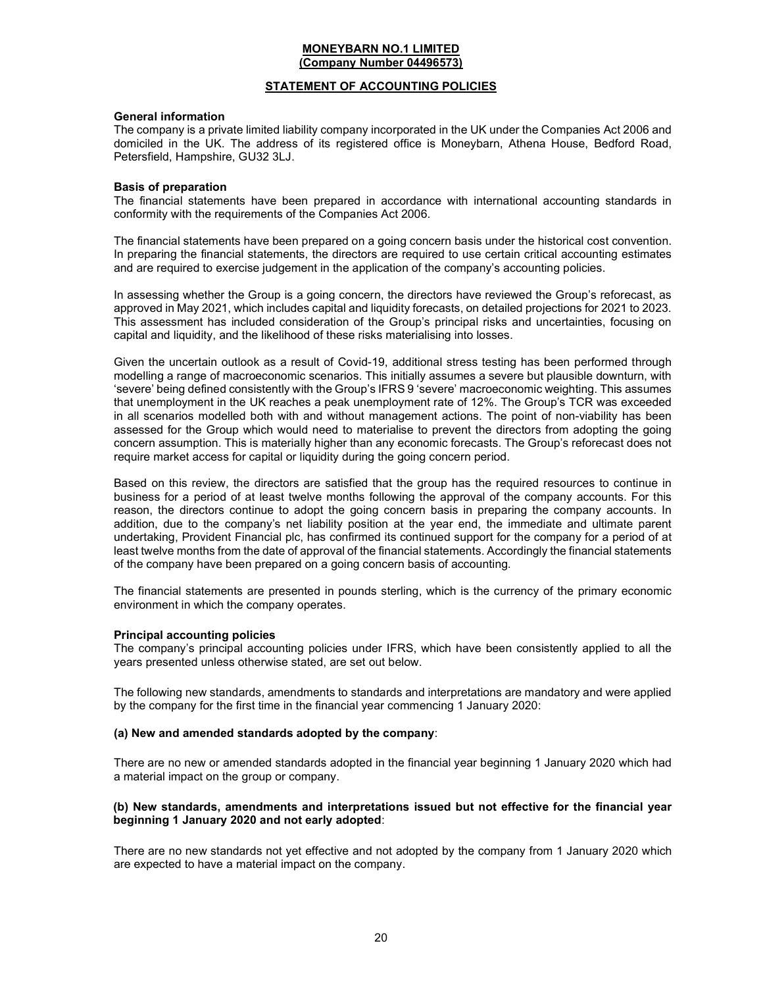# STATEMENT OF ACCOUNTING POLICIES

#### General information

The company is a private limited liability company incorporated in the UK under the Companies Act 2006 and domiciled in the UK. The address of its registered office is Moneybarn, Athena House, Bedford Road, Petersfield, Hampshire, GU32 3LJ.

### Basis of preparation

The financial statements have been prepared in accordance with international accounting standards in conformity with the requirements of the Companies Act 2006.

The financial statements have been prepared on a going concern basis under the historical cost convention. In preparing the financial statements, the directors are required to use certain critical accounting estimates and are required to exercise judgement in the application of the company's accounting policies.

In assessing whether the Group is a going concern, the directors have reviewed the Group's reforecast, as approved in May 2021, which includes capital and liquidity forecasts, on detailed projections for 2021 to 2023. This assessment has included consideration of the Group's principal risks and uncertainties, focusing on capital and liquidity, and the likelihood of these risks materialising into losses.

Given the uncertain outlook as a result of Covid-19, additional stress testing has been performed through modelling a range of macroeconomic scenarios. This initially assumes a severe but plausible downturn, with 'severe' being defined consistently with the Group's IFRS 9 'severe' macroeconomic weighting. This assumes that unemployment in the UK reaches a peak unemployment rate of 12%. The Group's TCR was exceeded in all scenarios modelled both with and without management actions. The point of non-viability has been assessed for the Group which would need to materialise to prevent the directors from adopting the going concern assumption. This is materially higher than any economic forecasts. The Group's reforecast does not require market access for capital or liquidity during the going concern period.

Based on this review, the directors are satisfied that the group has the required resources to continue in business for a period of at least twelve months following the approval of the company accounts. For this reason, the directors continue to adopt the going concern basis in preparing the company accounts. In addition, due to the company's net liability position at the year end, the immediate and ultimate parent undertaking, Provident Financial plc, has confirmed its continued support for the company for a period of at least twelve months from the date of approval of the financial statements. Accordingly the financial statements of the company have been prepared on a going concern basis of accounting.

The financial statements are presented in pounds sterling, which is the currency of the primary economic environment in which the company operates.

# Principal accounting policies

The company's principal accounting policies under IFRS, which have been consistently applied to all the years presented unless otherwise stated, are set out below.

The following new standards, amendments to standards and interpretations are mandatory and were applied by the company for the first time in the financial year commencing 1 January 2020:

#### (a) New and amended standards adopted by the company:

There are no new or amended standards adopted in the financial year beginning 1 January 2020 which had a material impact on the group or company.

# (b) New standards, amendments and interpretations issued but not effective for the financial year beginning 1 January 2020 and not early adopted:

There are no new standards not yet effective and not adopted by the company from 1 January 2020 which are expected to have a material impact on the company.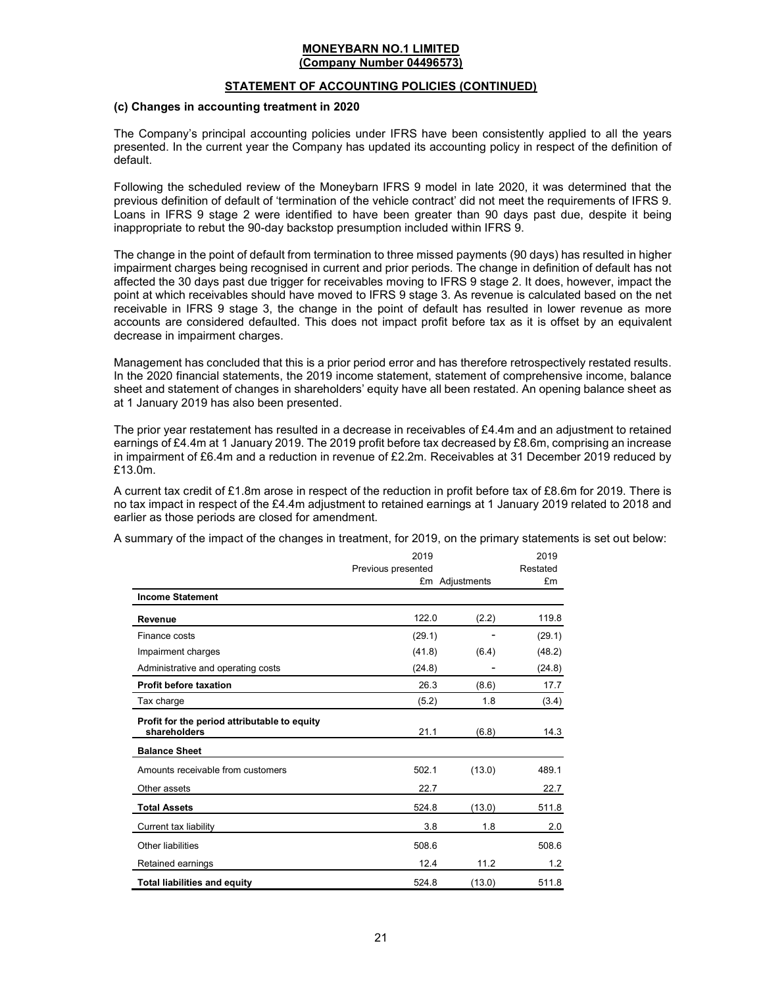# STATEMENT OF ACCOUNTING POLICIES (CONTINUED)

#### (c) Changes in accounting treatment in 2020

The Company's principal accounting policies under IFRS have been consistently applied to all the years presented. In the current year the Company has updated its accounting policy in respect of the definition of default.

Following the scheduled review of the Moneybarn IFRS 9 model in late 2020, it was determined that the previous definition of default of 'termination of the vehicle contract' did not meet the requirements of IFRS 9. Loans in IFRS 9 stage 2 were identified to have been greater than 90 days past due, despite it being inappropriate to rebut the 90-day backstop presumption included within IFRS 9.

The change in the point of default from termination to three missed payments (90 days) has resulted in higher impairment charges being recognised in current and prior periods. The change in definition of default has not affected the 30 days past due trigger for receivables moving to IFRS 9 stage 2. It does, however, impact the point at which receivables should have moved to IFRS 9 stage 3. As revenue is calculated based on the net receivable in IFRS 9 stage 3, the change in the point of default has resulted in lower revenue as more accounts are considered defaulted. This does not impact profit before tax as it is offset by an equivalent decrease in impairment charges.

Management has concluded that this is a prior period error and has therefore retrospectively restated results. In the 2020 financial statements, the 2019 income statement, statement of comprehensive income, balance sheet and statement of changes in shareholders' equity have all been restated. An opening balance sheet as at 1 January 2019 has also been presented.

The prior year restatement has resulted in a decrease in receivables of £4.4m and an adjustment to retained earnings of £4.4m at 1 January 2019. The 2019 profit before tax decreased by £8.6m, comprising an increase in impairment of £6.4m and a reduction in revenue of £2.2m. Receivables at 31 December 2019 reduced by £13.0m.

A current tax credit of £1.8m arose in respect of the reduction in profit before tax of £8.6m for 2019. There is no tax impact in respect of the £4.4m adjustment to retained earnings at 1 January 2019 related to 2018 and earlier as those periods are closed for amendment.

A summary of the impact of the changes in treatment, for 2019, on the primary statements is set out below:

|                                                              | 2019               |                | 2019     |
|--------------------------------------------------------------|--------------------|----------------|----------|
|                                                              | Previous presented |                | Restated |
|                                                              |                    | £m Adjustments | £m       |
| <b>Income Statement</b>                                      |                    |                |          |
| Revenue                                                      | 122.0              | (2.2)          | 119.8    |
| Finance costs                                                | (29.1)             |                | (29.1)   |
| Impairment charges                                           | (41.8)             | (6.4)          | (48.2)   |
| Administrative and operating costs                           | (24.8)             |                | (24.8)   |
| <b>Profit before taxation</b>                                | 26.3               | (8.6)          | 17.7     |
| Tax charge                                                   | (5.2)              | 1.8            | (3.4)    |
| Profit for the period attributable to equity<br>shareholders | 21.1               | (6.8)          | 14.3     |
| <b>Balance Sheet</b>                                         |                    |                |          |
| Amounts receivable from customers                            | 502.1              | (13.0)         | 489.1    |
| Other assets                                                 | 22.7               |                | 22.7     |
| <b>Total Assets</b>                                          | 524.8              | (13.0)         | 511.8    |
| Current tax liability                                        | 3.8                | 1.8            | 2.0      |
| Other liabilities                                            | 508.6              |                | 508.6    |
| Retained earnings                                            | 12.4               | 11.2           | 1.2      |
| <b>Total liabilities and equity</b>                          | 524.8              | (13.0)         | 511.8    |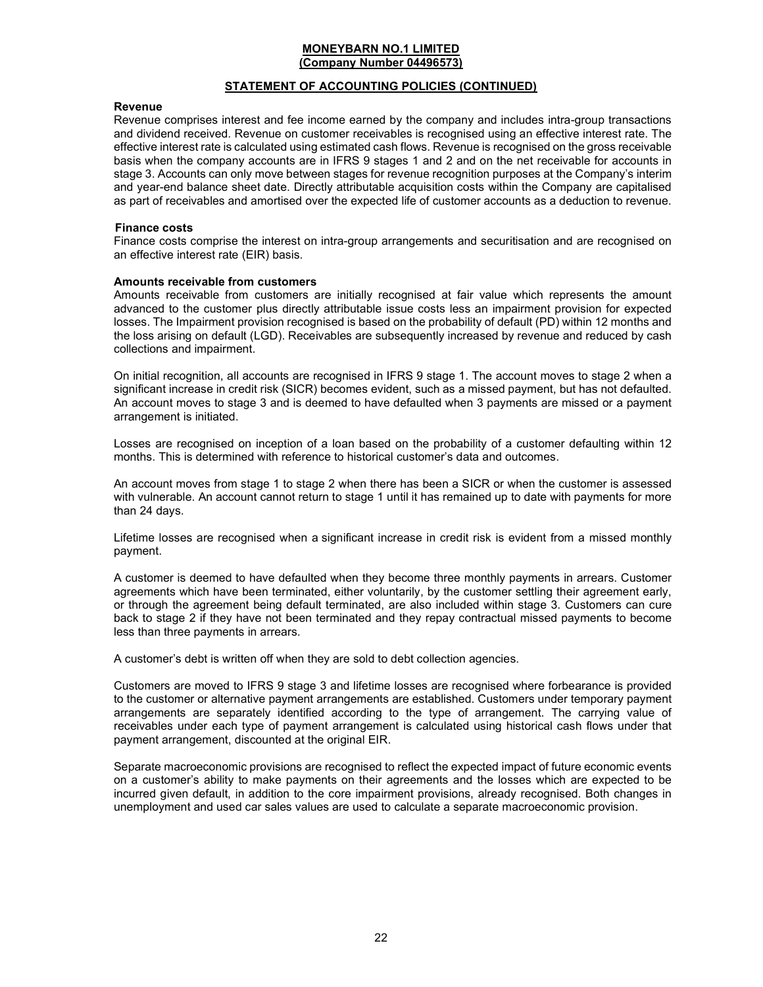# STATEMENT OF ACCOUNTING POLICIES (CONTINUED)

# **Revenue**

Revenue comprises interest and fee income earned by the company and includes intra-group transactions and dividend received. Revenue on customer receivables is recognised using an effective interest rate. The effective interest rate is calculated using estimated cash flows. Revenue is recognised on the gross receivable basis when the company accounts are in IFRS 9 stages 1 and 2 and on the net receivable for accounts in stage 3. Accounts can only move between stages for revenue recognition purposes at the Company's interim and year-end balance sheet date. Directly attributable acquisition costs within the Company are capitalised as part of receivables and amortised over the expected life of customer accounts as a deduction to revenue.

#### Finance costs

Finance costs comprise the interest on intra-group arrangements and securitisation and are recognised on an effective interest rate (EIR) basis.

# Amounts receivable from customers

Amounts receivable from customers are initially recognised at fair value which represents the amount advanced to the customer plus directly attributable issue costs less an impairment provision for expected losses. The Impairment provision recognised is based on the probability of default (PD) within 12 months and the loss arising on default (LGD). Receivables are subsequently increased by revenue and reduced by cash collections and impairment.

On initial recognition, all accounts are recognised in IFRS 9 stage 1. The account moves to stage 2 when a significant increase in credit risk (SICR) becomes evident, such as a missed payment, but has not defaulted. An account moves to stage 3 and is deemed to have defaulted when 3 payments are missed or a payment arrangement is initiated.

Losses are recognised on inception of a loan based on the probability of a customer defaulting within 12 months. This is determined with reference to historical customer's data and outcomes.

An account moves from stage 1 to stage 2 when there has been a SICR or when the customer is assessed with vulnerable. An account cannot return to stage 1 until it has remained up to date with payments for more than 24 days.

Lifetime losses are recognised when a significant increase in credit risk is evident from a missed monthly payment.

A customer is deemed to have defaulted when they become three monthly payments in arrears. Customer agreements which have been terminated, either voluntarily, by the customer settling their agreement early, or through the agreement being default terminated, are also included within stage 3. Customers can cure back to stage 2 if they have not been terminated and they repay contractual missed payments to become less than three payments in arrears.

A customer's debt is written off when they are sold to debt collection agencies.

Customers are moved to IFRS 9 stage 3 and lifetime losses are recognised where forbearance is provided to the customer or alternative payment arrangements are established. Customers under temporary payment arrangements are separately identified according to the type of arrangement. The carrying value of receivables under each type of payment arrangement is calculated using historical cash flows under that payment arrangement, discounted at the original EIR.

Separate macroeconomic provisions are recognised to reflect the expected impact of future economic events on a customer's ability to make payments on their agreements and the losses which are expected to be incurred given default, in addition to the core impairment provisions, already recognised. Both changes in unemployment and used car sales values are used to calculate a separate macroeconomic provision.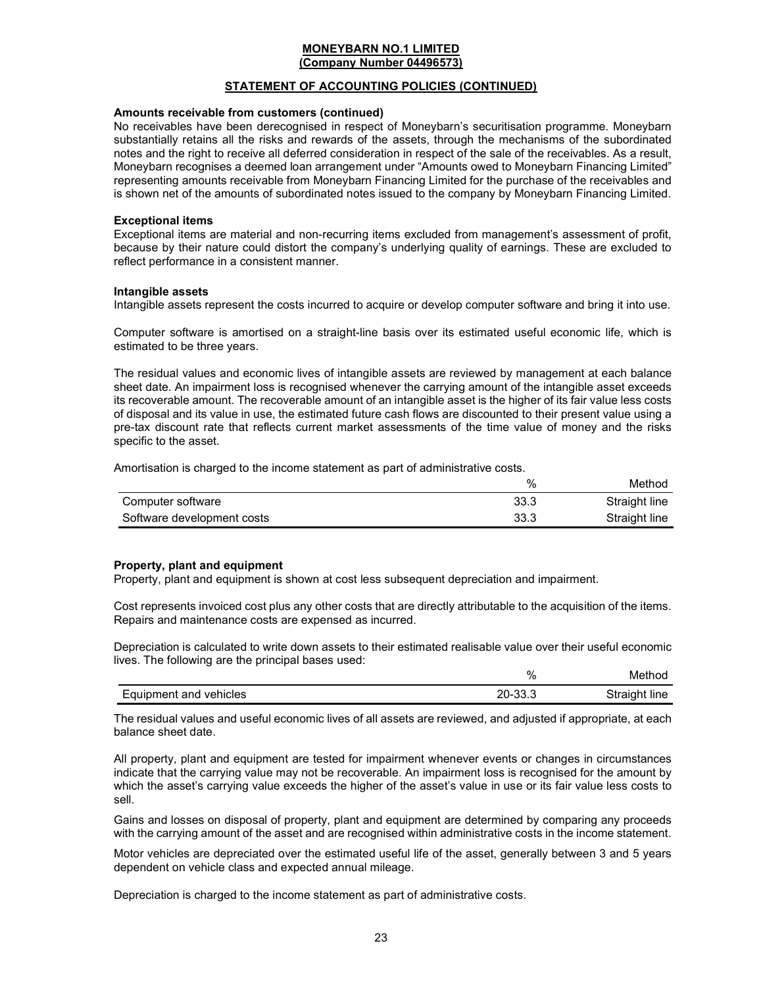# STATEMENT OF ACCOUNTING POLICIES (CONTINUED)

# Amounts receivable from customers (continued)

No receivables have been derecognised in respect of Moneybarn's securitisation programme. Moneybarn substantially retains all the risks and rewards of the assets, through the mechanisms of the subordinated notes and the right to receive all deferred consideration in respect of the sale of the receivables. As a result, Moneybarn recognises a deemed loan arrangement under "Amounts owed to Moneybarn Financing Limited" representing amounts receivable from Moneybarn Financing Limited for the purchase of the receivables and is shown net of the amounts of subordinated notes issued to the company by Moneybarn Financing Limited.

# Exceptional items

Exceptional items are material and non-recurring items excluded from management's assessment of profit, because by their nature could distort the company's underlying quality of earnings. These are excluded to reflect performance in a consistent manner.

# Intangible assets

Intangible assets represent the costs incurred to acquire or develop computer software and bring it into use.

Computer software is amortised on a straight-line basis over its estimated useful economic life, which is estimated to be three years.

The residual values and economic lives of intangible assets are reviewed by management at each balance sheet date. An impairment loss is recognised whenever the carrying amount of the intangible asset exceeds its recoverable amount. The recoverable amount of an intangible asset is the higher of its fair value less costs of disposal and its value in use, the estimated future cash flows are discounted to their present value using a pre-tax discount rate that reflects current market assessments of the time value of money and the risks specific to the asset.

Amortisation is charged to the income statement as part of administrative costs.

|                            | %    | Method        |
|----------------------------|------|---------------|
| Computer software          | 33.3 | Straight line |
| Software development costs | 33.3 | Straight line |

# Property, plant and equipment

Property, plant and equipment is shown at cost less subsequent depreciation and impairment.

Cost represents invoiced cost plus any other costs that are directly attributable to the acquisition of the items. Repairs and maintenance costs are expensed as incurred.

Depreciation is calculated to write down assets to their estimated realisable value over their useful economic lives. The following are the principal bases used:

|                        | %       | Method           |
|------------------------|---------|------------------|
| Equipment and vehicles | 20-33.3 | Straight<br>line |

The residual values and useful economic lives of all assets are reviewed, and adjusted if appropriate, at each balance sheet date.

All property, plant and equipment are tested for impairment whenever events or changes in circumstances indicate that the carrying value may not be recoverable. An impairment loss is recognised for the amount by which the asset's carrying value exceeds the higher of the asset's value in use or its fair value less costs to sell.

Gains and losses on disposal of property, plant and equipment are determined by comparing any proceeds with the carrying amount of the asset and are recognised within administrative costs in the income statement.

Motor vehicles are depreciated over the estimated useful life of the asset, generally between 3 and 5 years dependent on vehicle class and expected annual mileage.

Depreciation is charged to the income statement as part of administrative costs.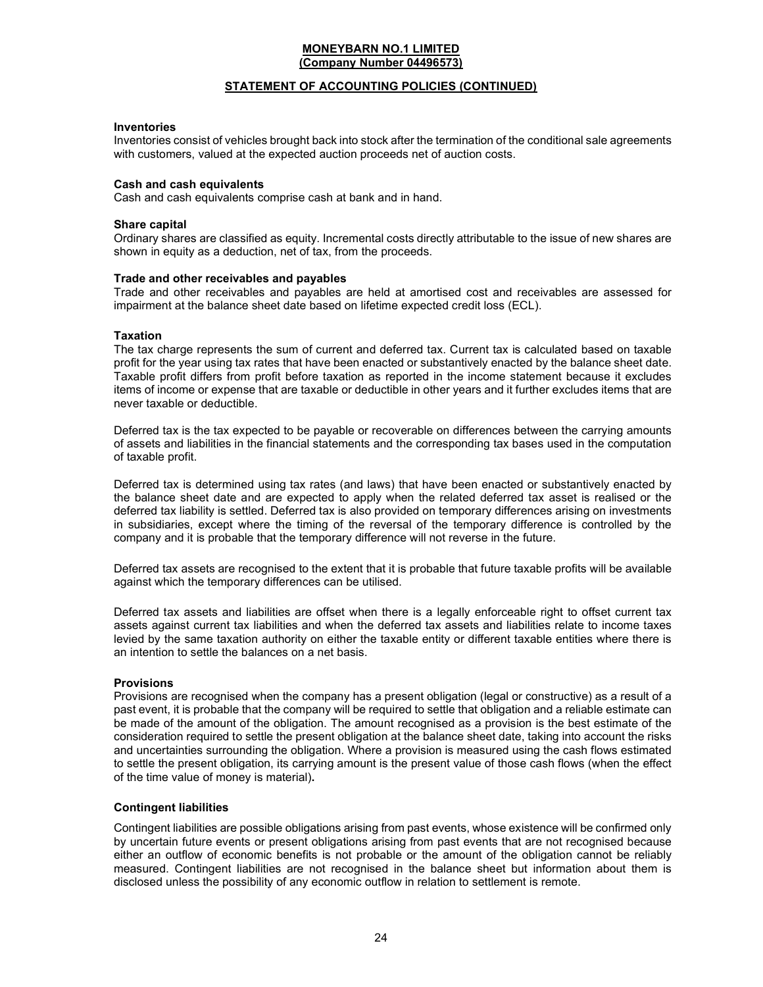# STATEMENT OF ACCOUNTING POLICIES (CONTINUED)

# Inventories

Inventories consist of vehicles brought back into stock after the termination of the conditional sale agreements with customers, valued at the expected auction proceeds net of auction costs.

#### Cash and cash equivalents

Cash and cash equivalents comprise cash at bank and in hand.

### Share capital

Ordinary shares are classified as equity. Incremental costs directly attributable to the issue of new shares are shown in equity as a deduction, net of tax, from the proceeds.

#### Trade and other receivables and payables

Trade and other receivables and payables are held at amortised cost and receivables are assessed for impairment at the balance sheet date based on lifetime expected credit loss (ECL).

#### Taxation

The tax charge represents the sum of current and deferred tax. Current tax is calculated based on taxable profit for the year using tax rates that have been enacted or substantively enacted by the balance sheet date. Taxable profit differs from profit before taxation as reported in the income statement because it excludes items of income or expense that are taxable or deductible in other years and it further excludes items that are never taxable or deductible.

Deferred tax is the tax expected to be payable or recoverable on differences between the carrying amounts of assets and liabilities in the financial statements and the corresponding tax bases used in the computation of taxable profit.

Deferred tax is determined using tax rates (and laws) that have been enacted or substantively enacted by the balance sheet date and are expected to apply when the related deferred tax asset is realised or the deferred tax liability is settled. Deferred tax is also provided on temporary differences arising on investments in subsidiaries, except where the timing of the reversal of the temporary difference is controlled by the company and it is probable that the temporary difference will not reverse in the future.

Deferred tax assets are recognised to the extent that it is probable that future taxable profits will be available against which the temporary differences can be utilised.

Deferred tax assets and liabilities are offset when there is a legally enforceable right to offset current tax assets against current tax liabilities and when the deferred tax assets and liabilities relate to income taxes levied by the same taxation authority on either the taxable entity or different taxable entities where there is an intention to settle the balances on a net basis.

#### Provisions

Provisions are recognised when the company has a present obligation (legal or constructive) as a result of a past event, it is probable that the company will be required to settle that obligation and a reliable estimate can be made of the amount of the obligation. The amount recognised as a provision is the best estimate of the consideration required to settle the present obligation at the balance sheet date, taking into account the risks and uncertainties surrounding the obligation. Where a provision is measured using the cash flows estimated to settle the present obligation, its carrying amount is the present value of those cash flows (when the effect of the time value of money is material).

# Contingent liabilities

Contingent liabilities are possible obligations arising from past events, whose existence will be confirmed only by uncertain future events or present obligations arising from past events that are not recognised because either an outflow of economic benefits is not probable or the amount of the obligation cannot be reliably measured. Contingent liabilities are not recognised in the balance sheet but information about them is disclosed unless the possibility of any economic outflow in relation to settlement is remote.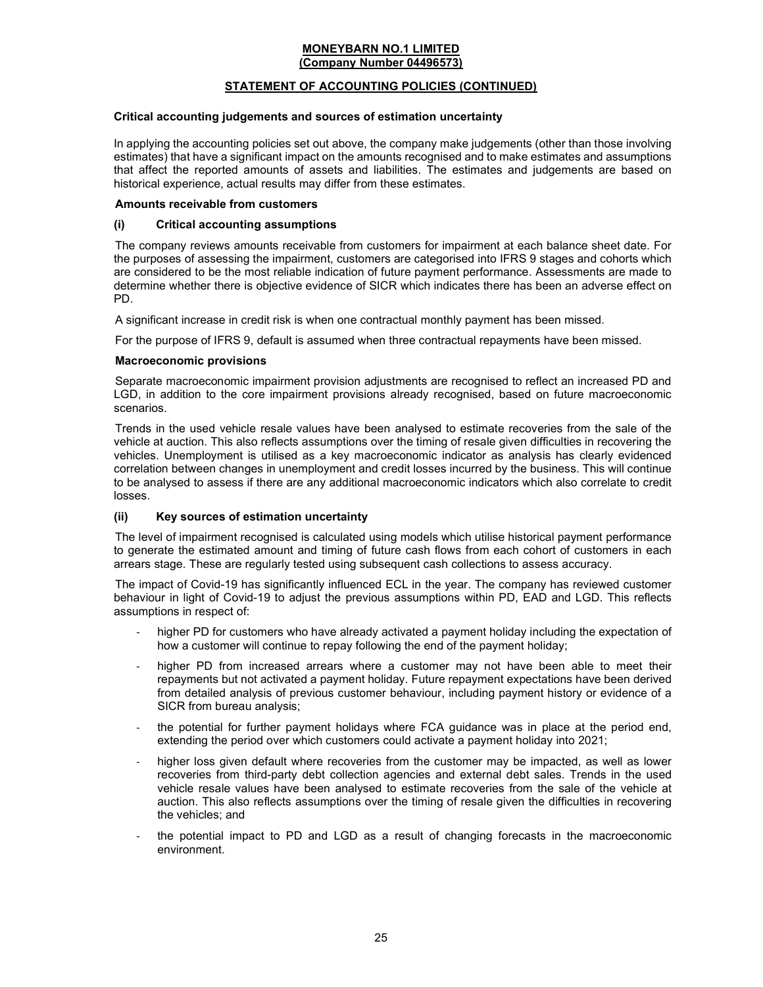# STATEMENT OF ACCOUNTING POLICIES (CONTINUED)

# Critical accounting judgements and sources of estimation uncertainty

In applying the accounting policies set out above, the company make judgements (other than those involving estimates) that have a significant impact on the amounts recognised and to make estimates and assumptions that affect the reported amounts of assets and liabilities. The estimates and judgements are based on historical experience, actual results may differ from these estimates.

#### Amounts receivable from customers

### (i) Critical accounting assumptions

The company reviews amounts receivable from customers for impairment at each balance sheet date. For the purposes of assessing the impairment, customers are categorised into IFRS 9 stages and cohorts which are considered to be the most reliable indication of future payment performance. Assessments are made to determine whether there is objective evidence of SICR which indicates there has been an adverse effect on PD.

A significant increase in credit risk is when one contractual monthly payment has been missed.

For the purpose of IFRS 9, default is assumed when three contractual repayments have been missed.

#### Macroeconomic provisions

Separate macroeconomic impairment provision adjustments are recognised to reflect an increased PD and LGD, in addition to the core impairment provisions already recognised, based on future macroeconomic scenarios.

Trends in the used vehicle resale values have been analysed to estimate recoveries from the sale of the vehicle at auction. This also reflects assumptions over the timing of resale given difficulties in recovering the vehicles. Unemployment is utilised as a key macroeconomic indicator as analysis has clearly evidenced correlation between changes in unemployment and credit losses incurred by the business. This will continue to be analysed to assess if there are any additional macroeconomic indicators which also correlate to credit losses.

# (ii) Key sources of estimation uncertainty

The level of impairment recognised is calculated using models which utilise historical payment performance to generate the estimated amount and timing of future cash flows from each cohort of customers in each arrears stage. These are regularly tested using subsequent cash collections to assess accuracy.

The impact of Covid-19 has significantly influenced ECL in the year. The company has reviewed customer behaviour in light of Covid-19 to adjust the previous assumptions within PD, EAD and LGD. This reflects assumptions in respect of:

- higher PD for customers who have already activated a payment holiday including the expectation of how a customer will continue to repay following the end of the payment holiday;
- higher PD from increased arrears where a customer may not have been able to meet their repayments but not activated a payment holiday. Future repayment expectations have been derived from detailed analysis of previous customer behaviour, including payment history or evidence of a SICR from bureau analysis;
- the potential for further payment holidays where FCA quidance was in place at the period end, extending the period over which customers could activate a payment holiday into 2021;
- higher loss given default where recoveries from the customer may be impacted, as well as lower recoveries from third-party debt collection agencies and external debt sales. Trends in the used vehicle resale values have been analysed to estimate recoveries from the sale of the vehicle at auction. This also reflects assumptions over the timing of resale given the difficulties in recovering the vehicles; and
- the potential impact to PD and LGD as a result of changing forecasts in the macroeconomic environment.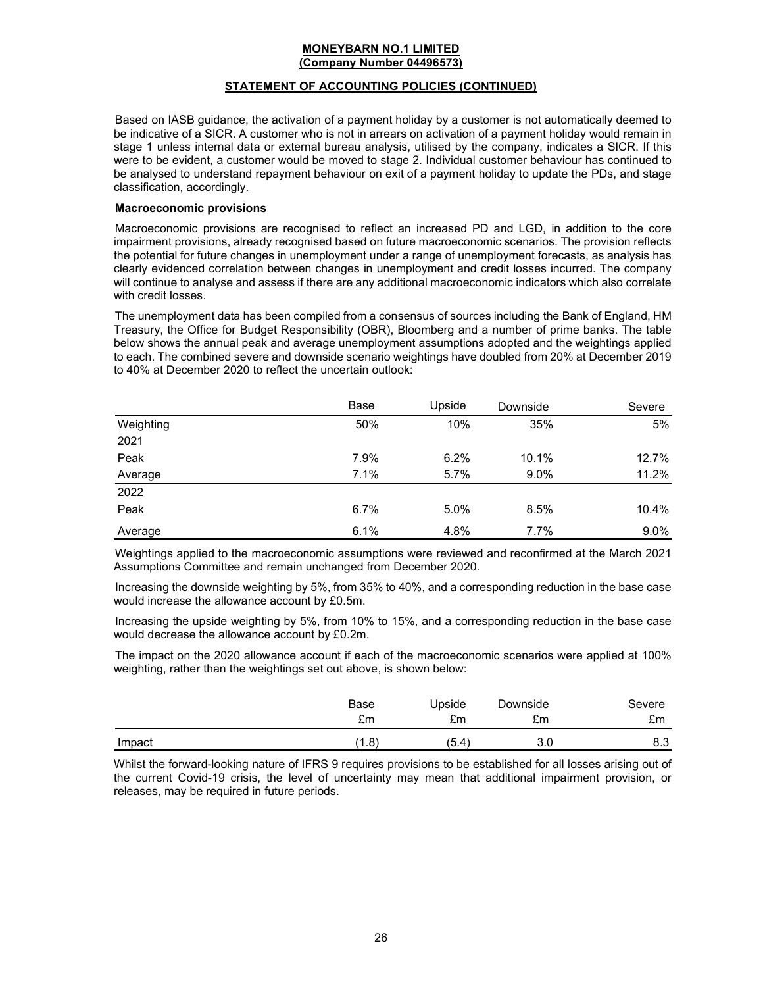# STATEMENT OF ACCOUNTING POLICIES (CONTINUED)

Based on IASB guidance, the activation of a payment holiday by a customer is not automatically deemed to be indicative of a SICR. A customer who is not in arrears on activation of a payment holiday would remain in stage 1 unless internal data or external bureau analysis, utilised by the company, indicates a SICR. If this were to be evident, a customer would be moved to stage 2. Individual customer behaviour has continued to be analysed to understand repayment behaviour on exit of a payment holiday to update the PDs, and stage classification, accordingly.

# Macroeconomic provisions

Macroeconomic provisions are recognised to reflect an increased PD and LGD, in addition to the core impairment provisions, already recognised based on future macroeconomic scenarios. The provision reflects the potential for future changes in unemployment under a range of unemployment forecasts, as analysis has clearly evidenced correlation between changes in unemployment and credit losses incurred. The company will continue to analyse and assess if there are any additional macroeconomic indicators which also correlate with credit losses.

The unemployment data has been compiled from a consensus of sources including the Bank of England, HM Treasury, the Office for Budget Responsibility (OBR), Bloomberg and a number of prime banks. The table below shows the annual peak and average unemployment assumptions adopted and the weightings applied to each. The combined severe and downside scenario weightings have doubled from 20% at December 2019 to 40% at December 2020 to reflect the uncertain outlook:

|           | Base | Upside | Downside | Severe |
|-----------|------|--------|----------|--------|
| Weighting | 50%  | 10%    | 35%      | 5%     |
| 2021      |      |        |          |        |
| Peak      | 7.9% | 6.2%   | 10.1%    | 12.7%  |
| Average   | 7.1% | 5.7%   | 9.0%     | 11.2%  |
| 2022      |      |        |          |        |
| Peak      | 6.7% | 5.0%   | 8.5%     | 10.4%  |
| Average   | 6.1% | 4.8%   | 7.7%     | 9.0%   |

Weightings applied to the macroeconomic assumptions were reviewed and reconfirmed at the March 2021 Assumptions Committee and remain unchanged from December 2020.

Increasing the downside weighting by 5%, from 35% to 40%, and a corresponding reduction in the base case would increase the allowance account by £0.5m.

Increasing the upside weighting by 5%, from 10% to 15%, and a corresponding reduction in the base case would decrease the allowance account by £0.2m.

The impact on the 2020 allowance account if each of the macroeconomic scenarios were applied at 100% weighting, rather than the weightings set out above, is shown below:

|        | Base        | Jpside | Downside | Severe     |
|--------|-------------|--------|----------|------------|
|        | £m          | £m     | £m       | £m         |
| Impact | $1.8^\circ$ | (5.4)  | v.u      | o o<br>ტ.პ |

Whilst the forward-looking nature of IFRS 9 requires provisions to be established for all losses arising out of the current Covid-19 crisis, the level of uncertainty may mean that additional impairment provision, or releases, may be required in future periods.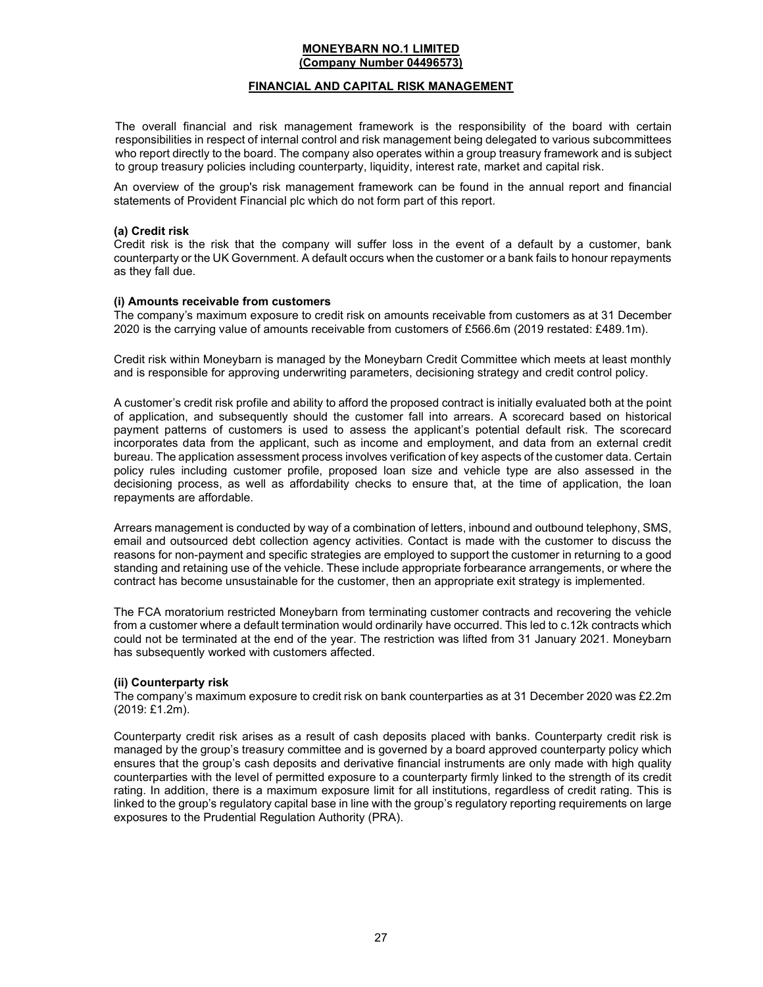# FINANCIAL AND CAPITAL RISK MANAGEMENT

The overall financial and risk management framework is the responsibility of the board with certain responsibilities in respect of internal control and risk management being delegated to various subcommittees who report directly to the board. The company also operates within a group treasury framework and is subject to group treasury policies including counterparty, liquidity, interest rate, market and capital risk.

An overview of the group's risk management framework can be found in the annual report and financial statements of Provident Financial plc which do not form part of this report.

# (a) Credit risk

Credit risk is the risk that the company will suffer loss in the event of a default by a customer, bank counterparty or the UK Government. A default occurs when the customer or a bank fails to honour repayments as they fall due.

# (i) Amounts receivable from customers

The company's maximum exposure to credit risk on amounts receivable from customers as at 31 December 2020 is the carrying value of amounts receivable from customers of £566.6m (2019 restated: £489.1m).

Credit risk within Moneybarn is managed by the Moneybarn Credit Committee which meets at least monthly and is responsible for approving underwriting parameters, decisioning strategy and credit control policy.

A customer's credit risk profile and ability to afford the proposed contract is initially evaluated both at the point of application, and subsequently should the customer fall into arrears. A scorecard based on historical payment patterns of customers is used to assess the applicant's potential default risk. The scorecard incorporates data from the applicant, such as income and employment, and data from an external credit bureau. The application assessment process involves verification of key aspects of the customer data. Certain policy rules including customer profile, proposed loan size and vehicle type are also assessed in the decisioning process, as well as affordability checks to ensure that, at the time of application, the loan repayments are affordable.

Arrears management is conducted by way of a combination of letters, inbound and outbound telephony, SMS, email and outsourced debt collection agency activities. Contact is made with the customer to discuss the reasons for non-payment and specific strategies are employed to support the customer in returning to a good standing and retaining use of the vehicle. These include appropriate forbearance arrangements, or where the contract has become unsustainable for the customer, then an appropriate exit strategy is implemented.

The FCA moratorium restricted Moneybarn from terminating customer contracts and recovering the vehicle from a customer where a default termination would ordinarily have occurred. This led to c.12k contracts which could not be terminated at the end of the year. The restriction was lifted from 31 January 2021. Moneybarn has subsequently worked with customers affected.

# (ii) Counterparty risk

The company's maximum exposure to credit risk on bank counterparties as at 31 December 2020 was £2.2m (2019: £1.2m).

Counterparty credit risk arises as a result of cash deposits placed with banks. Counterparty credit risk is managed by the group's treasury committee and is governed by a board approved counterparty policy which ensures that the group's cash deposits and derivative financial instruments are only made with high quality counterparties with the level of permitted exposure to a counterparty firmly linked to the strength of its credit rating. In addition, there is a maximum exposure limit for all institutions, regardless of credit rating. This is linked to the group's regulatory capital base in line with the group's regulatory reporting requirements on large exposures to the Prudential Regulation Authority (PRA).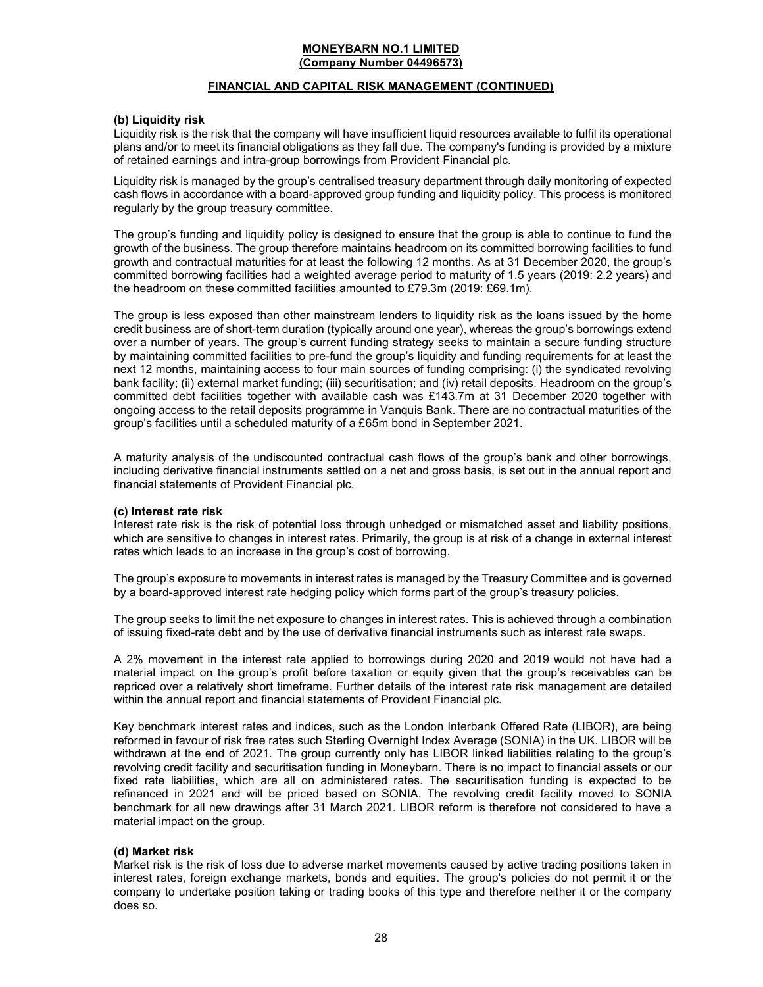# FINANCIAL AND CAPITAL RISK MANAGEMENT (CONTINUED)

#### (b) Liquidity risk

Liquidity risk is the risk that the company will have insufficient liquid resources available to fulfil its operational plans and/or to meet its financial obligations as they fall due. The company's funding is provided by a mixture of retained earnings and intra-group borrowings from Provident Financial plc.

Liquidity risk is managed by the group's centralised treasury department through daily monitoring of expected cash flows in accordance with a board-approved group funding and liquidity policy. This process is monitored regularly by the group treasury committee.

The group's funding and liquidity policy is designed to ensure that the group is able to continue to fund the growth of the business. The group therefore maintains headroom on its committed borrowing facilities to fund growth and contractual maturities for at least the following 12 months. As at 31 December 2020, the group's committed borrowing facilities had a weighted average period to maturity of 1.5 years (2019: 2.2 years) and the headroom on these committed facilities amounted to £79.3m (2019: £69.1m).

The group is less exposed than other mainstream lenders to liquidity risk as the loans issued by the home credit business are of short-term duration (typically around one year), whereas the group's borrowings extend over a number of years. The group's current funding strategy seeks to maintain a secure funding structure by maintaining committed facilities to pre-fund the group's liquidity and funding requirements for at least the next 12 months, maintaining access to four main sources of funding comprising: (i) the syndicated revolving bank facility; (ii) external market funding; (iii) securitisation; and (iv) retail deposits. Headroom on the group's committed debt facilities together with available cash was £143.7m at 31 December 2020 together with ongoing access to the retail deposits programme in Vanquis Bank. There are no contractual maturities of the group's facilities until a scheduled maturity of a £65m bond in September 2021.

A maturity analysis of the undiscounted contractual cash flows of the group's bank and other borrowings, including derivative financial instruments settled on a net and gross basis, is set out in the annual report and financial statements of Provident Financial plc.

#### (c) Interest rate risk

Interest rate risk is the risk of potential loss through unhedged or mismatched asset and liability positions, which are sensitive to changes in interest rates. Primarily, the group is at risk of a change in external interest rates which leads to an increase in the group's cost of borrowing.

The group's exposure to movements in interest rates is managed by the Treasury Committee and is governed by a board-approved interest rate hedging policy which forms part of the group's treasury policies.

The group seeks to limit the net exposure to changes in interest rates. This is achieved through a combination of issuing fixed-rate debt and by the use of derivative financial instruments such as interest rate swaps.

A 2% movement in the interest rate applied to borrowings during 2020 and 2019 would not have had a material impact on the group's profit before taxation or equity given that the group's receivables can be repriced over a relatively short timeframe. Further details of the interest rate risk management are detailed within the annual report and financial statements of Provident Financial plc.

Key benchmark interest rates and indices, such as the London Interbank Offered Rate (LIBOR), are being reformed in favour of risk free rates such Sterling Overnight Index Average (SONIA) in the UK. LIBOR will be withdrawn at the end of 2021. The group currently only has LIBOR linked liabilities relating to the group's revolving credit facility and securitisation funding in Moneybarn. There is no impact to financial assets or our fixed rate liabilities, which are all on administered rates. The securitisation funding is expected to be refinanced in 2021 and will be priced based on SONIA. The revolving credit facility moved to SONIA benchmark for all new drawings after 31 March 2021. LIBOR reform is therefore not considered to have a material impact on the group.

# (d) Market risk

Market risk is the risk of loss due to adverse market movements caused by active trading positions taken in interest rates, foreign exchange markets, bonds and equities. The group's policies do not permit it or the company to undertake position taking or trading books of this type and therefore neither it or the company does so.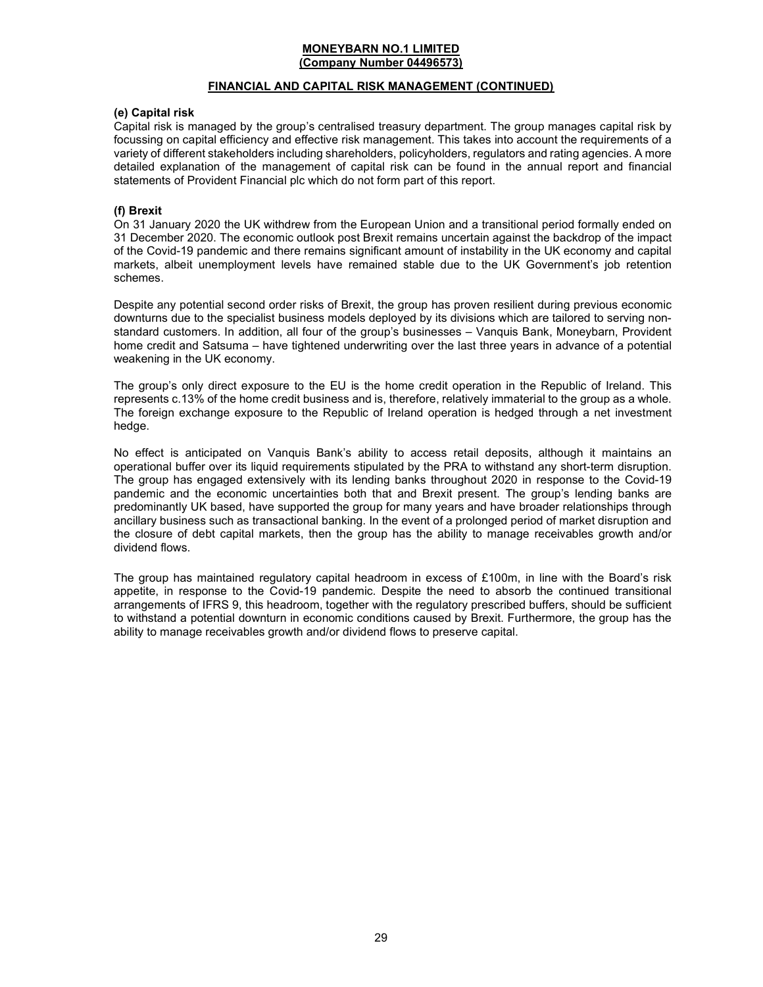# FINANCIAL AND CAPITAL RISK MANAGEMENT (CONTINUED)

# (e) Capital risk

Capital risk is managed by the group's centralised treasury department. The group manages capital risk by focussing on capital efficiency and effective risk management. This takes into account the requirements of a variety of different stakeholders including shareholders, policyholders, regulators and rating agencies. A more detailed explanation of the management of capital risk can be found in the annual report and financial statements of Provident Financial plc which do not form part of this report.

#### (f) Brexit

On 31 January 2020 the UK withdrew from the European Union and a transitional period formally ended on 31 December 2020. The economic outlook post Brexit remains uncertain against the backdrop of the impact of the Covid-19 pandemic and there remains significant amount of instability in the UK economy and capital markets, albeit unemployment levels have remained stable due to the UK Government's job retention schemes.

Despite any potential second order risks of Brexit, the group has proven resilient during previous economic downturns due to the specialist business models deployed by its divisions which are tailored to serving nonstandard customers. In addition, all four of the group's businesses – Vanquis Bank, Moneybarn, Provident home credit and Satsuma – have tightened underwriting over the last three years in advance of a potential weakening in the UK economy.

The group's only direct exposure to the EU is the home credit operation in the Republic of Ireland. This represents c.13% of the home credit business and is, therefore, relatively immaterial to the group as a whole. The foreign exchange exposure to the Republic of Ireland operation is hedged through a net investment hedge.

No effect is anticipated on Vanquis Bank's ability to access retail deposits, although it maintains an operational buffer over its liquid requirements stipulated by the PRA to withstand any short-term disruption. The group has engaged extensively with its lending banks throughout 2020 in response to the Covid-19 pandemic and the economic uncertainties both that and Brexit present. The group's lending banks are predominantly UK based, have supported the group for many years and have broader relationships through ancillary business such as transactional banking. In the event of a prolonged period of market disruption and the closure of debt capital markets, then the group has the ability to manage receivables growth and/or dividend flows.

The group has maintained regulatory capital headroom in excess of £100m, in line with the Board's risk appetite, in response to the Covid-19 pandemic. Despite the need to absorb the continued transitional arrangements of IFRS 9, this headroom, together with the regulatory prescribed buffers, should be sufficient to withstand a potential downturn in economic conditions caused by Brexit. Furthermore, the group has the ability to manage receivables growth and/or dividend flows to preserve capital.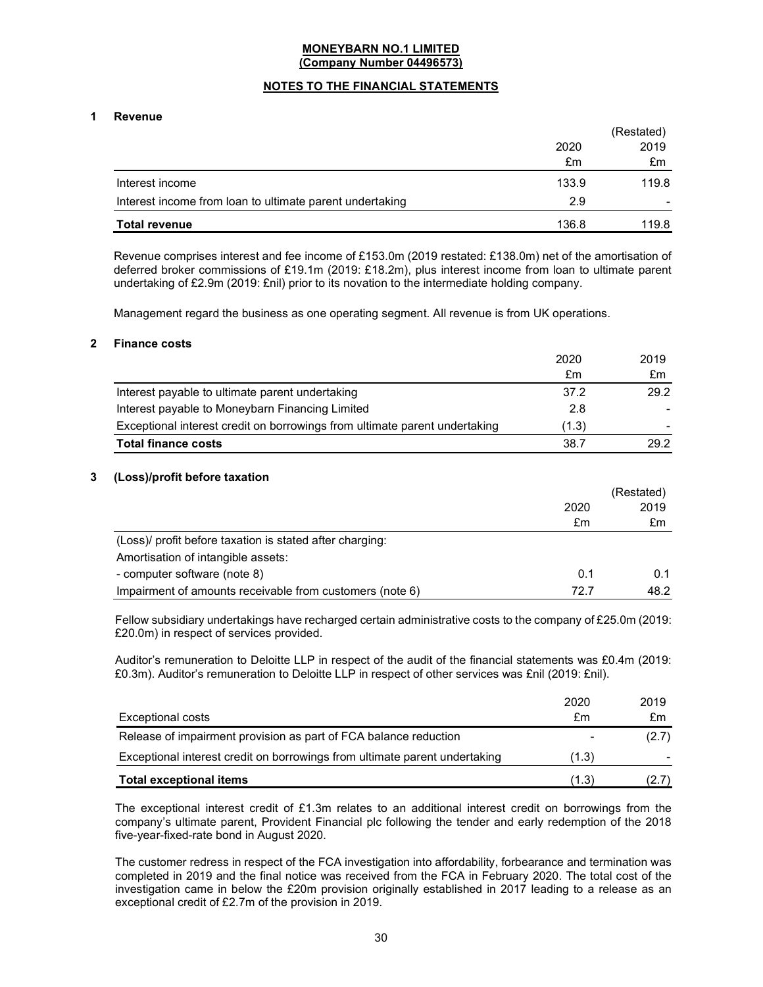# NOTES TO THE FINANCIAL STATEMENTS

# 1 Revenue

|                                                          |       | (Restated) |
|----------------------------------------------------------|-------|------------|
|                                                          | 2020  | 2019       |
|                                                          | £m    | £m         |
| Interest income                                          | 133.9 | 119.8      |
| Interest income from loan to ultimate parent undertaking | 2.9   |            |
| <b>Total revenue</b>                                     | 136.8 | 119.8      |

Revenue comprises interest and fee income of £153.0m (2019 restated: £138.0m) net of the amortisation of deferred broker commissions of £19.1m (2019: £18.2m), plus interest income from loan to ultimate parent undertaking of £2.9m (2019: £nil) prior to its novation to the intermediate holding company.

Management regard the business as one operating segment. All revenue is from UK operations.

# 2 Finance costs

|                                                                            | 2020  | 2019 |
|----------------------------------------------------------------------------|-------|------|
|                                                                            | £m    | £m   |
| Interest payable to ultimate parent undertaking                            | 37.2  | 29.2 |
| Interest payable to Moneybarn Financing Limited                            | 2.8   |      |
| Exceptional interest credit on borrowings from ultimate parent undertaking | (1.3) |      |
| <b>Total finance costs</b>                                                 | 38.7  | 29.2 |

# 3 (Loss)/profit before taxation

|                                                          |      | (Restated) |
|----------------------------------------------------------|------|------------|
|                                                          | 2020 | 2019       |
|                                                          | £m   | £m         |
| (Loss)/ profit before taxation is stated after charging: |      |            |
| Amortisation of intangible assets:                       |      |            |
| - computer software (note 8)                             | 0.1  | 0.1        |
| Impairment of amounts receivable from customers (note 6) | 72 7 | 48.2       |

Fellow subsidiary undertakings have recharged certain administrative costs to the company of £25.0m (2019: £20.0m) in respect of services provided.

Auditor's remuneration to Deloitte LLP in respect of the audit of the financial statements was £0.4m (2019: £0.3m). Auditor's remuneration to Deloitte LLP in respect of other services was £nil (2019: £nil).

| Exceptional costs                                                          | 2020<br>£m | 2019<br>£m |
|----------------------------------------------------------------------------|------------|------------|
| Release of impairment provision as part of FCA balance reduction           |            | (2.7)      |
| Exceptional interest credit on borrowings from ultimate parent undertaking | (1.3)      |            |
| <b>Total exceptional items</b>                                             | (1.3)      | (2.7       |

The exceptional interest credit of £1.3m relates to an additional interest credit on borrowings from the company's ultimate parent, Provident Financial plc following the tender and early redemption of the 2018 five-year-fixed-rate bond in August 2020.

The customer redress in respect of the FCA investigation into affordability, forbearance and termination was completed in 2019 and the final notice was received from the FCA in February 2020. The total cost of the investigation came in below the £20m provision originally established in 2017 leading to a release as an exceptional credit of £2.7m of the provision in 2019.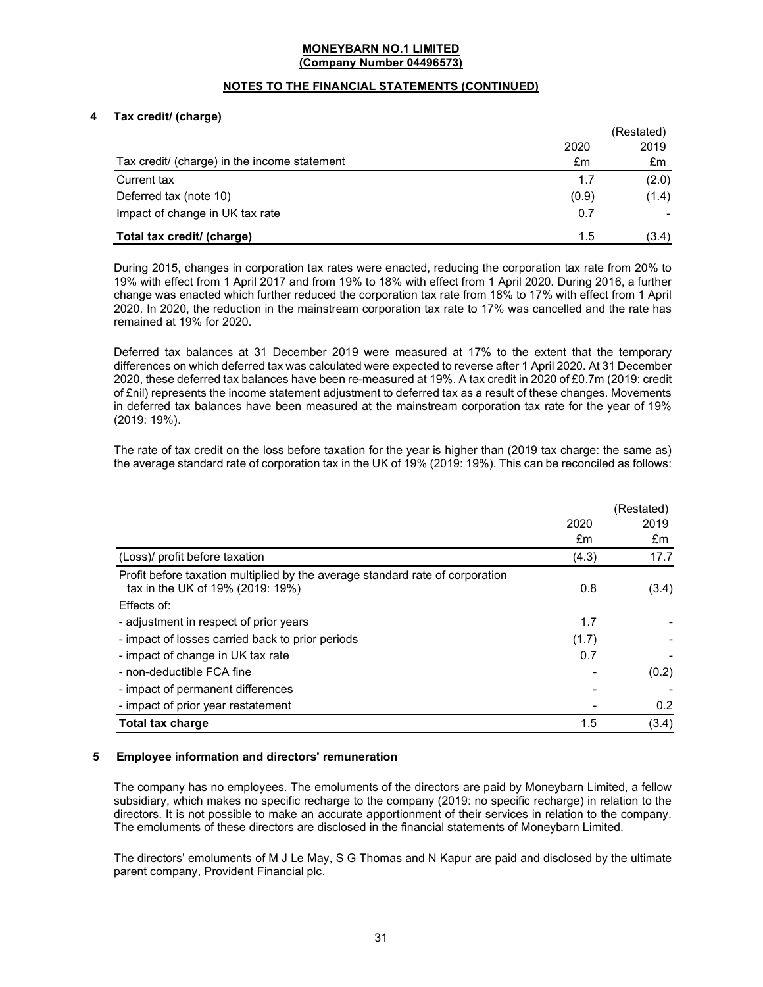# NOTES TO THE FINANCIAL STATEMENTS (CONTINUED)

# 4 Tax credit/ (charge)

|                                              |       | (Restated) |  |
|----------------------------------------------|-------|------------|--|
|                                              | 2020  | 2019       |  |
| Tax credit/ (charge) in the income statement | £m    | £m         |  |
| Current tax                                  | 1.7   | (2.0)      |  |
| Deferred tax (note 10)                       | (0.9) | (1.4)      |  |
| Impact of change in UK tax rate              | 0.7   |            |  |
| Total tax credit/ (charge)                   | 1.5   | (3.4)      |  |

During 2015, changes in corporation tax rates were enacted, reducing the corporation tax rate from 20% to 19% with effect from 1 April 2017 and from 19% to 18% with effect from 1 April 2020. During 2016, a further change was enacted which further reduced the corporation tax rate from 18% to 17% with effect from 1 April 2020. In 2020, the reduction in the mainstream corporation tax rate to 17% was cancelled and the rate has remained at 19% for 2020.

Deferred tax balances at 31 December 2019 were measured at 17% to the extent that the temporary differences on which deferred tax was calculated were expected to reverse after 1 April 2020. At 31 December 2020, these deferred tax balances have been re-measured at 19%. A tax credit in 2020 of £0.7m (2019: credit of £nil) represents the income statement adjustment to deferred tax as a result of these changes. Movements in deferred tax balances have been measured at the mainstream corporation tax rate for the year of 19% (2019: 19%).

The rate of tax credit on the loss before taxation for the year is higher than (2019 tax charge: the same as) the average standard rate of corporation tax in the UK of 19% (2019: 19%). This can be reconciled as follows:

|                                                                                                                   |       | (Restated) |
|-------------------------------------------------------------------------------------------------------------------|-------|------------|
|                                                                                                                   | 2020  | 2019       |
|                                                                                                                   | £m    | £m         |
| (Loss)/ profit before taxation                                                                                    | (4.3) | 17.7       |
| Profit before taxation multiplied by the average standard rate of corporation<br>tax in the UK of 19% (2019: 19%) | 0.8   | (3.4)      |
| <b>Effects of:</b>                                                                                                |       |            |
| - adjustment in respect of prior years                                                                            | 1.7   |            |
| - impact of losses carried back to prior periods                                                                  | (1.7) |            |
| - impact of change in UK tax rate                                                                                 | 0.7   |            |
| - non-deductible FCA fine                                                                                         |       | (0.2)      |
| - impact of permanent differences                                                                                 |       |            |
| - impact of prior year restatement                                                                                |       | 0.2        |
| <b>Total tax charge</b>                                                                                           | 1.5   | (3.4)      |

# 5 Employee information and directors' remuneration

The company has no employees. The emoluments of the directors are paid by Moneybarn Limited, a fellow subsidiary, which makes no specific recharge to the company (2019: no specific recharge) in relation to the directors. It is not possible to make an accurate apportionment of their services in relation to the company. The emoluments of these directors are disclosed in the financial statements of Moneybarn Limited.

The directors' emoluments of M J Le May, S G Thomas and N Kapur are paid and disclosed by the ultimate parent company, Provident Financial plc.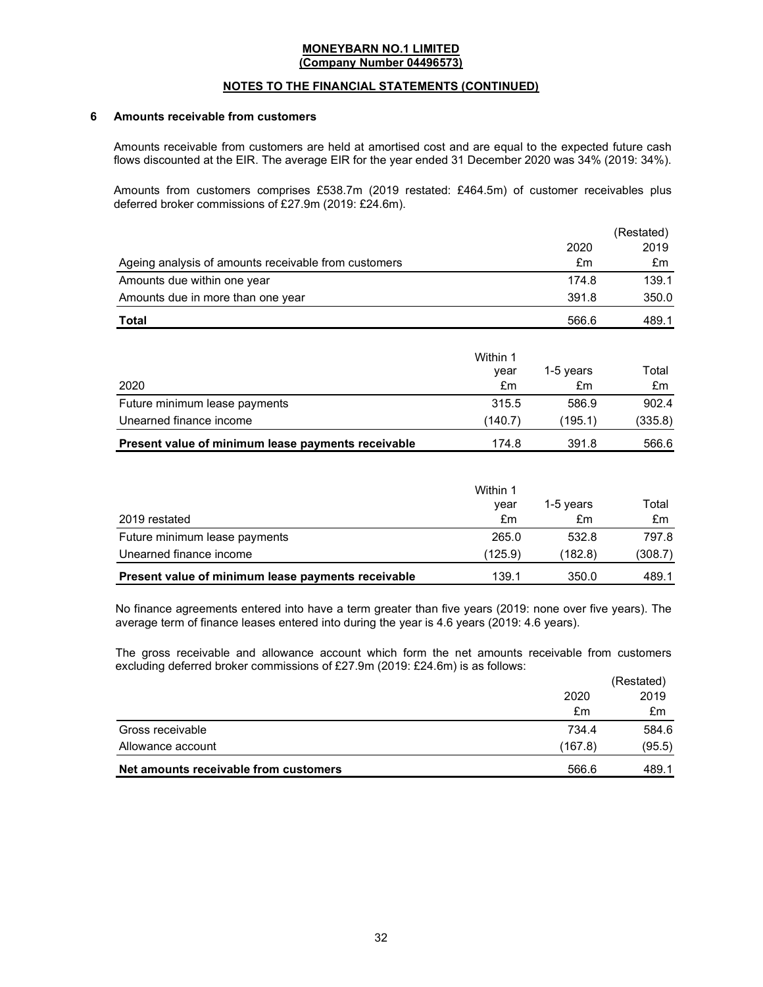# NOTES TO THE FINANCIAL STATEMENTS (CONTINUED)

# 6 Amounts receivable from customers

Amounts receivable from customers are held at amortised cost and are equal to the expected future cash flows discounted at the EIR. The average EIR for the year ended 31 December 2020 was 34% (2019: 34%).

Amounts from customers comprises £538.7m (2019 restated: £464.5m) of customer receivables plus deferred broker commissions of £27.9m (2019: £24.6m).

|                                                      |       | (Restated) |
|------------------------------------------------------|-------|------------|
|                                                      | 2020  | 2019       |
| Ageing analysis of amounts receivable from customers | £m    | £m         |
| Amounts due within one year                          | 174.8 | 139.1      |
| Amounts due in more than one year                    | 391.8 | 350.0      |
| Total                                                | 566.6 | 489.1      |

|                                                    | Within 1 |           |         |
|----------------------------------------------------|----------|-----------|---------|
|                                                    | vear     | 1-5 years | Total   |
| 2020                                               | £m       | £m        | £m      |
| Future minimum lease payments                      | 315.5    | 586.9     | 902.4   |
| Unearned finance income                            | (140.7)  | (195.1)   | (335.8) |
| Present value of minimum lease payments receivable | 174.8    | 391.8     | 566.6   |

|                                                    | Within 1 |           |         |
|----------------------------------------------------|----------|-----------|---------|
|                                                    | vear     | 1-5 years | Total   |
| 2019 restated                                      | £m       | £m        | £m      |
| Future minimum lease payments                      | 265.0    | 532.8     | 797.8   |
| Unearned finance income                            | (125.9)  | (182.8)   | (308.7) |
| Present value of minimum lease payments receivable | 139.1    | 350.0     | 489.1   |

No finance agreements entered into have a term greater than five years (2019: none over five years). The average term of finance leases entered into during the year is 4.6 years (2019: 4.6 years).

The gross receivable and allowance account which form the net amounts receivable from customers excluding deferred broker commissions of £27.9m (2019: £24.6m) is as follows:

|                                       |         | (Restated) |
|---------------------------------------|---------|------------|
|                                       | 2020    | 2019       |
|                                       | £m      | £m         |
| Gross receivable                      | 734.4   | 584.6      |
| Allowance account                     | (167.8) | (95.5)     |
| Net amounts receivable from customers | 566.6   | 489.1      |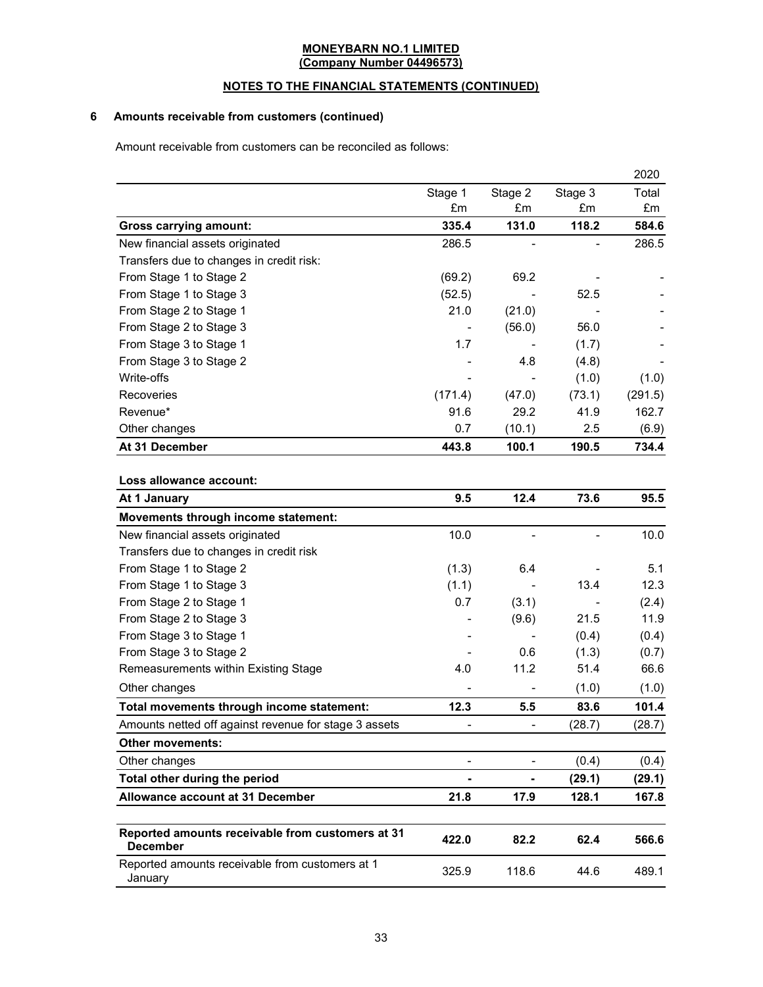# NOTES TO THE FINANCIAL STATEMENTS (CONTINUED)

# 6 Amounts receivable from customers (continued)

Amount receivable from customers can be reconciled as follows:

|                                          |         |         |         | 2020    |
|------------------------------------------|---------|---------|---------|---------|
|                                          | Stage 1 | Stage 2 | Stage 3 | Total   |
|                                          | £m      | £m      | £m      | £m      |
| <b>Gross carrying amount:</b>            | 335.4   | 131.0   | 118.2   | 584.6   |
| New financial assets originated          | 286.5   |         |         | 286.5   |
| Transfers due to changes in credit risk: |         |         |         |         |
| From Stage 1 to Stage 2                  | (69.2)  | 69.2    |         |         |
| From Stage 1 to Stage 3                  | (52.5)  |         | 52.5    |         |
| From Stage 2 to Stage 1                  | 21.0    | (21.0)  |         |         |
| From Stage 2 to Stage 3                  |         | (56.0)  | 56.0    |         |
| From Stage 3 to Stage 1                  | 1.7     |         | (1.7)   |         |
| From Stage 3 to Stage 2                  |         | 4.8     | (4.8)   |         |
| Write-offs                               |         |         | (1.0)   | (1.0)   |
| Recoveries                               | (171.4) | (47.0)  | (73.1)  | (291.5) |
| Revenue*                                 | 91.6    | 29.2    | 41.9    | 162.7   |
| Other changes                            | 0.7     | (10.1)  | 2.5     | (6.9)   |
| At 31 December                           | 443.8   | 100.1   | 190.5   | 734.4   |

# Loss allowance account:

| At 1 January                                                        | 9.5   | 12.4           | 73.6   | 95.5   |
|---------------------------------------------------------------------|-------|----------------|--------|--------|
| Movements through income statement:                                 |       |                |        |        |
| New financial assets originated                                     | 10.0  |                |        | 10.0   |
| Transfers due to changes in credit risk                             |       |                |        |        |
| From Stage 1 to Stage 2                                             | (1.3) | 6.4            |        | 5.1    |
| From Stage 1 to Stage 3                                             | (1.1) |                | 13.4   | 12.3   |
| From Stage 2 to Stage 1                                             | 0.7   | (3.1)          |        | (2.4)  |
| From Stage 2 to Stage 3                                             |       | (9.6)          | 21.5   | 11.9   |
| From Stage 3 to Stage 1                                             |       |                | (0.4)  | (0.4)  |
| From Stage 3 to Stage 2                                             |       | 0.6            | (1.3)  | (0.7)  |
| Remeasurements within Existing Stage                                | 4.0   | 11.2           | 51.4   | 66.6   |
| Other changes                                                       |       |                | (1.0)  | (1.0)  |
| Total movements through income statement:                           | 12.3  | 5.5            | 83.6   | 101.4  |
| Amounts netted off against revenue for stage 3 assets               |       | $\blacksquare$ | (28.7) | (28.7) |
| <b>Other movements:</b>                                             |       |                |        |        |
| Other changes                                                       |       | $\blacksquare$ | (0.4)  | (0.4)  |
| Total other during the period                                       |       |                | (29.1) | (29.1) |
| Allowance account at 31 December                                    | 21.8  | 17.9           | 128.1  | 167.8  |
|                                                                     |       |                |        |        |
| Reported amounts receivable from customers at 31<br><b>December</b> | 422.0 | 82.2           | 62.4   | 566.6  |
| Reported amounts receivable from customers at 1<br>January          | 325.9 | 118.6          | 44.6   | 489.1  |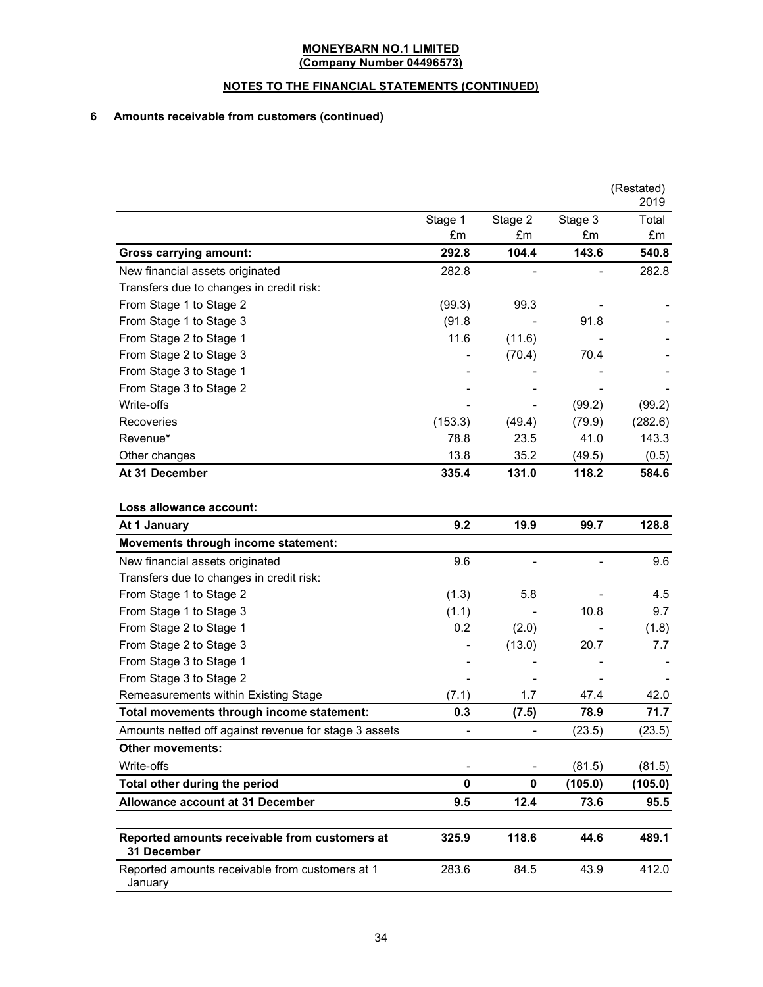# NOTES TO THE FINANCIAL STATEMENTS (CONTINUED)

# 6 Amounts receivable from customers (continued)

|                                                       |                |                          |         | (Restated)<br>2019 |
|-------------------------------------------------------|----------------|--------------------------|---------|--------------------|
|                                                       | Stage 1        | Stage 2                  | Stage 3 | Total              |
|                                                       | £m             | £m                       | £m      | £m                 |
| <b>Gross carrying amount:</b>                         | 292.8          | 104.4                    | 143.6   | 540.8              |
| New financial assets originated                       | 282.8          |                          |         | 282.8              |
| Transfers due to changes in credit risk:              |                |                          |         |                    |
| From Stage 1 to Stage 2                               | (99.3)         | 99.3                     |         |                    |
| From Stage 1 to Stage 3                               | (91.8)         |                          | 91.8    |                    |
| From Stage 2 to Stage 1                               | 11.6           | (11.6)                   |         |                    |
| From Stage 2 to Stage 3                               |                | (70.4)                   | 70.4    |                    |
| From Stage 3 to Stage 1                               |                |                          |         |                    |
| From Stage 3 to Stage 2                               |                |                          |         |                    |
| Write-offs                                            |                |                          | (99.2)  | (99.2)             |
| Recoveries                                            | (153.3)        | (49.4)                   | (79.9)  | (282.6)            |
| Revenue*                                              | 78.8           | 23.5                     | 41.0    | 143.3              |
| Other changes                                         | 13.8           | 35.2                     | (49.5)  | (0.5)              |
| At 31 December                                        | 335.4          | 131.0                    | 118.2   | 584.6              |
| Loss allowance account:                               |                |                          |         |                    |
| At 1 January                                          | 9.2            | 19.9                     | 99.7    | 128.8              |
| Movements through income statement:                   |                |                          |         |                    |
| New financial assets originated                       | 9.6            |                          |         | 9.6                |
| Transfers due to changes in credit risk:              |                |                          |         |                    |
| From Stage 1 to Stage 2                               | (1.3)          | 5.8                      |         | 4.5                |
| From Stage 1 to Stage 3                               | (1.1)          |                          | 10.8    | 9.7                |
| From Stage 2 to Stage 1                               | 0.2            | (2.0)                    |         | (1.8)              |
| From Stage 2 to Stage 3                               |                | (13.0)                   | 20.7    | 7.7                |
| From Stage 3 to Stage 1                               |                |                          |         |                    |
| From Stage 3 to Stage 2                               |                |                          |         |                    |
| Remeasurements within Existing Stage                  | (7.1)          | 1.7                      | 47.4    | 42.0               |
| Total movements through income statement:             | 0.3            | (7.5)                    | 78.9    | 71.7               |
| Amounts netted off against revenue for stage 3 assets |                | $\overline{\phantom{a}}$ | (23.5)  | (23.5)             |
| Other movements:                                      |                |                          |         |                    |
| Write-offs                                            | $\overline{a}$ |                          | (81.5)  | (81.5)             |
| Total other during the period                         | 0              | 0                        | (105.0) | (105.0)            |

| Allowance account at 31 December                             | 9.5   | 12.4  | 73.6 | 95.5  |
|--------------------------------------------------------------|-------|-------|------|-------|
|                                                              |       |       |      |       |
| Reported amounts receivable from customers at<br>31 December | 325.9 | 118.6 | 44.6 | 489.1 |
| Reported amounts receivable from customers at 1<br>January   | 283.6 | 84.5  | 43.9 | 412.0 |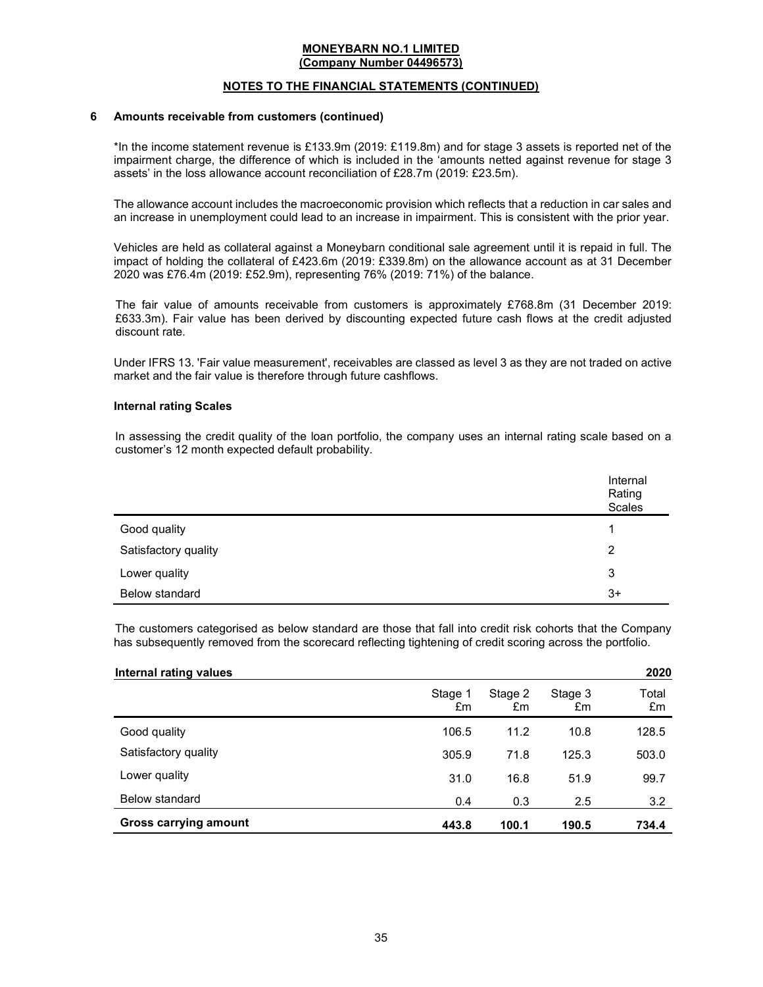# NOTES TO THE FINANCIAL STATEMENTS (CONTINUED)

# 6 Amounts receivable from customers (continued)

\*In the income statement revenue is £133.9m (2019: £119.8m) and for stage 3 assets is reported net of the impairment charge, the difference of which is included in the 'amounts netted against revenue for stage 3 assets' in the loss allowance account reconciliation of £28.7m (2019: £23.5m).

The allowance account includes the macroeconomic provision which reflects that a reduction in car sales and an increase in unemployment could lead to an increase in impairment. This is consistent with the prior year.

Vehicles are held as collateral against a Moneybarn conditional sale agreement until it is repaid in full. The impact of holding the collateral of £423.6m (2019: £339.8m) on the allowance account as at 31 December 2020 was £76.4m (2019: £52.9m), representing 76% (2019: 71%) of the balance.

The fair value of amounts receivable from customers is approximately £768.8m (31 December 2019: £633.3m). Fair value has been derived by discounting expected future cash flows at the credit adjusted discount rate.

Under IFRS 13. 'Fair value measurement', receivables are classed as level 3 as they are not traded on active market and the fair value is therefore through future cashflows.

# Internal rating Scales

In assessing the credit quality of the loan portfolio, the company uses an internal rating scale based on a customer's 12 month expected default probability.

|                       | Internal<br>Rating<br>Scales |
|-----------------------|------------------------------|
| Good quality          | 1                            |
| Satisfactory quality  | 2                            |
| Lower quality         | 3                            |
| <b>Below standard</b> | $3+$                         |

The customers categorised as below standard are those that fall into credit risk cohorts that the Company has subsequently removed from the scorecard reflecting tightening of credit scoring across the portfolio.

| Internal rating values       |               |               |               | 2020        |
|------------------------------|---------------|---------------|---------------|-------------|
|                              | Stage 1<br>£m | Stage 2<br>£m | Stage 3<br>£m | Total<br>£m |
| Good quality                 | 106.5         | 11.2          | 10.8          | 128.5       |
| Satisfactory quality         | 305.9         | 71.8          | 125.3         | 503.0       |
| Lower quality                | 31.0          | 16.8          | 51.9          | 99.7        |
| Below standard               | 0.4           | 0.3           | 2.5           | 3.2         |
| <b>Gross carrying amount</b> | 443.8         | 100.1         | 190.5         | 734.4       |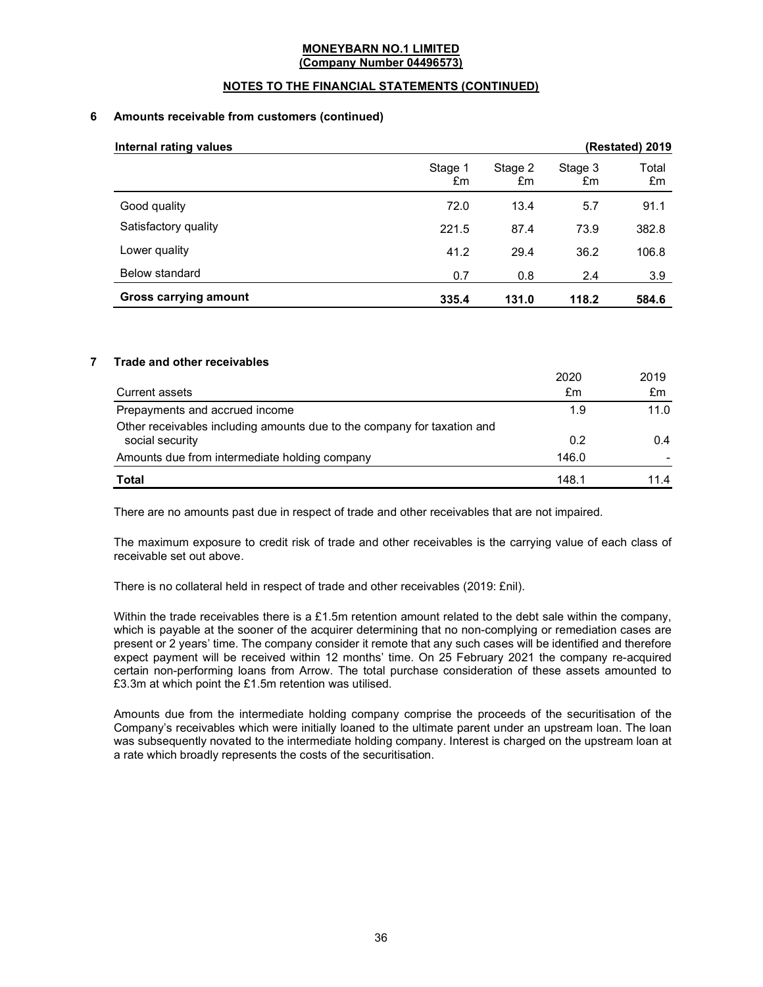# NOTES TO THE FINANCIAL STATEMENTS (CONTINUED)

# 6 Amounts receivable from customers (continued)

| Internal rating values       | (Restated) 2019 |               |               |             |
|------------------------------|-----------------|---------------|---------------|-------------|
|                              | Stage 1<br>£m   | Stage 2<br>£m | Stage 3<br>£m | Total<br>£m |
| Good quality                 | 72.0            | 13.4          | 5.7           | 91.1        |
| Satisfactory quality         | 221.5           | 87.4          | 73.9          | 382.8       |
| Lower quality                | 41.2            | 29.4          | 36.2          | 106.8       |
| Below standard               | 0.7             | 0.8           | 2.4           | 3.9         |
| <b>Gross carrying amount</b> | 335.4           | 131.0         | 118.2         | 584.6       |

# 7 Trade and other receivables

|                                                                                            | 2020  | 2019 |
|--------------------------------------------------------------------------------------------|-------|------|
| Current assets                                                                             | £m    | £m   |
| Prepayments and accrued income                                                             | 1.9   | 11.0 |
| Other receivables including amounts due to the company for taxation and<br>social security | 0.2   | 0.4  |
| Amounts due from intermediate holding company                                              | 146.0 |      |
| Total                                                                                      | 148.1 | 11 4 |

There are no amounts past due in respect of trade and other receivables that are not impaired.

The maximum exposure to credit risk of trade and other receivables is the carrying value of each class of receivable set out above.

There is no collateral held in respect of trade and other receivables (2019: £nil).

Within the trade receivables there is a £1.5m retention amount related to the debt sale within the company, which is payable at the sooner of the acquirer determining that no non-complying or remediation cases are present or 2 years' time. The company consider it remote that any such cases will be identified and therefore expect payment will be received within 12 months' time. On 25 February 2021 the company re-acquired certain non-performing loans from Arrow. The total purchase consideration of these assets amounted to £3.3m at which point the £1.5m retention was utilised.

Amounts due from the intermediate holding company comprise the proceeds of the securitisation of the Company's receivables which were initially loaned to the ultimate parent under an upstream loan. The loan was subsequently novated to the intermediate holding company. Interest is charged on the upstream loan at a rate which broadly represents the costs of the securitisation.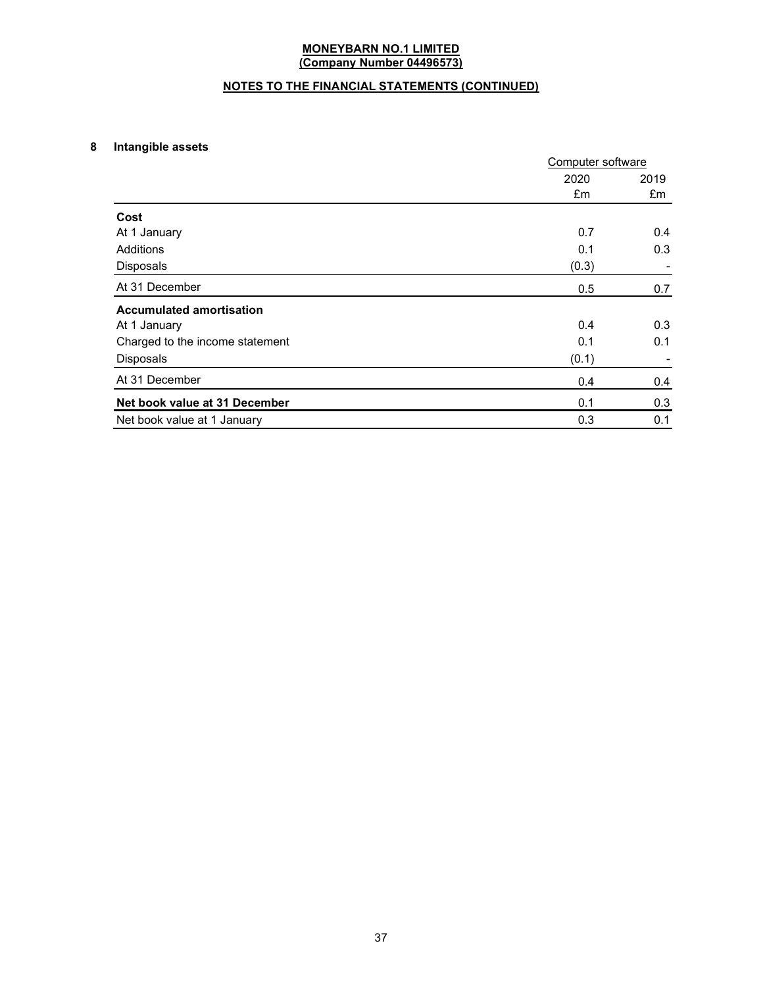# NOTES TO THE FINANCIAL STATEMENTS (CONTINUED)

# 8 Intangible assets

|                                 | Computer software |      |
|---------------------------------|-------------------|------|
|                                 | 2020              | 2019 |
|                                 | £m                | £m   |
| Cost                            |                   |      |
| At 1 January                    | 0.7               | 0.4  |
| Additions                       | 0.1               | 0.3  |
| <b>Disposals</b>                | (0.3)             |      |
| At 31 December                  | 0.5               | 0.7  |
| <b>Accumulated amortisation</b> |                   |      |
| At 1 January                    | 0.4               | 0.3  |
| Charged to the income statement | 0.1               | 0.1  |
| <b>Disposals</b>                | (0.1)             |      |
| At 31 December                  | 0.4               | 0.4  |
| Net book value at 31 December   | 0.1               | 0.3  |
| Net book value at 1 January     | 0.3               | 0.1  |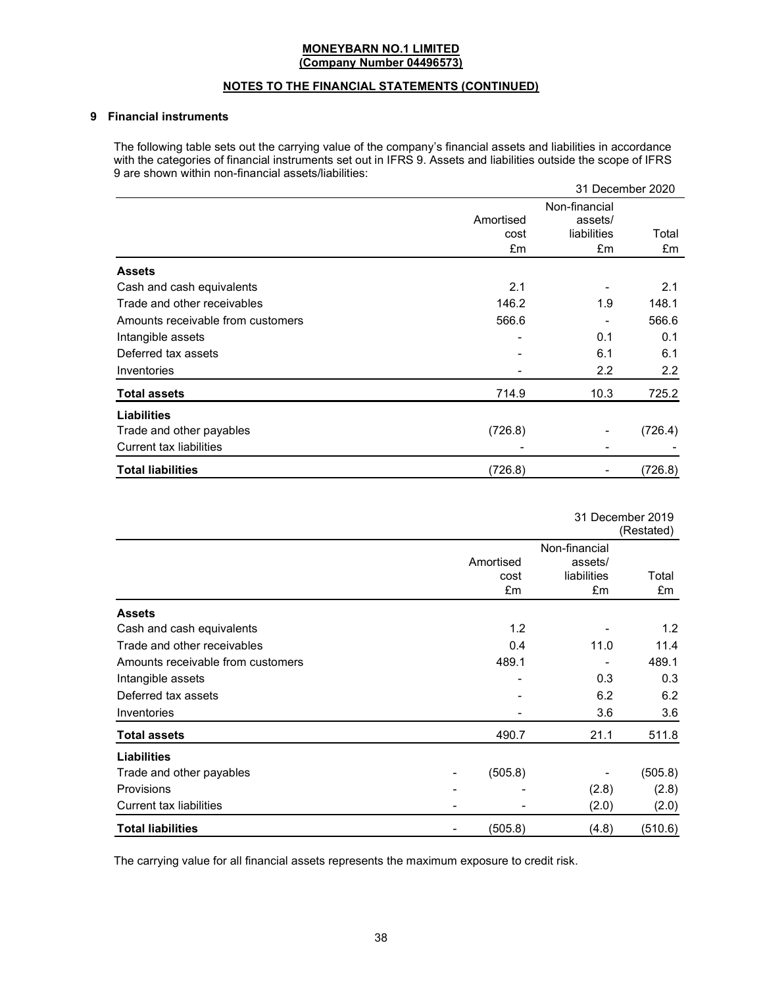# NOTES TO THE FINANCIAL STATEMENTS (CONTINUED)

# 9 Financial instruments

The following table sets out the carrying value of the company's financial assets and liabilities in accordance with the categories of financial instruments set out in IFRS 9. Assets and liabilities outside the scope of IFRS 9 are shown within non-financial assets/liabilities:

|                                   |                         | 31 December 2020                              |             |
|-----------------------------------|-------------------------|-----------------------------------------------|-------------|
|                                   | Amortised<br>cost<br>£m | Non-financial<br>assets/<br>liabilities<br>£m | Total<br>£m |
| <b>Assets</b>                     |                         |                                               |             |
| Cash and cash equivalents         | 2.1                     |                                               | 2.1         |
| Trade and other receivables       | 146.2                   | 1.9                                           | 148.1       |
| Amounts receivable from customers | 566.6                   |                                               | 566.6       |
| Intangible assets                 |                         | 0.1                                           | 0.1         |
| Deferred tax assets               |                         | 6.1                                           | 6.1         |
| Inventories                       |                         | 2.2                                           | 2.2         |
| <b>Total assets</b>               | 714.9                   | 10.3                                          | 725.2       |
| <b>Liabilities</b>                |                         |                                               |             |
| Trade and other payables          | (726.8)                 | -                                             | (726.4)     |
| <b>Current tax liabilities</b>    |                         | -                                             |             |
| <b>Total liabilities</b>          | (726.8)                 |                                               | (726.8)     |

31 December 2019  $/D$ catat

|                                   |           |               | (Restated)       |
|-----------------------------------|-----------|---------------|------------------|
|                                   |           | Non-financial |                  |
|                                   | Amortised | assets/       |                  |
|                                   | cost      | liabilities   | Total            |
|                                   | £m        | £m            | £m               |
| <b>Assets</b>                     |           |               |                  |
| Cash and cash equivalents         | 1.2       |               | 1.2 <sub>2</sub> |
| Trade and other receivables       | 0.4       | 11.0          | 11.4             |
| Amounts receivable from customers | 489.1     |               | 489.1            |
| Intangible assets                 |           | 0.3           | 0.3              |
| Deferred tax assets               |           | 6.2           | 6.2              |
| Inventories                       |           | 3.6           | 3.6              |
| <b>Total assets</b>               | 490.7     | 21.1          | 511.8            |
| <b>Liabilities</b>                |           |               |                  |
| Trade and other payables          | (505.8)   |               | (505.8)          |
| Provisions                        |           | (2.8)         | (2.8)            |
| <b>Current tax liabilities</b>    |           | (2.0)         | (2.0)            |
| <b>Total liabilities</b>          | (505.8)   | (4.8)         | (510.6)          |

The carrying value for all financial assets represents the maximum exposure to credit risk.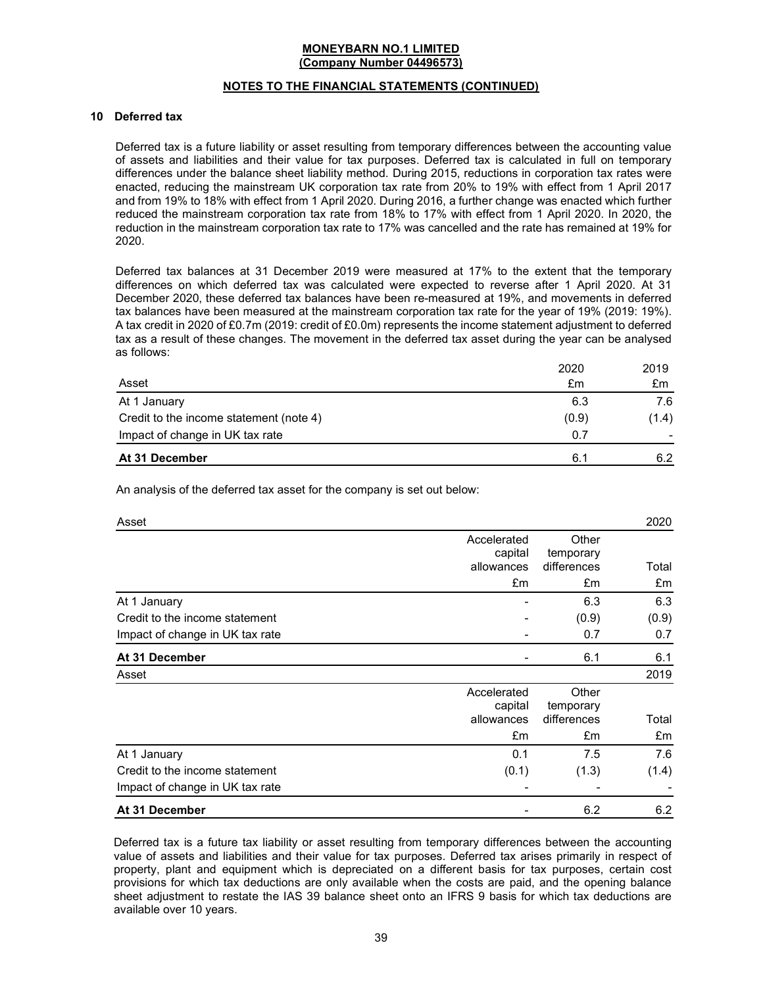# NOTES TO THE FINANCIAL STATEMENTS (CONTINUED)

# 10 Deferred tax

Deferred tax is a future liability or asset resulting from temporary differences between the accounting value of assets and liabilities and their value for tax purposes. Deferred tax is calculated in full on temporary differences under the balance sheet liability method. During 2015, reductions in corporation tax rates were enacted, reducing the mainstream UK corporation tax rate from 20% to 19% with effect from 1 April 2017 and from 19% to 18% with effect from 1 April 2020. During 2016, a further change was enacted which further reduced the mainstream corporation tax rate from 18% to 17% with effect from 1 April 2020. In 2020, the reduction in the mainstream corporation tax rate to 17% was cancelled and the rate has remained at 19% for 2020.

Deferred tax balances at 31 December 2019 were measured at 17% to the extent that the temporary differences on which deferred tax was calculated were expected to reverse after 1 April 2020. At 31 December 2020, these deferred tax balances have been re-measured at 19%, and movements in deferred tax balances have been measured at the mainstream corporation tax rate for the year of 19% (2019: 19%). A tax credit in 2020 of £0.7m (2019: credit of £0.0m) represents the income statement adjustment to deferred tax as a result of these changes. The movement in the deferred tax asset during the year can be analysed as follows:

|                                         | 2020  | 2019  |
|-----------------------------------------|-------|-------|
| Asset                                   | £m    | £m    |
| At 1 January                            | 6.3   | 7.6   |
| Credit to the income statement (note 4) | (0.9) | (1.4) |
| Impact of change in UK tax rate         | 0.7   |       |
| At 31 December                          | 6.1   | 6.2   |

An analysis of the deferred tax asset for the company is set out below:

| Asset                           |                        |                          | 2020  |
|---------------------------------|------------------------|--------------------------|-------|
|                                 | Accelerated<br>capital | Other<br>temporary       |       |
|                                 | allowances             | differences              | Total |
|                                 | £m                     | £m                       | £m    |
| At 1 January                    |                        | 6.3                      | 6.3   |
| Credit to the income statement  |                        | (0.9)                    | (0.9) |
| Impact of change in UK tax rate |                        | 0.7                      | 0.7   |
| At 31 December                  |                        | 6.1                      | 6.1   |
| Asset                           |                        |                          | 2019  |
|                                 | Accelerated<br>capital | Other                    |       |
|                                 | allowances             | temporary<br>differences | Total |
|                                 | £m                     | £m                       | £m    |
| At 1 January                    | 0.1                    | 7.5                      | 7.6   |
| Credit to the income statement  | (0.1)                  | (1.3)                    | (1.4) |
| Impact of change in UK tax rate |                        |                          |       |
| At 31 December                  |                        | 6.2                      | 6.2   |

Deferred tax is a future tax liability or asset resulting from temporary differences between the accounting value of assets and liabilities and their value for tax purposes. Deferred tax arises primarily in respect of property, plant and equipment which is depreciated on a different basis for tax purposes, certain cost provisions for which tax deductions are only available when the costs are paid, and the opening balance sheet adjustment to restate the IAS 39 balance sheet onto an IFRS 9 basis for which tax deductions are available over 10 years.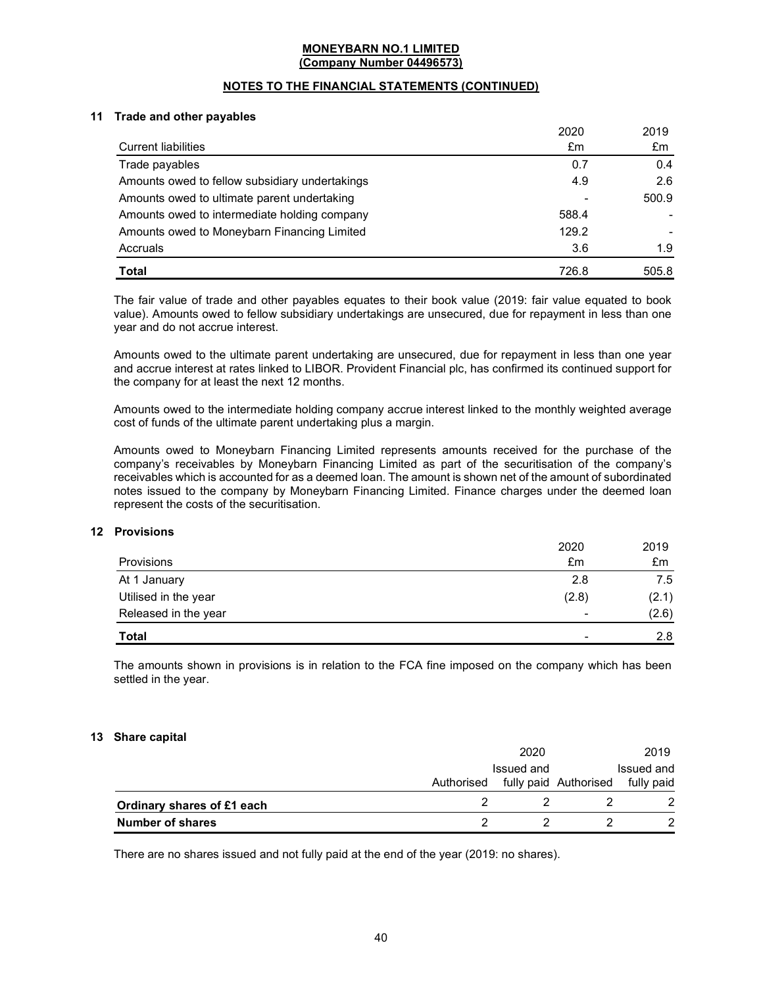# NOTES TO THE FINANCIAL STATEMENTS (CONTINUED)

# 11 Trade and other payables

|                                                | 2020  | 2019  |
|------------------------------------------------|-------|-------|
| <b>Current liabilities</b>                     | £m    | £m    |
| Trade payables                                 | 0.7   | 0.4   |
| Amounts owed to fellow subsidiary undertakings | 4.9   | 2.6   |
| Amounts owed to ultimate parent undertaking    |       | 500.9 |
| Amounts owed to intermediate holding company   | 588.4 |       |
| Amounts owed to Moneybarn Financing Limited    | 129.2 |       |
| Accruals                                       | 3.6   | 1.9   |
| Total                                          | 726.8 | 505.8 |

The fair value of trade and other payables equates to their book value (2019: fair value equated to book value). Amounts owed to fellow subsidiary undertakings are unsecured, due for repayment in less than one year and do not accrue interest.

Amounts owed to the ultimate parent undertaking are unsecured, due for repayment in less than one year and accrue interest at rates linked to LIBOR. Provident Financial plc, has confirmed its continued support for the company for at least the next 12 months.

Amounts owed to the intermediate holding company accrue interest linked to the monthly weighted average cost of funds of the ultimate parent undertaking plus a margin.

Amounts owed to Moneybarn Financing Limited represents amounts received for the purchase of the company's receivables by Moneybarn Financing Limited as part of the securitisation of the company's receivables which is accounted for as a deemed loan. The amount is shown net of the amount of subordinated notes issued to the company by Moneybarn Financing Limited. Finance charges under the deemed loan represent the costs of the securitisation.

# 12 Provisions

|                      | 2020  | 2019  |
|----------------------|-------|-------|
| Provisions           | £m    | £m    |
| At 1 January         | 2.8   | 7.5   |
| Utilised in the year | (2.8) | (2.1) |
| Released in the year | -     | (2.6) |
| <b>Total</b>         |       | 2.8   |

The amounts shown in provisions is in relation to the FCA fine imposed on the company which has been settled in the year.

#### 13 Share capital

|                            | 2020       |            |                       | 2019       |  |
|----------------------------|------------|------------|-----------------------|------------|--|
|                            |            | Issued and |                       |            |  |
|                            | Authorised |            | fully paid Authorised | fully paid |  |
| Ordinary shares of £1 each |            |            |                       |            |  |
| <b>Number of shares</b>    |            |            |                       |            |  |

There are no shares issued and not fully paid at the end of the year (2019: no shares).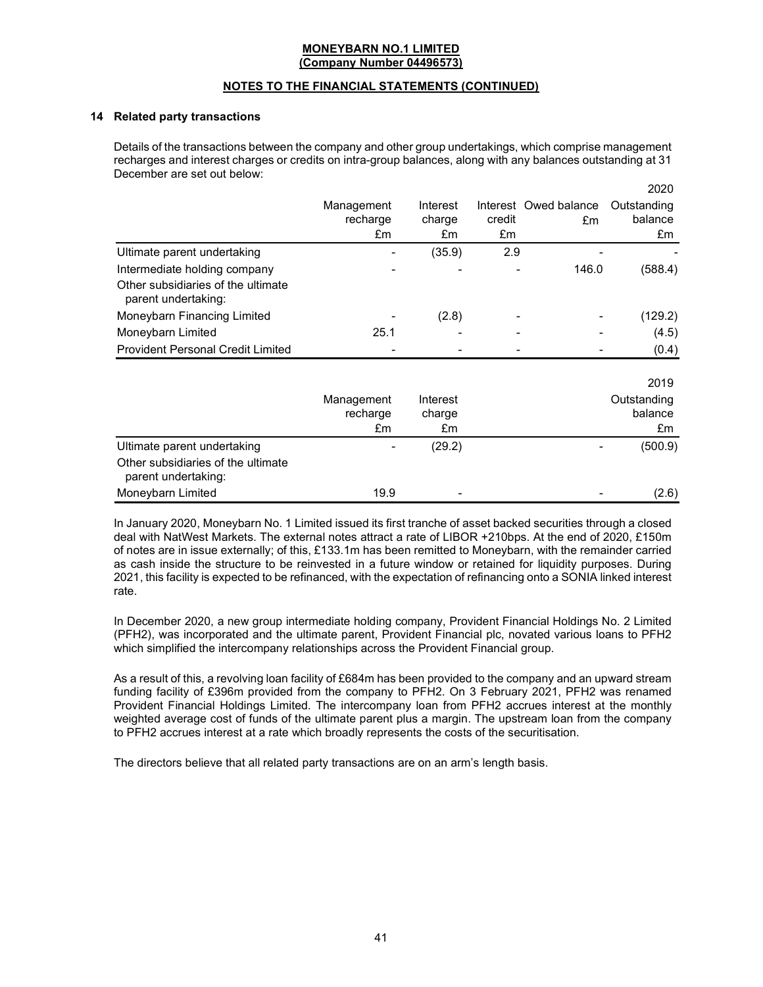# NOTES TO THE FINANCIAL STATEMENTS (CONTINUED)

# 14 Related party transactions

Details of the transactions between the company and other group undertakings, which comprise management recharges and interest charges or credits on intra-group balances, along with any balances outstanding at 31 December are set out below:

2020

|                                                           |                        |                    |        |                             | ∠∪∠∪                   |
|-----------------------------------------------------------|------------------------|--------------------|--------|-----------------------------|------------------------|
|                                                           | Management<br>recharge | Interest<br>charge | credit | Interest Owed balance<br>£m | Outstanding<br>balance |
|                                                           | £m                     | £m                 | £m     |                             | £m                     |
| Ultimate parent undertaking                               |                        | (35.9)             | 2.9    |                             |                        |
| Intermediate holding company                              |                        |                    |        | 146.0                       | (588.4)                |
| Other subsidiaries of the ultimate<br>parent undertaking: |                        |                    |        |                             |                        |
| Moneybarn Financing Limited                               |                        | (2.8)              |        |                             | (129.2)                |
| Moneybarn Limited                                         | 25.1                   |                    |        |                             | (4.5)                  |
| <b>Provident Personal Credit Limited</b>                  |                        |                    |        |                             | (0.4)                  |
|                                                           |                        |                    |        |                             | 2019                   |
|                                                           | Management             | Interest           |        |                             | Outstanding            |
|                                                           | recharge               | charge             |        |                             | balance                |
|                                                           | £m                     | £m                 |        |                             | £m                     |
| Ultimate parent undertaking                               |                        | (29.2)             |        |                             | (500.9)                |
| Other subsidiaries of the ultimate<br>parent undertaking: |                        |                    |        |                             |                        |
| Moneybarn Limited                                         | 19.9                   |                    |        |                             | (2.6)                  |

In January 2020, Moneybarn No. 1 Limited issued its first tranche of asset backed securities through a closed deal with NatWest Markets. The external notes attract a rate of LIBOR +210bps. At the end of 2020, £150m of notes are in issue externally; of this, £133.1m has been remitted to Moneybarn, with the remainder carried as cash inside the structure to be reinvested in a future window or retained for liquidity purposes. During 2021, this facility is expected to be refinanced, with the expectation of refinancing onto a SONIA linked interest rate.

In December 2020, a new group intermediate holding company, Provident Financial Holdings No. 2 Limited (PFH2), was incorporated and the ultimate parent, Provident Financial plc, novated various loans to PFH2 which simplified the intercompany relationships across the Provident Financial group.

As a result of this, a revolving loan facility of £684m has been provided to the company and an upward stream funding facility of £396m provided from the company to PFH2. On 3 February 2021, PFH2 was renamed Provident Financial Holdings Limited. The intercompany loan from PFH2 accrues interest at the monthly weighted average cost of funds of the ultimate parent plus a margin. The upstream loan from the company to PFH2 accrues interest at a rate which broadly represents the costs of the securitisation.

The directors believe that all related party transactions are on an arm's length basis.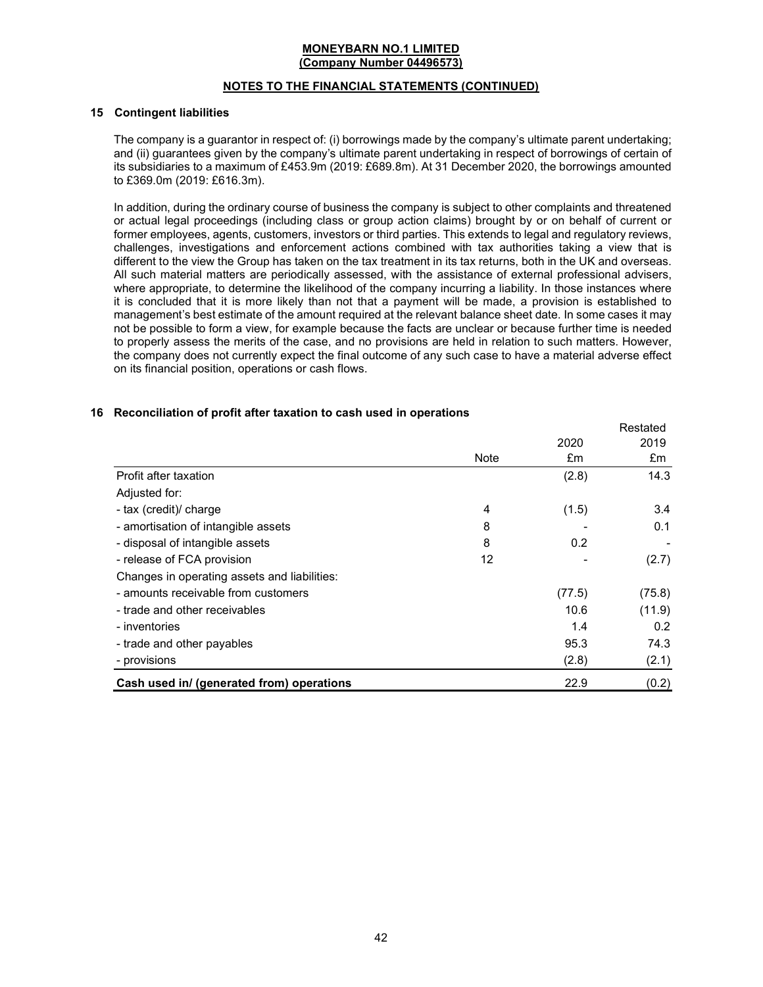# NOTES TO THE FINANCIAL STATEMENTS (CONTINUED)

### 15 Contingent liabilities

The company is a guarantor in respect of: (i) borrowings made by the company's ultimate parent undertaking; and (ii) guarantees given by the company's ultimate parent undertaking in respect of borrowings of certain of its subsidiaries to a maximum of £453.9m (2019: £689.8m). At 31 December 2020, the borrowings amounted to £369.0m (2019: £616.3m).

In addition, during the ordinary course of business the company is subject to other complaints and threatened or actual legal proceedings (including class or group action claims) brought by or on behalf of current or former employees, agents, customers, investors or third parties. This extends to legal and regulatory reviews, challenges, investigations and enforcement actions combined with tax authorities taking a view that is different to the view the Group has taken on the tax treatment in its tax returns, both in the UK and overseas. All such material matters are periodically assessed, with the assistance of external professional advisers, where appropriate, to determine the likelihood of the company incurring a liability. In those instances where it is concluded that it is more likely than not that a payment will be made, a provision is established to management's best estimate of the amount required at the relevant balance sheet date. In some cases it may not be possible to form a view, for example because the facts are unclear or because further time is needed to properly assess the merits of the case, and no provisions are held in relation to such matters. However, the company does not currently expect the final outcome of any such case to have a material adverse effect on its financial position, operations or cash flows.

Restated

|  |  | 16 Reconciliation of profit after taxation to cash used in operations |  |  |
|--|--|-----------------------------------------------------------------------|--|--|
|--|--|-----------------------------------------------------------------------|--|--|

|                                              |      | 2020   | 2019   |
|----------------------------------------------|------|--------|--------|
|                                              | Note | £m     | £m     |
| Profit after taxation                        |      | (2.8)  | 14.3   |
| Adjusted for:                                |      |        |        |
| - tax (credit)/ charge                       | 4    | (1.5)  | 3.4    |
| - amortisation of intangible assets          | 8    |        | 0.1    |
| - disposal of intangible assets              | 8    | 0.2    |        |
| - release of FCA provision                   | 12   |        | (2.7)  |
| Changes in operating assets and liabilities: |      |        |        |
| - amounts receivable from customers          |      | (77.5) | (75.8) |
| - trade and other receivables                |      | 10.6   | (11.9) |
| - inventories                                |      | 1.4    | 0.2    |
| - trade and other payables                   |      | 95.3   | 74.3   |
| - provisions                                 |      | (2.8)  | (2.1)  |
| Cash used in/ (generated from) operations    |      | 22.9   | (0.2)  |